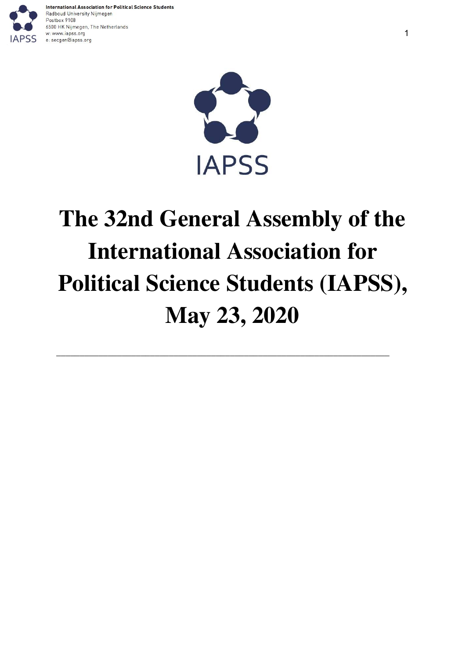



# **The 32nd General Assembly of the International Association for Political Science Students (IAPSS), May 23, 2020**

\_\_\_\_\_\_\_\_\_\_\_\_\_\_\_\_\_\_\_\_\_\_\_\_\_\_\_\_\_\_\_\_\_\_\_\_\_\_\_\_\_\_\_\_\_\_\_\_\_\_\_\_\_\_\_\_\_\_\_\_\_\_\_\_\_\_\_\_\_\_\_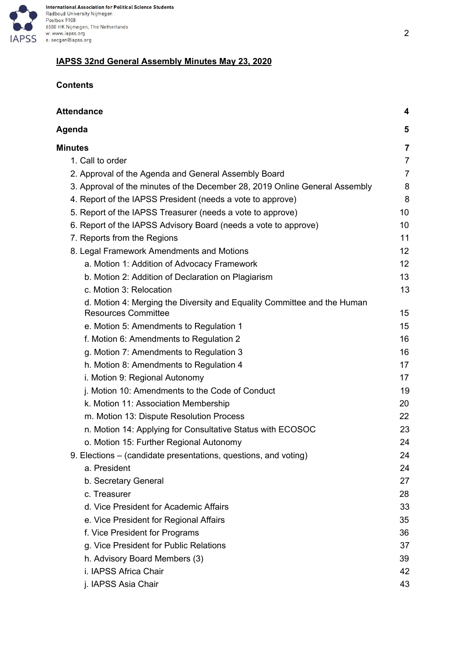

# **IAPSS 32nd General Assembly Minutes May 23, 2020**

# **Contents**

| <b>Attendance</b>                                                                                     | 4              |
|-------------------------------------------------------------------------------------------------------|----------------|
| Agenda                                                                                                | 5              |
| <b>Minutes</b>                                                                                        | 7              |
| 1. Call to order                                                                                      | $\overline{7}$ |
| 2. Approval of the Agenda and General Assembly Board                                                  | $\overline{7}$ |
| 3. Approval of the minutes of the December 28, 2019 Online General Assembly                           | 8              |
| 4. Report of the IAPSS President (needs a vote to approve)                                            | 8              |
| 5. Report of the IAPSS Treasurer (needs a vote to approve)                                            | 10             |
| 6. Report of the IAPSS Advisory Board (needs a vote to approve)                                       | 10             |
| 7. Reports from the Regions                                                                           | 11             |
| 8. Legal Framework Amendments and Motions                                                             | 12             |
| a. Motion 1: Addition of Advocacy Framework                                                           | 12             |
| b. Motion 2: Addition of Declaration on Plagiarism                                                    | 13             |
| c. Motion 3: Relocation                                                                               | 13             |
| d. Motion 4: Merging the Diversity and Equality Committee and the Human<br><b>Resources Committee</b> | 15             |
| e. Motion 5: Amendments to Regulation 1                                                               | 15             |
| f. Motion 6: Amendments to Regulation 2                                                               | 16             |
| g. Motion 7: Amendments to Regulation 3                                                               | 16             |
| h. Motion 8: Amendments to Regulation 4                                                               | 17             |
| i. Motion 9: Regional Autonomy                                                                        | 17             |
| j. Motion 10: Amendments to the Code of Conduct                                                       | 19             |
| k. Motion 11: Association Membership                                                                  | 20             |
| m. Motion 13: Dispute Resolution Process                                                              | 22             |
| n. Motion 14: Applying for Consultative Status with ECOSOC                                            | 23             |
| o. Motion 15: Further Regional Autonomy                                                               | 24             |
| 9. Elections – (candidate presentations, questions, and voting)                                       | 24             |
| a. President                                                                                          | 24             |
| b. Secretary General                                                                                  | 27             |
| c. Treasurer                                                                                          | 28             |
| d. Vice President for Academic Affairs                                                                | 33             |
| e. Vice President for Regional Affairs                                                                | 35             |
| f. Vice President for Programs                                                                        | 36             |
| g. Vice President for Public Relations                                                                | 37             |
| h. Advisory Board Members (3)                                                                         | 39             |
| i. IAPSS Africa Chair                                                                                 | 42             |
| j. IAPSS Asia Chair                                                                                   | 43             |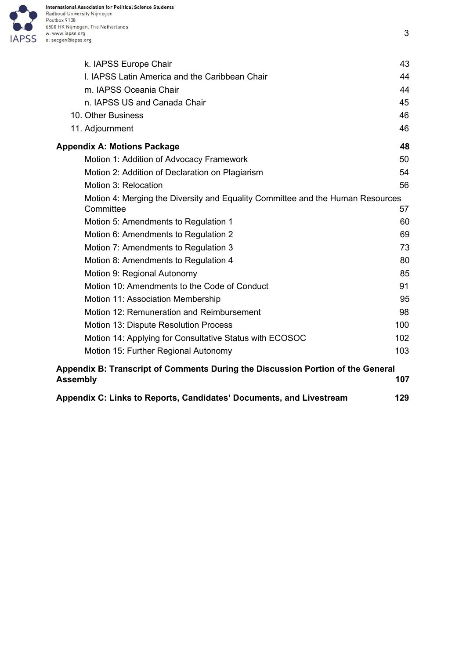

| k. IAPSS Europe Chair                                                                       | 43  |
|---------------------------------------------------------------------------------------------|-----|
| I. IAPSS Latin America and the Caribbean Chair                                              | 44  |
| m. IAPSS Oceania Chair                                                                      | 44  |
| n. IAPSS US and Canada Chair                                                                | 45  |
| 10. Other Business                                                                          | 46  |
| 11. Adjournment                                                                             | 46  |
| <b>Appendix A: Motions Package</b>                                                          | 48  |
| Motion 1: Addition of Advocacy Framework                                                    | 50  |
| Motion 2: Addition of Declaration on Plagiarism                                             | 54  |
| Motion 3: Relocation                                                                        | 56  |
| Motion 4: Merging the Diversity and Equality Committee and the Human Resources<br>Committee | 57  |
| Motion 5: Amendments to Regulation 1                                                        | 60  |
| Motion 6: Amendments to Regulation 2                                                        | 69  |
| Motion 7: Amendments to Regulation 3                                                        | 73  |
| Motion 8: Amendments to Regulation 4                                                        | 80  |
| Motion 9: Regional Autonomy                                                                 | 85  |
| Motion 10: Amendments to the Code of Conduct                                                | 91  |
| Motion 11: Association Membership                                                           | 95  |
| Motion 12: Remuneration and Reimbursement                                                   | 98  |
| Motion 13: Dispute Resolution Process                                                       | 100 |
| Motion 14: Applying for Consultative Status with ECOSOC                                     | 102 |
| Motion 15: Further Regional Autonomy                                                        | 103 |
| Appendix B: Transcript of Comments During the Discussion Portion of the General             |     |
| <b>Assembly</b>                                                                             | 107 |
|                                                                                             |     |

3

**Appendix C: Links to Reports, Candidates' [Documents,](#page-128-0) and Livestream [129](#page-128-0)**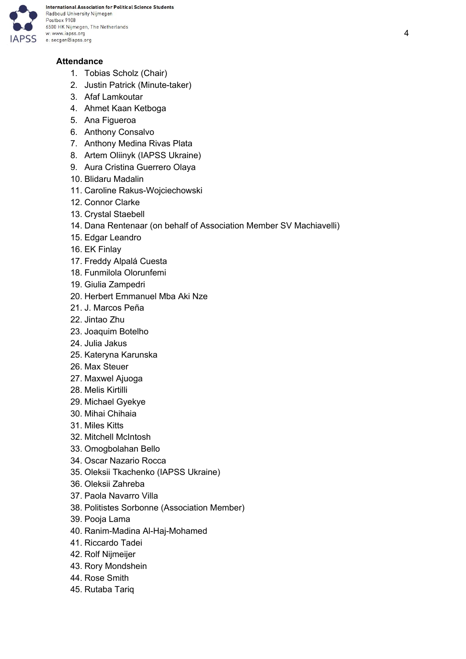

# <span id="page-3-0"></span>**Attendance**

- 1. Tobias Scholz (Chair)
- 2. Justin Patrick (Minute-taker)
- 3. Afaf Lamkoutar
- 4. Ahmet Kaan Ketboga
- 5. Ana Figueroa
- 6. Anthony Consalvo
- 7. Anthony Medina Rivas Plata
- 8. Artem Oliinyk (IAPSS Ukraine)
- 9. Aura Cristina Guerrero Olaya
- 10. Blidaru Madalin
- 11. Caroline Rakus-Wojciechowski
- 12. Connor Clarke
- 13. Crystal Staebell
- 14. Dana Rentenaar (on behalf of Association Member SV Machiavelli)
- 15. Edgar Leandro
- 16. EK Finlay
- 17. Freddy Alpalá Cuesta
- 18. Funmilola Olorunfemi
- 19. Giulia Zampedri
- 20. Herbert Emmanuel Mba Aki Nze
- 21. J. Marcos Peña
- 22. Jintao Zhu
- 23. Joaquim Botelho
- 24. Julia Jakus
- 25. Kateryna Karunska
- 26. Max Steuer
- 27. Maxwel Ajuoga
- 28. Melis Kirtilli
- 29. Michael Gyekye
- 30. Mihai Chihaia
- 31. Miles Kitts
- 32. Mitchell McIntosh
- 33. Omogbolahan Bello
- 34. Oscar Nazario Rocca
- 35. Oleksii Tkachenko (IAPSS Ukraine)
- 36. Oleksii Zahreba
- 37. Paola Navarro Villa
- 38. Politistes Sorbonne (Association Member)
- 39. Pooja Lama
- 40. Ranim-Madina Al-Haj-Mohamed
- 41. Riccardo Tadei
- 42. Rolf Nijmeijer
- 43. Rory Mondshein
- 44. Rose Smith
- 45. Rutaba Tariq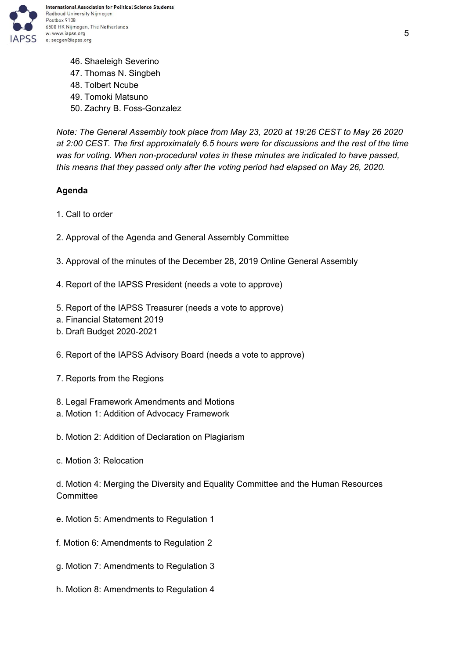

46. Shaeleigh Severino 47. Thomas N. Singbeh 48. Tolbert Ncube 49. Tomoki Matsuno 50. Zachry B. Foss-Gonzalez

*Note: The General Assembly took place from May 23, 2020 at 19:26 CEST to May 26 2020 at 2:00 CEST. The first approximately 6.5 hours were for discussions and the rest of the time was for voting. When non-procedural votes in these minutes are indicated to have passed, this means that they passed only after the voting period had elapsed on May 26, 2020.*

## <span id="page-4-0"></span>**Agenda**

- 1. Call to order
- 2. Approval of the Agenda and General Assembly Committee
- 3. Approval of the minutes of the December 28, 2019 Online General Assembly
- 4. Report of the IAPSS President (needs a vote to approve)
- 5. Report of the IAPSS Treasurer (needs a vote to approve)
- a. Financial Statement 2019
- b. Draft Budget 2020-2021
- 6. Report of the IAPSS Advisory Board (needs a vote to approve)
- 7. Reports from the Regions
- 8. Legal Framework Amendments and Motions
- a. Motion 1: Addition of Advocacy Framework
- b. Motion 2: Addition of Declaration on Plagiarism
- c. Motion 3: Relocation

d. Motion 4: Merging the Diversity and Equality Committee and the Human Resources **Committee** 

- e. Motion 5: Amendments to Regulation 1
- f. Motion 6: Amendments to Regulation 2
- g. Motion 7: Amendments to Regulation 3
- h. Motion 8: Amendments to Regulation 4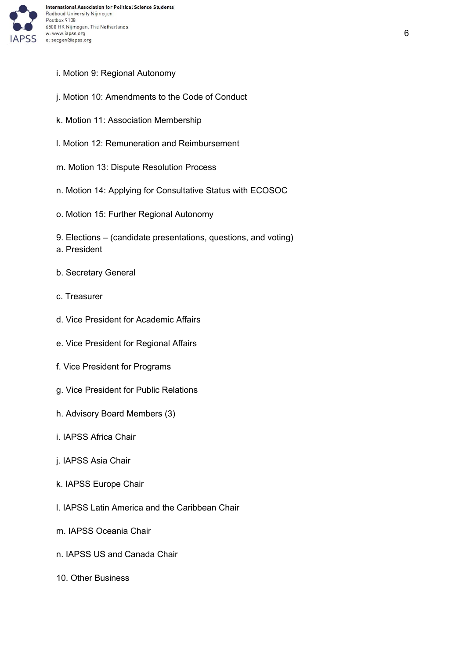

- i. Motion 9: Regional Autonomy
- j. Motion 10: Amendments to the Code of Conduct
- k. Motion 11: Association Membership
- l. Motion 12: Remuneration and Reimbursement
- m. Motion 13: Dispute Resolution Process
- n. Motion 14: Applying for Consultative Status with ECOSOC
- o. Motion 15: Further Regional Autonomy
- 9. Elections (candidate presentations, questions, and voting)
- a. President
- b. Secretary General
- c. Treasurer
- d. Vice President for Academic Affairs
- e. Vice President for Regional Affairs
- f. Vice President for Programs
- g. Vice President for Public Relations
- h. Advisory Board Members (3)
- i. IAPSS Africa Chair
- j. IAPSS Asia Chair
- k. IAPSS Europe Chair
- l. IAPSS Latin America and the Caribbean Chair
- m. IAPSS Oceania Chair
- n. IAPSS US and Canada Chair
- 10. Other Business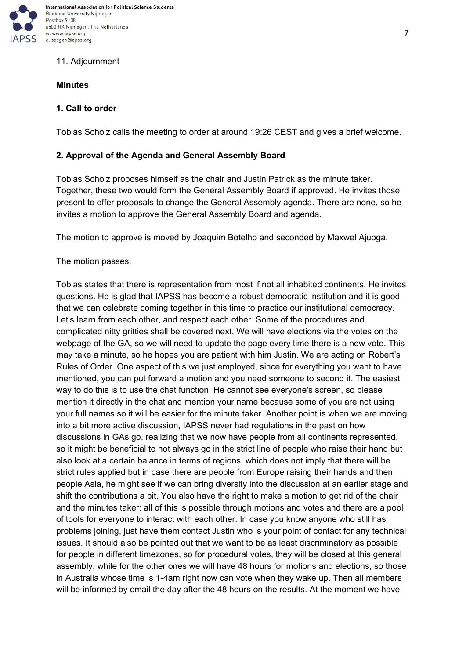

## 11. Adjournment

## <span id="page-6-0"></span>**Minutes**

## <span id="page-6-1"></span>**1. Call to order**

Tobias Scholz calls the meeting to order at around 19:26 CEST and gives a brief welcome.

#### <span id="page-6-2"></span>**2. Approval of the Agenda and General Assembly Board**

Tobias Scholz proposes himself as the chair and Justin Patrick as the minute taker. Together, these two would form the General Assembly Board if approved. He invites those present to offer proposals to change the General Assembly agenda. There are none, so he invites a motion to approve the General Assembly Board and agenda.

The motion to approve is moved by Joaquim Botelho and seconded by Maxwel Ajuoga.

The motion passes.

Tobias states that there is representation from most if not all inhabited continents. He invites questions. He is glad that IAPSS has become a robust democratic institution and it is good that we can celebrate coming together in this time to practice our institutional democracy. Let's learn from each other, and respect each other. Some of the procedures and complicated nitty gritties shall be covered next. We will have elections via the votes on the webpage of the GA, so we will need to update the page every time there is a new vote. This may take a minute, so he hopes you are patient with him Justin. We are acting on Robert's Rules of Order. One aspect of this we just employed, since for everything you want to have mentioned, you can put forward a motion and you need someone to second it. The easiest way to do this is to use the chat function. He cannot see everyone's screen, so please mention it directly in the chat and mention your name because some of you are not using your full names so it will be easier for the minute taker. Another point is when we are moving into a bit more active discussion, IAPSS never had regulations in the past on how discussions in GAs go, realizing that we now have people from all continents represented, so it might be beneficial to not always go in the strict line of people who raise their hand but also look at a certain balance in terms of regions, which does not imply that there will be strict rules applied but in case there are people from Europe raising their hands and then people Asia, he might see if we can bring diversity into the discussion at an earlier stage and shift the contributions a bit. You also have the right to make a motion to get rid of the chair and the minutes taker; all of this is possible through motions and votes and there are a pool of tools for everyone to interact with each other. In case you know anyone who still has problems joining, just have them contact Justin who is your point of contact for any technical issues. It should also be pointed out that we want to be as least discriminatory as possible for people in different timezones, so for procedural votes, they will be closed at this general assembly, while for the other ones we will have 48 hours for motions and elections, so those in Australia whose time is 1-4am right now can vote when they wake up. Then all members will be informed by email the day after the 48 hours on the results. At the moment we have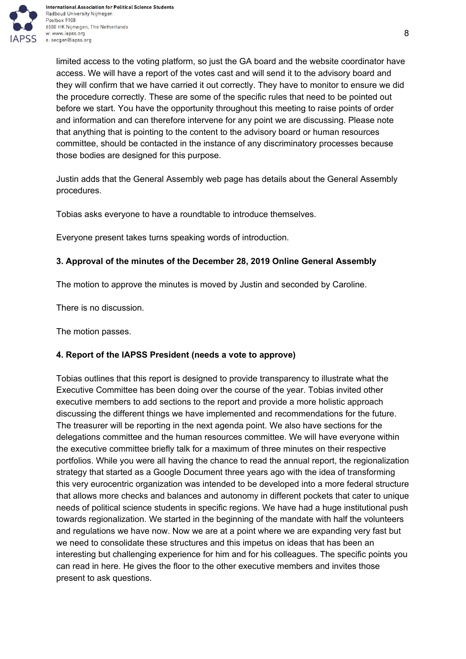

limited access to the voting platform, so just the GA board and the website coordinator have access. We will have a report of the votes cast and will send it to the advisory board and they will confirm that we have carried it out correctly. They have to monitor to ensure we did the procedure correctly. These are some of the specific rules that need to be pointed out before we start. You have the opportunity throughout this meeting to raise points of order and information and can therefore intervene for any point we are discussing. Please note that anything that is pointing to the content to the advisory board or human resources committee, should be contacted in the instance of any discriminatory processes because those bodies are designed for this purpose.

Justin adds that the General Assembly web page has details about the General Assembly procedures.

Tobias asks everyone to have a roundtable to introduce themselves.

Everyone present takes turns speaking words of introduction.

# <span id="page-7-0"></span>**3. Approval of the minutes of the December 28, 2019 Online General Assembly**

The motion to approve the minutes is moved by Justin and seconded by Caroline.

There is no discussion.

The motion passes.

# <span id="page-7-1"></span>**4. Report of the IAPSS President (needs a vote to approve)**

Tobias outlines that this report is designed to provide transparency to illustrate what the Executive Committee has been doing over the course of the year. Tobias invited other executive members to add sections to the report and provide a more holistic approach discussing the different things we have implemented and recommendations for the future. The treasurer will be reporting in the next agenda point. We also have sections for the delegations committee and the human resources committee. We will have everyone within the executive committee briefly talk for a maximum of three minutes on their respective portfolios. While you were all having the chance to read the annual report, the regionalization strategy that started as a Google Document three years ago with the idea of transforming this very eurocentric organization was intended to be developed into a more federal structure that allows more checks and balances and autonomy in different pockets that cater to unique needs of political science students in specific regions. We have had a huge institutional push towards regionalization. We started in the beginning of the mandate with half the volunteers and regulations we have now. Now we are at a point where we are expanding very fast but we need to consolidate these structures and this impetus on ideas that has been an interesting but challenging experience for him and for his colleagues. The specific points you can read in here. He gives the floor to the other executive members and invites those present to ask questions.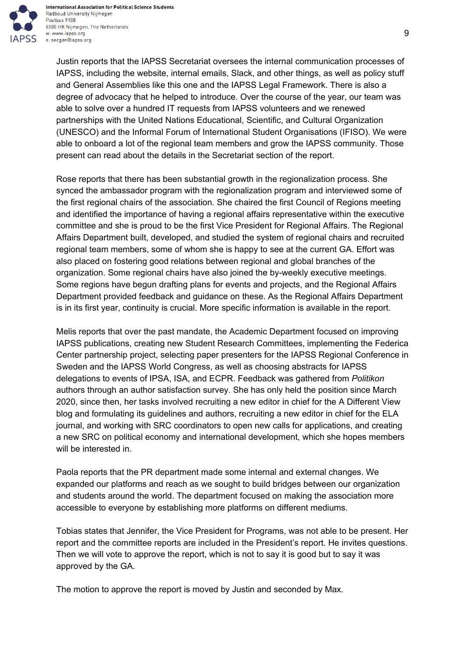

Justin reports that the IAPSS Secretariat oversees the internal communication processes of IAPSS, including the website, internal emails, Slack, and other things, as well as policy stuff and General Assemblies like this one and the IAPSS Legal Framework. There is also a degree of advocacy that he helped to introduce. Over the course of the year, our team was able to solve over a hundred IT requests from IAPSS volunteers and we renewed partnerships with the United Nations Educational, Scientific, and Cultural Organization (UNESCO) and the Informal Forum of International Student Organisations (IFISO). We were able to onboard a lot of the regional team members and grow the IAPSS community. Those present can read about the details in the Secretariat section of the report.

Rose reports that there has been substantial growth in the regionalization process. She synced the ambassador program with the regionalization program and interviewed some of the first regional chairs of the association. She chaired the first Council of Regions meeting and identified the importance of having a regional affairs representative within the executive committee and she is proud to be the first Vice President for Regional Affairs. The Regional Affairs Department built, developed, and studied the system of regional chairs and recruited regional team members, some of whom she is happy to see at the current GA. Effort was also placed on fostering good relations between regional and global branches of the organization. Some regional chairs have also joined the by-weekly executive meetings. Some regions have begun drafting plans for events and projects, and the Regional Affairs Department provided feedback and guidance on these. As the Regional Affairs Department is in its first year, continuity is crucial. More specific information is available in the report.

Melis reports that over the past mandate, the Academic Department focused on improving IAPSS publications, creating new Student Research Committees, implementing the Federica Center partnership project, selecting paper presenters for the IAPSS Regional Conference in Sweden and the IAPSS World Congress, as well as choosing abstracts for IAPSS delegations to events of IPSA, ISA, and ECPR. Feedback was gathered from *Politikon* authors through an author satisfaction survey. She has only held the position since March 2020, since then, her tasks involved recruiting a new editor in chief for the A Different View blog and formulating its guidelines and authors, recruiting a new editor in chief for the ELA journal, and working with SRC coordinators to open new calls for applications, and creating a new SRC on political economy and international development, which she hopes members will be interested in.

Paola reports that the PR department made some internal and external changes. We expanded our platforms and reach as we sought to build bridges between our organization and students around the world. The department focused on making the association more accessible to everyone by establishing more platforms on different mediums.

Tobias states that Jennifer, the Vice President for Programs, was not able to be present. Her report and the committee reports are included in the President's report. He invites questions. Then we will vote to approve the report, which is not to say it is good but to say it was approved by the GA.

The motion to approve the report is moved by Justin and seconded by Max.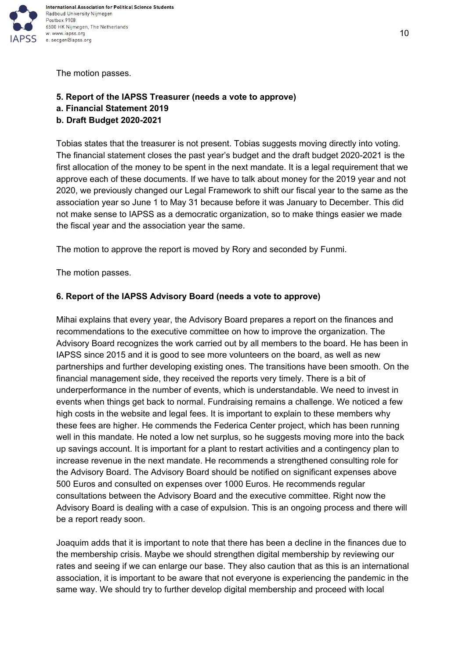

The motion passes.

#### <span id="page-9-0"></span>**5. Report of the IAPSS Treasurer (needs a vote to approve)**

- **a. Financial Statement 2019**
- **b. Draft Budget 2020-2021**

Tobias states that the treasurer is not present. Tobias suggests moving directly into voting. The financial statement closes the past year's budget and the draft budget 2020-2021 is the first allocation of the money to be spent in the next mandate. It is a legal requirement that we approve each of these documents. If we have to talk about money for the 2019 year and not 2020, we previously changed our Legal Framework to shift our fiscal year to the same as the association year so June 1 to May 31 because before it was January to December. This did not make sense to IAPSS as a democratic organization, so to make things easier we made the fiscal year and the association year the same.

The motion to approve the report is moved by Rory and seconded by Funmi.

The motion passes.

#### <span id="page-9-1"></span>**6. Report of the IAPSS Advisory Board (needs a vote to approve)**

Mihai explains that every year, the Advisory Board prepares a report on the finances and recommendations to the executive committee on how to improve the organization. The Advisory Board recognizes the work carried out by all members to the board. He has been in IAPSS since 2015 and it is good to see more volunteers on the board, as well as new partnerships and further developing existing ones. The transitions have been smooth. On the financial management side, they received the reports very timely. There is a bit of underperformance in the number of events, which is understandable. We need to invest in events when things get back to normal. Fundraising remains a challenge. We noticed a few high costs in the website and legal fees. It is important to explain to these members why these fees are higher. He commends the Federica Center project, which has been running well in this mandate. He noted a low net surplus, so he suggests moving more into the back up savings account. It is important for a plant to restart activities and a contingency plan to increase revenue in the next mandate. He recommends a strengthened consulting role for the Advisory Board. The Advisory Board should be notified on significant expenses above 500 Euros and consulted on expenses over 1000 Euros. He recommends regular consultations between the Advisory Board and the executive committee. Right now the Advisory Board is dealing with a case of expulsion. This is an ongoing process and there will be a report ready soon.

Joaquim adds that it is important to note that there has been a decline in the finances due to the membership crisis. Maybe we should strengthen digital membership by reviewing our rates and seeing if we can enlarge our base. They also caution that as this is an international association, it is important to be aware that not everyone is experiencing the pandemic in the same way. We should try to further develop digital membership and proceed with local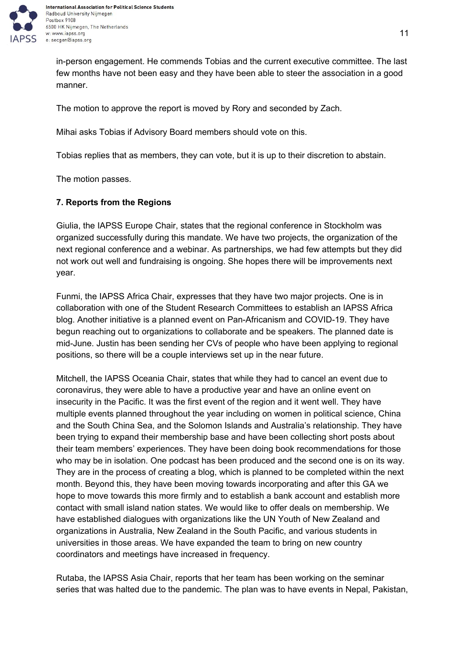

in-person engagement. He commends Tobias and the current executive committee. The last few months have not been easy and they have been able to steer the association in a good manner.

The motion to approve the report is moved by Rory and seconded by Zach.

Mihai asks Tobias if Advisory Board members should vote on this.

Tobias replies that as members, they can vote, but it is up to their discretion to abstain.

The motion passes.

#### <span id="page-10-0"></span>**7. Reports from the Regions**

Giulia, the IAPSS Europe Chair, states that the regional conference in Stockholm was organized successfully during this mandate. We have two projects, the organization of the next regional conference and a webinar. As partnerships, we had few attempts but they did not work out well and fundraising is ongoing. She hopes there will be improvements next year.

Funmi, the IAPSS Africa Chair, expresses that they have two major projects. One is in collaboration with one of the Student Research Committees to establish an IAPSS Africa blog. Another initiative is a planned event on Pan-Africanism and COVID-19. They have begun reaching out to organizations to collaborate and be speakers. The planned date is mid-June. Justin has been sending her CVs of people who have been applying to regional positions, so there will be a couple interviews set up in the near future.

Mitchell, the IAPSS Oceania Chair, states that while they had to cancel an event due to coronavirus, they were able to have a productive year and have an online event on insecurity in the Pacific. It was the first event of the region and it went well. They have multiple events planned throughout the year including on women in political science, China and the South China Sea, and the Solomon Islands and Australia's relationship. They have been trying to expand their membership base and have been collecting short posts about their team members' experiences. They have been doing book recommendations for those who may be in isolation. One podcast has been produced and the second one is on its way. They are in the process of creating a blog, which is planned to be completed within the next month. Beyond this, they have been moving towards incorporating and after this GA we hope to move towards this more firmly and to establish a bank account and establish more contact with small island nation states. We would like to offer deals on membership. We have established dialogues with organizations like the UN Youth of New Zealand and organizations in Australia, New Zealand in the South Pacific, and various students in universities in those areas. We have expanded the team to bring on new country coordinators and meetings have increased in frequency.

Rutaba, the IAPSS Asia Chair, reports that her team has been working on the seminar series that was halted due to the pandemic. The plan was to have events in Nepal, Pakistan,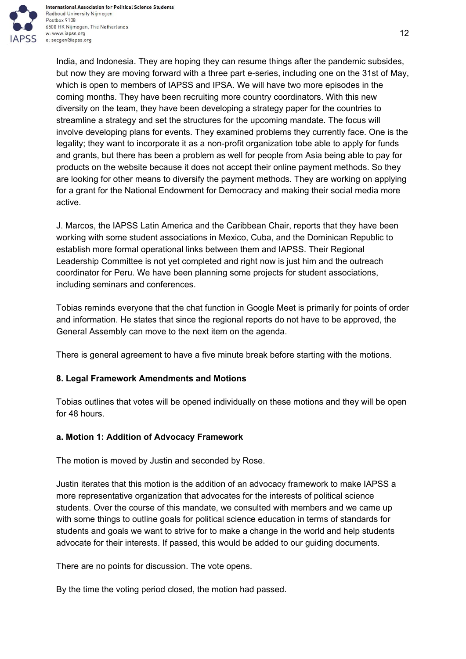

India, and Indonesia. They are hoping they can resume things after the pandemic subsides, but now they are moving forward with a three part e-series, including one on the 31st of May, which is open to members of IAPSS and IPSA. We will have two more episodes in the coming months. They have been recruiting more country coordinators. With this new diversity on the team, they have been developing a strategy paper for the countries to streamline a strategy and set the structures for the upcoming mandate. The focus will involve developing plans for events. They examined problems they currently face. One is the legality; they want to incorporate it as a non-profit organization tobe able to apply for funds and grants, but there has been a problem as well for people from Asia being able to pay for products on the website because it does not accept their online payment methods. So they are looking for other means to diversify the payment methods. They are working on applying for a grant for the National Endowment for Democracy and making their social media more active.

J. Marcos, the IAPSS Latin America and the Caribbean Chair, reports that they have been working with some student associations in Mexico, Cuba, and the Dominican Republic to establish more formal operational links between them and IAPSS. Their Regional Leadership Committee is not yet completed and right now is just him and the outreach coordinator for Peru. We have been planning some projects for student associations, including seminars and conferences.

Tobias reminds everyone that the chat function in Google Meet is primarily for points of order and information. He states that since the regional reports do not have to be approved, the General Assembly can move to the next item on the agenda.

There is general agreement to have a five minute break before starting with the motions.

# <span id="page-11-0"></span>**8. Legal Framework Amendments and Motions**

Tobias outlines that votes will be opened individually on these motions and they will be open for 48 hours.

# <span id="page-11-1"></span>**a. Motion 1: Addition of Advocacy Framework**

The motion is moved by Justin and seconded by Rose.

Justin iterates that this motion is the addition of an advocacy framework to make IAPSS a more representative organization that advocates for the interests of political science students. Over the course of this mandate, we consulted with members and we came up with some things to outline goals for political science education in terms of standards for students and goals we want to strive for to make a change in the world and help students advocate for their interests. If passed, this would be added to our guiding documents.

There are no points for discussion. The vote opens.

By the time the voting period closed, the motion had passed.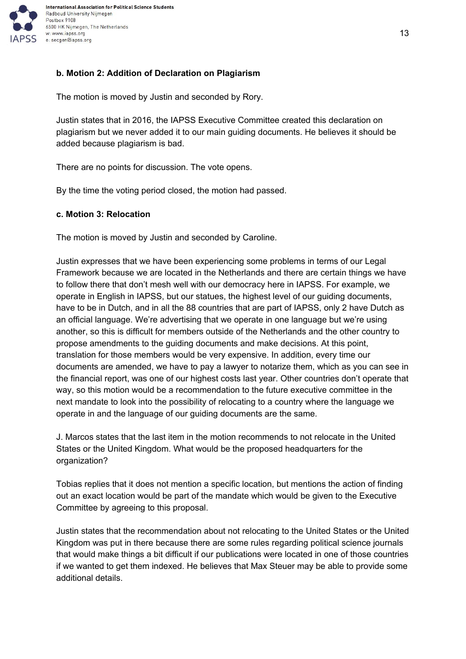

## <span id="page-12-0"></span>**b. Motion 2: Addition of Declaration on Plagiarism**

The motion is moved by Justin and seconded by Rory.

Justin states that in 2016, the IAPSS Executive Committee created this declaration on plagiarism but we never added it to our main guiding documents. He believes it should be added because plagiarism is bad.

There are no points for discussion. The vote opens.

By the time the voting period closed, the motion had passed.

#### <span id="page-12-1"></span>**c. Motion 3: Relocation**

The motion is moved by Justin and seconded by Caroline.

Justin expresses that we have been experiencing some problems in terms of our Legal Framework because we are located in the Netherlands and there are certain things we have to follow there that don't mesh well with our democracy here in IAPSS. For example, we operate in English in IAPSS, but our statues, the highest level of our guiding documents, have to be in Dutch, and in all the 88 countries that are part of IAPSS, only 2 have Dutch as an official language. We're advertising that we operate in one language but we're using another, so this is difficult for members outside of the Netherlands and the other country to propose amendments to the guiding documents and make decisions. At this point, translation for those members would be very expensive. In addition, every time our documents are amended, we have to pay a lawyer to notarize them, which as you can see in the financial report, was one of our highest costs last year. Other countries don't operate that way, so this motion would be a recommendation to the future executive committee in the next mandate to look into the possibility of relocating to a country where the language we operate in and the language of our guiding documents are the same.

J. Marcos states that the last item in the motion recommends to not relocate in the United States or the United Kingdom. What would be the proposed headquarters for the organization?

Tobias replies that it does not mention a specific location, but mentions the action of finding out an exact location would be part of the mandate which would be given to the Executive Committee by agreeing to this proposal.

Justin states that the recommendation about not relocating to the United States or the United Kingdom was put in there because there are some rules regarding political science journals that would make things a bit difficult if our publications were located in one of those countries if we wanted to get them indexed. He believes that Max Steuer may be able to provide some additional details.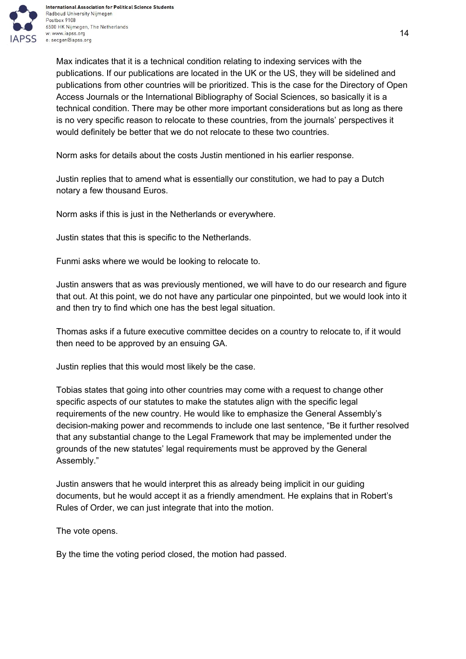

Max indicates that it is a technical condition relating to indexing services with the publications. If our publications are located in the UK or the US, they will be sidelined and publications from other countries will be prioritized. This is the case for the Directory of Open Access Journals or the International Bibliography of Social Sciences, so basically it is a technical condition. There may be other more important considerations but as long as there is no very specific reason to relocate to these countries, from the journals' perspectives it would definitely be better that we do not relocate to these two countries.

Norm asks for details about the costs Justin mentioned in his earlier response.

Justin replies that to amend what is essentially our constitution, we had to pay a Dutch notary a few thousand Euros.

Norm asks if this is just in the Netherlands or everywhere.

Justin states that this is specific to the Netherlands.

Funmi asks where we would be looking to relocate to.

Justin answers that as was previously mentioned, we will have to do our research and figure that out. At this point, we do not have any particular one pinpointed, but we would look into it and then try to find which one has the best legal situation.

Thomas asks if a future executive committee decides on a country to relocate to, if it would then need to be approved by an ensuing GA.

Justin replies that this would most likely be the case.

Tobias states that going into other countries may come with a request to change other specific aspects of our statutes to make the statutes align with the specific legal requirements of the new country. He would like to emphasize the General Assembly's decision-making power and recommends to include one last sentence, "Be it further resolved that any substantial change to the Legal Framework that may be implemented under the grounds of the new statutes' legal requirements must be approved by the General Assembly."

Justin answers that he would interpret this as already being implicit in our guiding documents, but he would accept it as a friendly amendment. He explains that in Robert's Rules of Order, we can just integrate that into the motion.

The vote opens.

By the time the voting period closed, the motion had passed.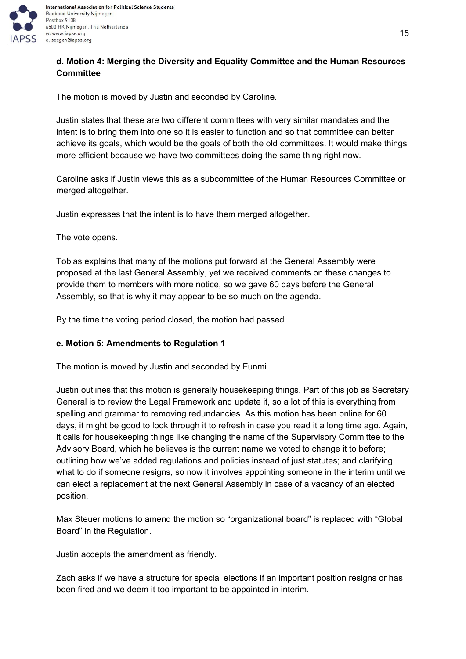

# <span id="page-14-0"></span>**d. Motion 4: Merging the Diversity and Equality Committee and the Human Resources Committee**

The motion is moved by Justin and seconded by Caroline.

Justin states that these are two different committees with very similar mandates and the intent is to bring them into one so it is easier to function and so that committee can better achieve its goals, which would be the goals of both the old committees. It would make things more efficient because we have two committees doing the same thing right now.

Caroline asks if Justin views this as a subcommittee of the Human Resources Committee or merged altogether.

Justin expresses that the intent is to have them merged altogether.

The vote opens.

Tobias explains that many of the motions put forward at the General Assembly were proposed at the last General Assembly, yet we received comments on these changes to provide them to members with more notice, so we gave 60 days before the General Assembly, so that is why it may appear to be so much on the agenda.

By the time the voting period closed, the motion had passed.

## <span id="page-14-1"></span>**e. Motion 5: Amendments to Regulation 1**

The motion is moved by Justin and seconded by Funmi.

Justin outlines that this motion is generally housekeeping things. Part of this job as Secretary General is to review the Legal Framework and update it, so a lot of this is everything from spelling and grammar to removing redundancies. As this motion has been online for 60 days, it might be good to look through it to refresh in case you read it a long time ago. Again, it calls for housekeeping things like changing the name of the Supervisory Committee to the Advisory Board, which he believes is the current name we voted to change it to before; outlining how we've added regulations and policies instead of just statutes; and clarifying what to do if someone resigns, so now it involves appointing someone in the interim until we can elect a replacement at the next General Assembly in case of a vacancy of an elected position.

Max Steuer motions to amend the motion so "organizational board" is replaced with "Global Board" in the Regulation.

Justin accepts the amendment as friendly.

Zach asks if we have a structure for special elections if an important position resigns or has been fired and we deem it too important to be appointed in interim.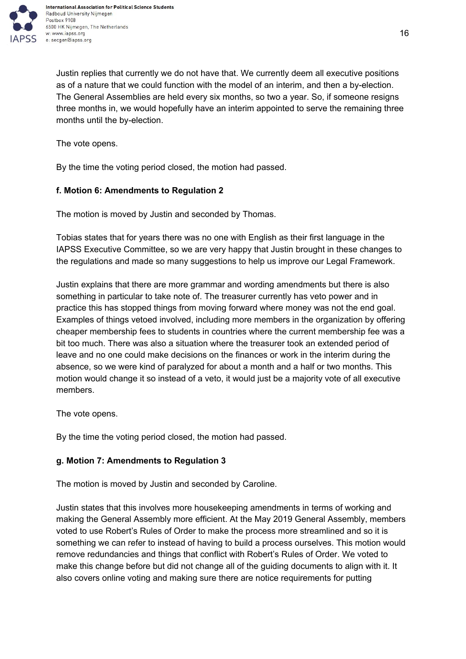

Justin replies that currently we do not have that. We currently deem all executive positions as of a nature that we could function with the model of an interim, and then a by-election. The General Assemblies are held every six months, so two a year. So, if someone resigns three months in, we would hopefully have an interim appointed to serve the remaining three months until the by-election.

The vote opens.

By the time the voting period closed, the motion had passed.

## <span id="page-15-0"></span>**f. Motion 6: Amendments to Regulation 2**

The motion is moved by Justin and seconded by Thomas.

Tobias states that for years there was no one with English as their first language in the IAPSS Executive Committee, so we are very happy that Justin brought in these changes to the regulations and made so many suggestions to help us improve our Legal Framework.

Justin explains that there are more grammar and wording amendments but there is also something in particular to take note of. The treasurer currently has veto power and in practice this has stopped things from moving forward where money was not the end goal. Examples of things vetoed involved, including more members in the organization by offering cheaper membership fees to students in countries where the current membership fee was a bit too much. There was also a situation where the treasurer took an extended period of leave and no one could make decisions on the finances or work in the interim during the absence, so we were kind of paralyzed for about a month and a half or two months. This motion would change it so instead of a veto, it would just be a majority vote of all executive members.

The vote opens.

By the time the voting period closed, the motion had passed.

#### <span id="page-15-1"></span>**g. Motion 7: Amendments to Regulation 3**

The motion is moved by Justin and seconded by Caroline.

Justin states that this involves more housekeeping amendments in terms of working and making the General Assembly more efficient. At the May 2019 General Assembly, members voted to use Robert's Rules of Order to make the process more streamlined and so it is something we can refer to instead of having to build a process ourselves. This motion would remove redundancies and things that conflict with Robert's Rules of Order. We voted to make this change before but did not change all of the guiding documents to align with it. It also covers online voting and making sure there are notice requirements for putting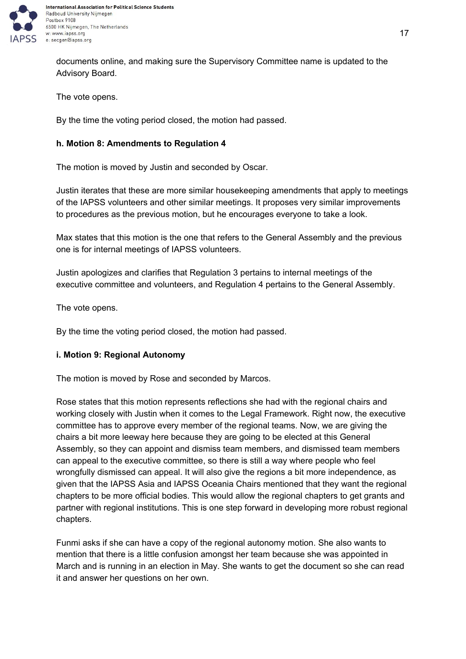

documents online, and making sure the Supervisory Committee name is updated to the Advisory Board.

The vote opens.

By the time the voting period closed, the motion had passed.

## <span id="page-16-0"></span>**h. Motion 8: Amendments to Regulation 4**

The motion is moved by Justin and seconded by Oscar.

Justin iterates that these are more similar housekeeping amendments that apply to meetings of the IAPSS volunteers and other similar meetings. It proposes very similar improvements to procedures as the previous motion, but he encourages everyone to take a look.

Max states that this motion is the one that refers to the General Assembly and the previous one is for internal meetings of IAPSS volunteers.

Justin apologizes and clarifies that Regulation 3 pertains to internal meetings of the executive committee and volunteers, and Regulation 4 pertains to the General Assembly.

The vote opens.

By the time the voting period closed, the motion had passed.

## <span id="page-16-1"></span>**i. Motion 9: Regional Autonomy**

The motion is moved by Rose and seconded by Marcos.

Rose states that this motion represents reflections she had with the regional chairs and working closely with Justin when it comes to the Legal Framework. Right now, the executive committee has to approve every member of the regional teams. Now, we are giving the chairs a bit more leeway here because they are going to be elected at this General Assembly, so they can appoint and dismiss team members, and dismissed team members can appeal to the executive committee, so there is still a way where people who feel wrongfully dismissed can appeal. It will also give the regions a bit more independence, as given that the IAPSS Asia and IAPSS Oceania Chairs mentioned that they want the regional chapters to be more official bodies. This would allow the regional chapters to get grants and partner with regional institutions. This is one step forward in developing more robust regional chapters.

Funmi asks if she can have a copy of the regional autonomy motion. She also wants to mention that there is a little confusion amongst her team because she was appointed in March and is running in an election in May. She wants to get the document so she can read it and answer her questions on her own.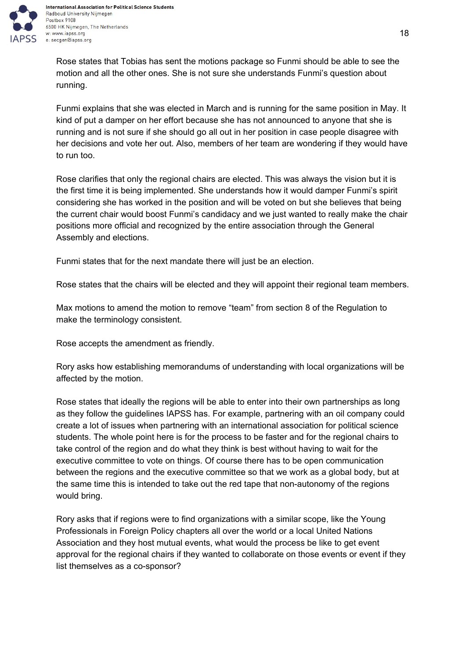

Rose states that Tobias has sent the motions package so Funmi should be able to see the motion and all the other ones. She is not sure she understands Funmi's question about running.

Funmi explains that she was elected in March and is running for the same position in May. It kind of put a damper on her effort because she has not announced to anyone that she is running and is not sure if she should go all out in her position in case people disagree with her decisions and vote her out. Also, members of her team are wondering if they would have to run too.

Rose clarifies that only the regional chairs are elected. This was always the vision but it is the first time it is being implemented. She understands how it would damper Funmi's spirit considering she has worked in the position and will be voted on but she believes that being the current chair would boost Funmi's candidacy and we just wanted to really make the chair positions more official and recognized by the entire association through the General Assembly and elections.

Funmi states that for the next mandate there will just be an election.

Rose states that the chairs will be elected and they will appoint their regional team members.

Max motions to amend the motion to remove "team" from section 8 of the Regulation to make the terminology consistent.

Rose accepts the amendment as friendly.

Rory asks how establishing memorandums of understanding with local organizations will be affected by the motion.

Rose states that ideally the regions will be able to enter into their own partnerships as long as they follow the guidelines IAPSS has. For example, partnering with an oil company could create a lot of issues when partnering with an international association for political science students. The whole point here is for the process to be faster and for the regional chairs to take control of the region and do what they think is best without having to wait for the executive committee to vote on things. Of course there has to be open communication between the regions and the executive committee so that we work as a global body, but at the same time this is intended to take out the red tape that non-autonomy of the regions would bring.

Rory asks that if regions were to find organizations with a similar scope, like the Young Professionals in Foreign Policy chapters all over the world or a local United Nations Association and they host mutual events, what would the process be like to get event approval for the regional chairs if they wanted to collaborate on those events or event if they list themselves as a co-sponsor?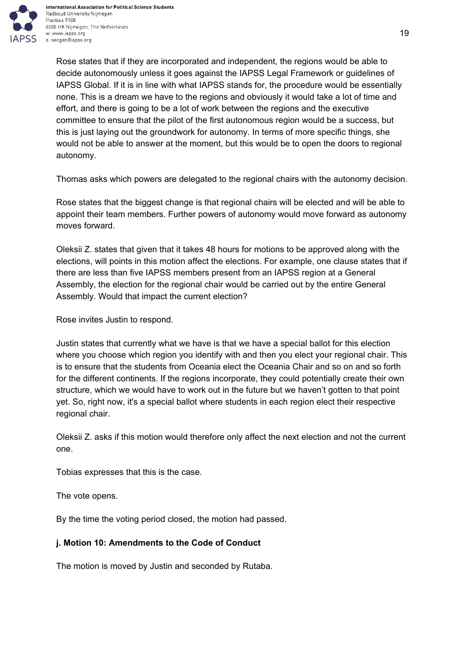

Rose states that if they are incorporated and independent, the regions would be able to decide autonomously unless it goes against the IAPSS Legal Framework or guidelines of IAPSS Global. If it is in line with what IAPSS stands for, the procedure would be essentially none. This is a dream we have to the regions and obviously it would take a lot of time and effort, and there is going to be a lot of work between the regions and the executive committee to ensure that the pilot of the first autonomous region would be a success, but this is just laying out the groundwork for autonomy. In terms of more specific things, she would not be able to answer at the moment, but this would be to open the doors to regional autonomy.

Thomas asks which powers are delegated to the regional chairs with the autonomy decision.

Rose states that the biggest change is that regional chairs will be elected and will be able to appoint their team members. Further powers of autonomy would move forward as autonomy moves forward.

Oleksii Z. states that given that it takes 48 hours for motions to be approved along with the elections, will points in this motion affect the elections. For example, one clause states that if there are less than five IAPSS members present from an IAPSS region at a General Assembly, the election for the regional chair would be carried out by the entire General Assembly. Would that impact the current election?

Rose invites Justin to respond.

Justin states that currently what we have is that we have a special ballot for this election where you choose which region you identify with and then you elect your regional chair. This is to ensure that the students from Oceania elect the Oceania Chair and so on and so forth for the different continents. If the regions incorporate, they could potentially create their own structure, which we would have to work out in the future but we haven't gotten to that point yet. So, right now, it's a special ballot where students in each region elect their respective regional chair.

Oleksii Z. asks if this motion would therefore only affect the next election and not the current one.

Tobias expresses that this is the case.

The vote opens.

By the time the voting period closed, the motion had passed.

# <span id="page-18-0"></span>**j. Motion 10: Amendments to the Code of Conduct**

The motion is moved by Justin and seconded by Rutaba.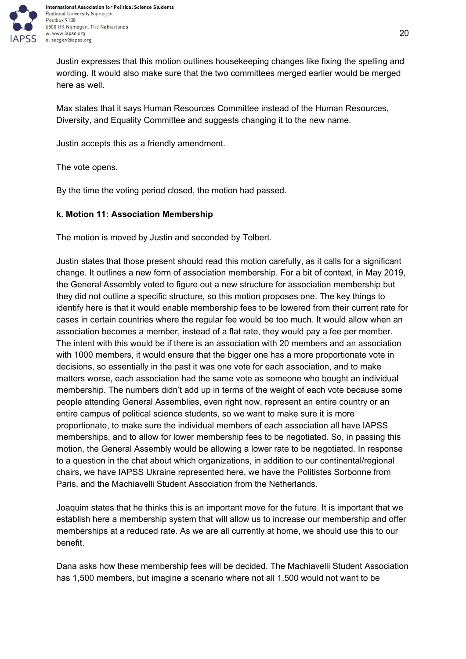

International Association for Political Science Students Radboud University Nijmegen 6500 HK Nijmegen, The Netherlands w: www.iapss.org

Justin expresses that this motion outlines housekeeping changes like fixing the spelling and wording. It would also make sure that the two committees merged earlier would be merged here as well.

Max states that it says Human Resources Committee instead of the Human Resources, Diversity, and Equality Committee and suggests changing it to the new name.

Justin accepts this as a friendly amendment.

The vote opens.

By the time the voting period closed, the motion had passed.

## <span id="page-19-0"></span>**k. Motion 11: Association Membership**

The motion is moved by Justin and seconded by Tolbert.

Justin states that those present should read this motion carefully, as it calls for a significant change. It outlines a new form of association membership. For a bit of context, in May 2019, the General Assembly voted to figure out a new structure for association membership but they did not outline a specific structure, so this motion proposes one. The key things to identify here is that it would enable membership fees to be lowered from their current rate for cases in certain countries where the regular fee would be too much. It would allow when an association becomes a member, instead of a flat rate, they would pay a fee per member. The intent with this would be if there is an association with 20 members and an association with 1000 members, it would ensure that the bigger one has a more proportionate vote in decisions, so essentially in the past it was one vote for each association, and to make matters worse, each association had the same vote as someone who bought an individual membership. The numbers didn't add up in terms of the weight of each vote because some people attending General Assemblies, even right now, represent an entire country or an entire campus of political science students, so we want to make sure it is more proportionate, to make sure the individual members of each association all have IAPSS memberships, and to allow for lower membership fees to be negotiated. So, in passing this motion, the General Assembly would be allowing a lower rate to be negotiated. In response to a question in the chat about which organizations, in addition to our continental/regional chairs, we have IAPSS Ukraine represented here, we have the Politistes Sorbonne from Paris, and the Machiavelli Student Association from the Netherlands.

Joaquim states that he thinks this is an important move for the future. It is important that we establish here a membership system that will allow us to increase our membership and offer memberships at a reduced rate. As we are all currently at home, we should use this to our benefit.

Dana asks how these membership fees will be decided. The Machiavelli Student Association has 1,500 members, but imagine a scenario where not all 1,500 would not want to be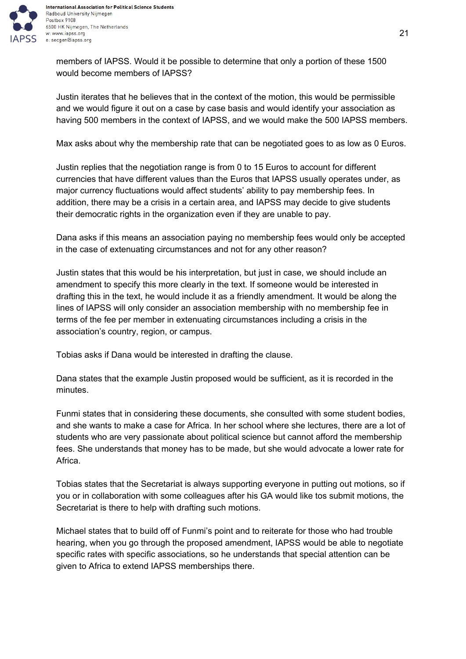

International Association for Political Science Students Radboud University Nijmegen 6500 HK Nijmegen, The Netherlands

members of IAPSS. Would it be possible to determine that only a portion of these 1500 would become members of IAPSS?

Justin iterates that he believes that in the context of the motion, this would be permissible and we would figure it out on a case by case basis and would identify your association as having 500 members in the context of IAPSS, and we would make the 500 IAPSS members.

Max asks about why the membership rate that can be negotiated goes to as low as 0 Euros.

Justin replies that the negotiation range is from 0 to 15 Euros to account for different currencies that have different values than the Euros that IAPSS usually operates under, as major currency fluctuations would affect students' ability to pay membership fees. In addition, there may be a crisis in a certain area, and IAPSS may decide to give students their democratic rights in the organization even if they are unable to pay.

Dana asks if this means an association paying no membership fees would only be accepted in the case of extenuating circumstances and not for any other reason?

Justin states that this would be his interpretation, but just in case, we should include an amendment to specify this more clearly in the text. If someone would be interested in drafting this in the text, he would include it as a friendly amendment. It would be along the lines of IAPSS will only consider an association membership with no membership fee in terms of the fee per member in extenuating circumstances including a crisis in the association's country, region, or campus.

Tobias asks if Dana would be interested in drafting the clause.

Dana states that the example Justin proposed would be sufficient, as it is recorded in the minutes.

Funmi states that in considering these documents, she consulted with some student bodies, and she wants to make a case for Africa. In her school where she lectures, there are a lot of students who are very passionate about political science but cannot afford the membership fees. She understands that money has to be made, but she would advocate a lower rate for Africa.

Tobias states that the Secretariat is always supporting everyone in putting out motions, so if you or in collaboration with some colleagues after his GA would like tos submit motions, the Secretariat is there to help with drafting such motions.

Michael states that to build off of Funmi's point and to reiterate for those who had trouble hearing, when you go through the proposed amendment, IAPSS would be able to negotiate specific rates with specific associations, so he understands that special attention can be given to Africa to extend IAPSS memberships there.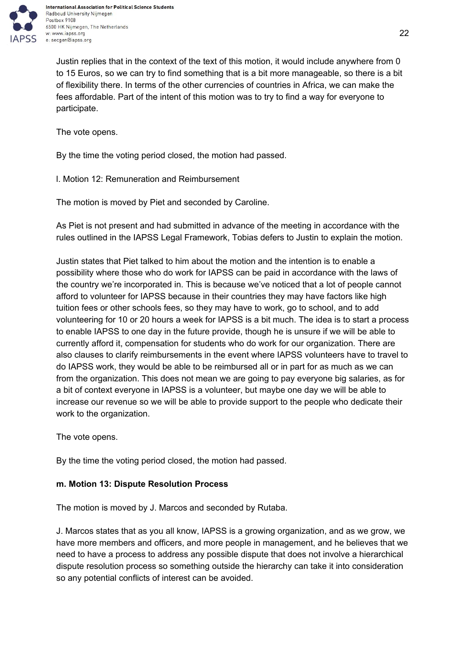

International Association for Political Science Students Radboud University Nijmegen 6500 HK Nijmegen, The Netherlands

Justin replies that in the context of the text of this motion, it would include anywhere from 0 to 15 Euros, so we can try to find something that is a bit more manageable, so there is a bit of flexibility there. In terms of the other currencies of countries in Africa, we can make the fees affordable. Part of the intent of this motion was to try to find a way for everyone to participate.

The vote opens.

By the time the voting period closed, the motion had passed.

l. Motion 12: Remuneration and Reimbursement

The motion is moved by Piet and seconded by Caroline.

As Piet is not present and had submitted in advance of the meeting in accordance with the rules outlined in the IAPSS Legal Framework, Tobias defers to Justin to explain the motion.

Justin states that Piet talked to him about the motion and the intention is to enable a possibility where those who do work for IAPSS can be paid in accordance with the laws of the country we're incorporated in. This is because we've noticed that a lot of people cannot afford to volunteer for IAPSS because in their countries they may have factors like high tuition fees or other schools fees, so they may have to work, go to school, and to add volunteering for 10 or 20 hours a week for IAPSS is a bit much. The idea is to start a process to enable IAPSS to one day in the future provide, though he is unsure if we will be able to currently afford it, compensation for students who do work for our organization. There are also clauses to clarify reimbursements in the event where IAPSS volunteers have to travel to do IAPSS work, they would be able to be reimbursed all or in part for as much as we can from the organization. This does not mean we are going to pay everyone big salaries, as for a bit of context everyone in IAPSS is a volunteer, but maybe one day we will be able to increase our revenue so we will be able to provide support to the people who dedicate their work to the organization.

The vote opens.

By the time the voting period closed, the motion had passed.

# <span id="page-21-0"></span>**m. Motion 13: Dispute Resolution Process**

The motion is moved by J. Marcos and seconded by Rutaba.

J. Marcos states that as you all know, IAPSS is a growing organization, and as we grow, we have more members and officers, and more people in management, and he believes that we need to have a process to address any possible dispute that does not involve a hierarchical dispute resolution process so something outside the hierarchy can take it into consideration so any potential conflicts of interest can be avoided.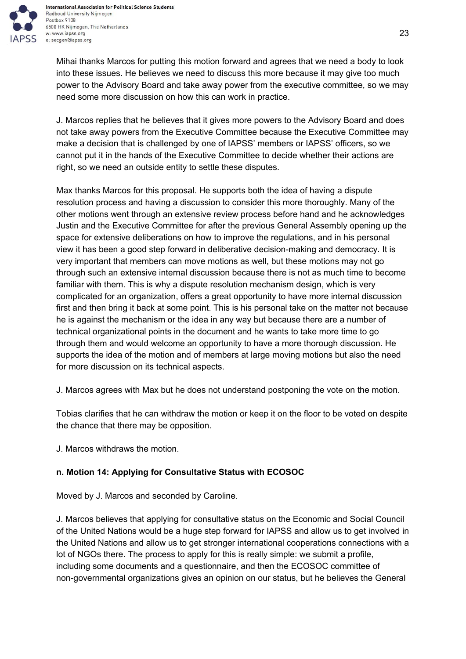

Mihai thanks Marcos for putting this motion forward and agrees that we need a body to look into these issues. He believes we need to discuss this more because it may give too much power to the Advisory Board and take away power from the executive committee, so we may need some more discussion on how this can work in practice.

J. Marcos replies that he believes that it gives more powers to the Advisory Board and does not take away powers from the Executive Committee because the Executive Committee may make a decision that is challenged by one of IAPSS' members or IAPSS' officers, so we cannot put it in the hands of the Executive Committee to decide whether their actions are right, so we need an outside entity to settle these disputes.

Max thanks Marcos for this proposal. He supports both the idea of having a dispute resolution process and having a discussion to consider this more thoroughly. Many of the other motions went through an extensive review process before hand and he acknowledges Justin and the Executive Committee for after the previous General Assembly opening up the space for extensive deliberations on how to improve the regulations, and in his personal view it has been a good step forward in deliberative decision-making and democracy. It is very important that members can move motions as well, but these motions may not go through such an extensive internal discussion because there is not as much time to become familiar with them. This is why a dispute resolution mechanism design, which is very complicated for an organization, offers a great opportunity to have more internal discussion first and then bring it back at some point. This is his personal take on the matter not because he is against the mechanism or the idea in any way but because there are a number of technical organizational points in the document and he wants to take more time to go through them and would welcome an opportunity to have a more thorough discussion. He supports the idea of the motion and of members at large moving motions but also the need for more discussion on its technical aspects.

J. Marcos agrees with Max but he does not understand postponing the vote on the motion.

Tobias clarifies that he can withdraw the motion or keep it on the floor to be voted on despite the chance that there may be opposition.

J. Marcos withdraws the motion.

# <span id="page-22-0"></span>**n. Motion 14: Applying for Consultative Status with ECOSOC**

Moved by J. Marcos and seconded by Caroline.

J. Marcos believes that applying for consultative status on the Economic and Social Council of the United Nations would be a huge step forward for IAPSS and allow us to get involved in the United Nations and allow us to get stronger international cooperations connections with a lot of NGOs there. The process to apply for this is really simple: we submit a profile, including some documents and a questionnaire, and then the ECOSOC committee of non-governmental organizations gives an opinion on our status, but he believes the General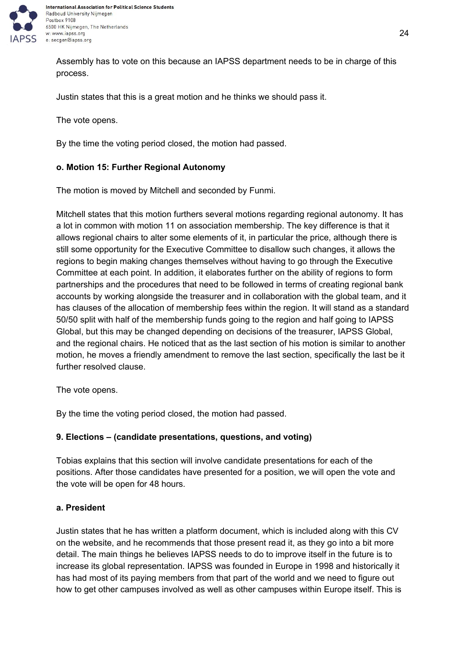

Assembly has to vote on this because an IAPSS department needs to be in charge of this process.

Justin states that this is a great motion and he thinks we should pass it.

The vote opens.

By the time the voting period closed, the motion had passed.

#### <span id="page-23-0"></span>**o. Motion 15: Further Regional Autonomy**

The motion is moved by Mitchell and seconded by Funmi.

Mitchell states that this motion furthers several motions regarding regional autonomy. It has a lot in common with motion 11 on association membership. The key difference is that it allows regional chairs to alter some elements of it, in particular the price, although there is still some opportunity for the Executive Committee to disallow such changes, it allows the regions to begin making changes themselves without having to go through the Executive Committee at each point. In addition, it elaborates further on the ability of regions to form partnerships and the procedures that need to be followed in terms of creating regional bank accounts by working alongside the treasurer and in collaboration with the global team, and it has clauses of the allocation of membership fees within the region. It will stand as a standard 50/50 split with half of the membership funds going to the region and half going to IAPSS Global, but this may be changed depending on decisions of the treasurer, IAPSS Global, and the regional chairs. He noticed that as the last section of his motion is similar to another motion, he moves a friendly amendment to remove the last section, specifically the last be it further resolved clause.

The vote opens.

By the time the voting period closed, the motion had passed.

## <span id="page-23-1"></span>**9. Elections – (candidate presentations, questions, and voting)**

Tobias explains that this section will involve candidate presentations for each of the positions. After those candidates have presented for a position, we will open the vote and the vote will be open for 48 hours.

#### <span id="page-23-2"></span>**a. President**

Justin states that he has written a platform document, which is included along with this CV on the website, and he recommends that those present read it, as they go into a bit more detail. The main things he believes IAPSS needs to do to improve itself in the future is to increase its global representation. IAPSS was founded in Europe in 1998 and historically it has had most of its paying members from that part of the world and we need to figure out how to get other campuses involved as well as other campuses within Europe itself. This is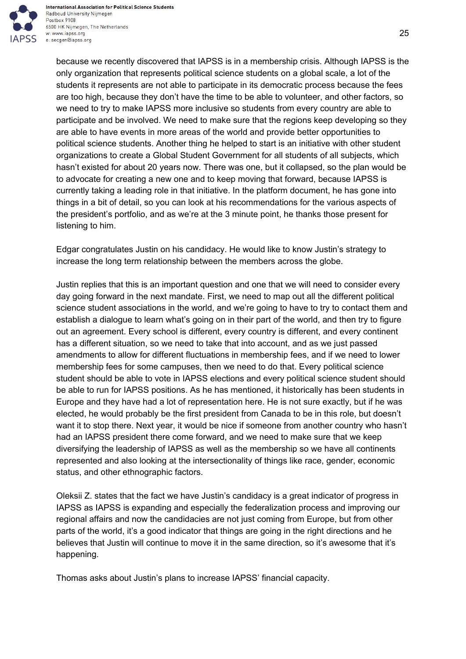

because we recently discovered that IAPSS is in a membership crisis. Although IAPSS is the only organization that represents political science students on a global scale, a lot of the students it represents are not able to participate in its democratic process because the fees are too high, because they don't have the time to be able to volunteer, and other factors, so we need to try to make IAPSS more inclusive so students from every country are able to participate and be involved. We need to make sure that the regions keep developing so they are able to have events in more areas of the world and provide better opportunities to political science students. Another thing he helped to start is an initiative with other student organizations to create a Global Student Government for all students of all subjects, which hasn't existed for about 20 years now. There was one, but it collapsed, so the plan would be to advocate for creating a new one and to keep moving that forward, because IAPSS is currently taking a leading role in that initiative. In the platform document, he has gone into things in a bit of detail, so you can look at his recommendations for the various aspects of the president's portfolio, and as we're at the 3 minute point, he thanks those present for listening to him.

Edgar congratulates Justin on his candidacy. He would like to know Justin's strategy to increase the long term relationship between the members across the globe.

Justin replies that this is an important question and one that we will need to consider every day going forward in the next mandate. First, we need to map out all the different political science student associations in the world, and we're going to have to try to contact them and establish a dialogue to learn what's going on in their part of the world, and then try to figure out an agreement. Every school is different, every country is different, and every continent has a different situation, so we need to take that into account, and as we just passed amendments to allow for different fluctuations in membership fees, and if we need to lower membership fees for some campuses, then we need to do that. Every political science student should be able to vote in IAPSS elections and every political science student should be able to run for IAPSS positions. As he has mentioned, it historically has been students in Europe and they have had a lot of representation here. He is not sure exactly, but if he was elected, he would probably be the first president from Canada to be in this role, but doesn't want it to stop there. Next year, it would be nice if someone from another country who hasn't had an IAPSS president there come forward, and we need to make sure that we keep diversifying the leadership of IAPSS as well as the membership so we have all continents represented and also looking at the intersectionality of things like race, gender, economic status, and other ethnographic factors.

Oleksii Z. states that the fact we have Justin's candidacy is a great indicator of progress in IAPSS as IAPSS is expanding and especially the federalization process and improving our regional affairs and now the candidacies are not just coming from Europe, but from other parts of the world, it's a good indicator that things are going in the right directions and he believes that Justin will continue to move it in the same direction, so it's awesome that it's happening.

Thomas asks about Justin's plans to increase IAPSS' financial capacity.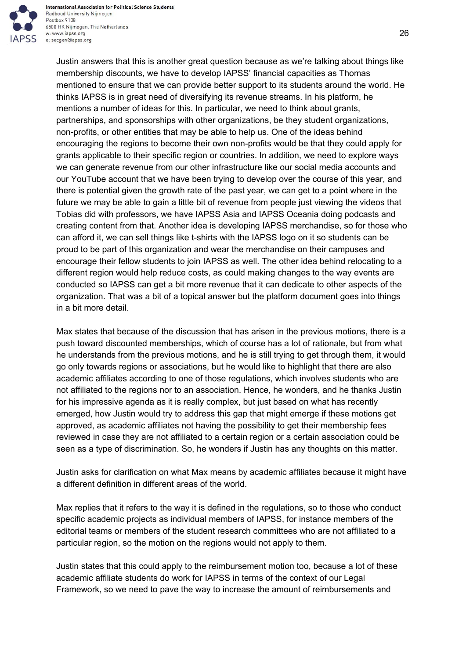

Justin answers that this is another great question because as we're talking about things like membership discounts, we have to develop IAPSS' financial capacities as Thomas mentioned to ensure that we can provide better support to its students around the world. He thinks IAPSS is in great need of diversifying its revenue streams. In his platform, he mentions a number of ideas for this. In particular, we need to think about grants, partnerships, and sponsorships with other organizations, be they student organizations, non-profits, or other entities that may be able to help us. One of the ideas behind encouraging the regions to become their own non-profits would be that they could apply for grants applicable to their specific region or countries. In addition, we need to explore ways we can generate revenue from our other infrastructure like our social media accounts and our YouTube account that we have been trying to develop over the course of this year, and there is potential given the growth rate of the past year, we can get to a point where in the future we may be able to gain a little bit of revenue from people just viewing the videos that Tobias did with professors, we have IAPSS Asia and IAPSS Oceania doing podcasts and creating content from that. Another idea is developing IAPSS merchandise, so for those who can afford it, we can sell things like t-shirts with the IAPSS logo on it so students can be proud to be part of this organization and wear the merchandise on their campuses and encourage their fellow students to join IAPSS as well. The other idea behind relocating to a different region would help reduce costs, as could making changes to the way events are conducted so IAPSS can get a bit more revenue that it can dedicate to other aspects of the organization. That was a bit of a topical answer but the platform document goes into things in a bit more detail.

Max states that because of the discussion that has arisen in the previous motions, there is a push toward discounted memberships, which of course has a lot of rationale, but from what he understands from the previous motions, and he is still trying to get through them, it would go only towards regions or associations, but he would like to highlight that there are also academic affiliates according to one of those regulations, which involves students who are not affiliated to the regions nor to an association. Hence, he wonders, and he thanks Justin for his impressive agenda as it is really complex, but just based on what has recently emerged, how Justin would try to address this gap that might emerge if these motions get approved, as academic affiliates not having the possibility to get their membership fees reviewed in case they are not affiliated to a certain region or a certain association could be seen as a type of discrimination. So, he wonders if Justin has any thoughts on this matter.

Justin asks for clarification on what Max means by academic affiliates because it might have a different definition in different areas of the world.

Max replies that it refers to the way it is defined in the regulations, so to those who conduct specific academic projects as individual members of IAPSS, for instance members of the editorial teams or members of the student research committees who are not affiliated to a particular region, so the motion on the regions would not apply to them.

Justin states that this could apply to the reimbursement motion too, because a lot of these academic affiliate students do work for IAPSS in terms of the context of our Legal Framework, so we need to pave the way to increase the amount of reimbursements and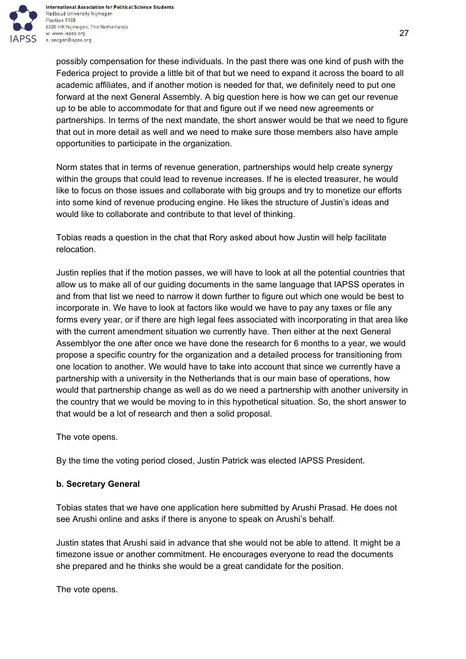

possibly compensation for these individuals. In the past there was one kind of push with the Federica project to provide a little bit of that but we need to expand it across the board to all academic affiliates, and if another motion is needed for that, we definitely need to put one forward at the next General Assembly. A big question here is how we can get our revenue up to be able to accommodate for that and figure out if we need new agreements or partnerships. In terms of the next mandate, the short answer would be that we need to figure that out in more detail as well and we need to make sure those members also have ample opportunities to participate in the organization.

Norm states that in terms of revenue generation, partnerships would help create synergy within the groups that could lead to revenue increases. If he is elected treasurer, he would like to focus on those issues and collaborate with big groups and try to monetize our efforts into some kind of revenue producing engine. He likes the structure of Justin's ideas and would like to collaborate and contribute to that level of thinking.

Tobias reads a question in the chat that Rory asked about how Justin will help facilitate relocation.

Justin replies that if the motion passes, we will have to look at all the potential countries that allow us to make all of our guiding documents in the same language that IAPSS operates in and from that list we need to narrow it down further to figure out which one would be best to incorporate in. We have to look at factors like would we have to pay any taxes or file any forms every year, or if there are high legal fees associated with incorporating in that area like with the current amendment situation we currently have. Then either at the next General Assemblyor the one after once we have done the research for 6 months to a year, we would propose a specific country for the organization and a detailed process for transitioning from one location to another. We would have to take into account that since we currently have a partnership with a university in the Netherlands that is our main base of operations, how would that partnership change as well as do we need a partnership with another university in the country that we would be moving to in this hypothetical situation. So, the short answer to that would be a lot of research and then a solid proposal.

The vote opens.

By the time the voting period closed, Justin Patrick was elected IAPSS President.

# <span id="page-26-0"></span>**b. Secretary General**

Tobias states that we have one application here submitted by Arushi Prasad. He does not see Arushi online and asks if there is anyone to speak on Arushi's behalf.

Justin states that Arushi said in advance that she would not be able to attend. It might be a timezone issue or another commitment. He encourages everyone to read the documents she prepared and he thinks she would be a great candidate for the position.

The vote opens.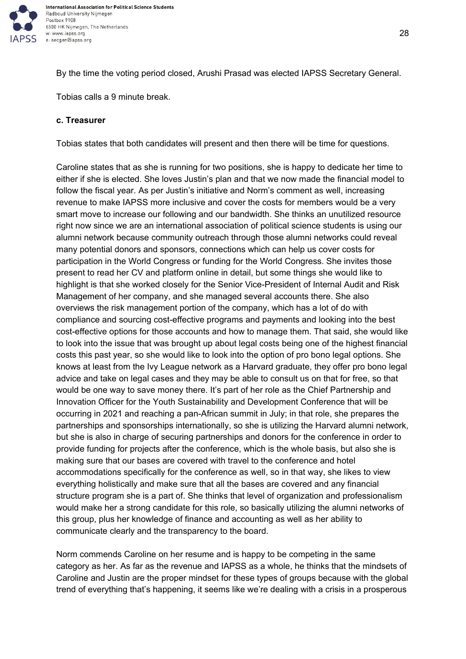

By the time the voting period closed, Arushi Prasad was elected IAPSS Secretary General.

Tobias calls a 9 minute break.

#### <span id="page-27-0"></span>**c. Treasurer**

Tobias states that both candidates will present and then there will be time for questions.

Caroline states that as she is running for two positions, she is happy to dedicate her time to either if she is elected. She loves Justin's plan and that we now made the financial model to follow the fiscal year. As per Justin's initiative and Norm's comment as well, increasing revenue to make IAPSS more inclusive and cover the costs for members would be a very smart move to increase our following and our bandwidth. She thinks an unutilized resource right now since we are an international association of political science students is using our alumni network because community outreach through those alumni networks could reveal many potential donors and sponsors, connections which can help us cover costs for participation in the World Congress or funding for the World Congress. She invites those present to read her CV and platform online in detail, but some things she would like to highlight is that she worked closely for the Senior Vice-President of Internal Audit and Risk Management of her company, and she managed several accounts there. She also overviews the risk management portion of the company, which has a lot of do with compliance and sourcing cost-effective programs and payments and looking into the best cost-effective options for those accounts and how to manage them. That said, she would like to look into the issue that was brought up about legal costs being one of the highest financial costs this past year, so she would like to look into the option of pro bono legal options. She knows at least from the Ivy League network as a Harvard graduate, they offer pro bono legal advice and take on legal cases and they may be able to consult us on that for free, so that would be one way to save money there. It's part of her role as the Chief Partnership and Innovation Officer for the Youth Sustainability and Development Conference that will be occurring in 2021 and reaching a pan-African summit in July; in that role, she prepares the partnerships and sponsorships internationally, so she is utilizing the Harvard alumni network, but she is also in charge of securing partnerships and donors for the conference in order to provide funding for projects after the conference, which is the whole basis, but also she is making sure that our bases are covered with travel to the conference and hotel accommodations specifically for the conference as well, so in that way, she likes to view everything holistically and make sure that all the bases are covered and any financial structure program she is a part of. She thinks that level of organization and professionalism would make her a strong candidate for this role, so basically utilizing the alumni networks of this group, plus her knowledge of finance and accounting as well as her ability to communicate clearly and the transparency to the board.

Norm commends Caroline on her resume and is happy to be competing in the same category as her. As far as the revenue and IAPSS as a whole, he thinks that the mindsets of Caroline and Justin are the proper mindset for these types of groups because with the global trend of everything that's happening, it seems like we're dealing with a crisis in a prosperous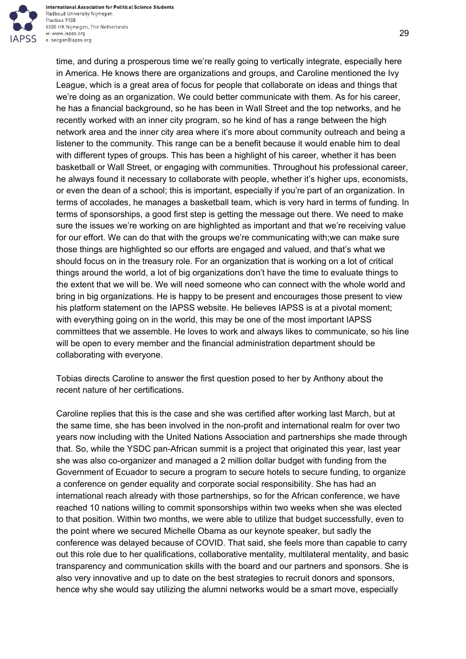

time, and during a prosperous time we're really going to vertically integrate, especially here in America. He knows there are organizations and groups, and Caroline mentioned the Ivy League, which is a great area of focus for people that collaborate on ideas and things that we're doing as an organization. We could better communicate with them. As for his career, he has a financial background, so he has been in Wall Street and the top networks, and he recently worked with an inner city program, so he kind of has a range between the high network area and the inner city area where it's more about community outreach and being a listener to the community. This range can be a benefit because it would enable him to deal with different types of groups. This has been a highlight of his career, whether it has been basketball or Wall Street, or engaging with communities. Throughout his professional career, he always found it necessary to collaborate with people, whether it's higher ups, economists, or even the dean of a school; this is important, especially if you're part of an organization. In terms of accolades, he manages a basketball team, which is very hard in terms of funding. In terms of sponsorships, a good first step is getting the message out there. We need to make sure the issues we're working on are highlighted as important and that we're receiving value for our effort. We can do that with the groups we're communicating with;we can make sure those things are highlighted so our efforts are engaged and valued, and that's what we should focus on in the treasury role. For an organization that is working on a lot of critical things around the world, a lot of big organizations don't have the time to evaluate things to the extent that we will be. We will need someone who can connect with the whole world and bring in big organizations. He is happy to be present and encourages those present to view his platform statement on the IAPSS website. He believes IAPSS is at a pivotal moment; with everything going on in the world, this may be one of the most important IAPSS committees that we assemble. He loves to work and always likes to communicate, so his line will be open to every member and the financial administration department should be collaborating with everyone.

Tobias directs Caroline to answer the first question posed to her by Anthony about the recent nature of her certifications.

Caroline replies that this is the case and she was certified after working last March, but at the same time, she has been involved in the non-profit and international realm for over two years now including with the United Nations Association and partnerships she made through that. So, while the YSDC pan-African summit is a project that originated this year, last year she was also co-organizer and managed a 2 million dollar budget with funding from the Government of Ecuador to secure a program to secure hotels to secure funding, to organize a conference on gender equality and corporate social responsibility. She has had an international reach already with those partnerships, so for the African conference, we have reached 10 nations willing to commit sponsorships within two weeks when she was elected to that position. Within two months, we were able to utilize that budget successfully, even to the point where we secured Michelle Obama as our keynote speaker, but sadly the conference was delayed because of COVID. That said, she feels more than capable to carry out this role due to her qualifications, collaborative mentality, multilateral mentality, and basic transparency and communication skills with the board and our partners and sponsors. She is also very innovative and up to date on the best strategies to recruit donors and sponsors, hence why she would say utilizing the alumni networks would be a smart move, especially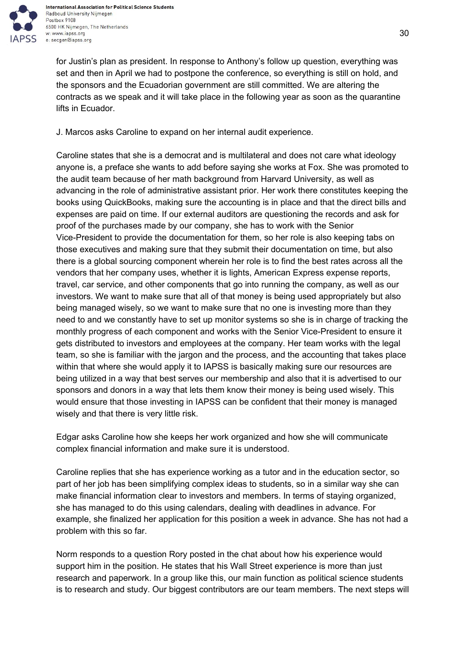

for Justin's plan as president. In response to Anthony's follow up question, everything was set and then in April we had to postpone the conference, so everything is still on hold, and the sponsors and the Ecuadorian government are still committed. We are altering the contracts as we speak and it will take place in the following year as soon as the quarantine lifts in Ecuador.

J. Marcos asks Caroline to expand on her internal audit experience.

Caroline states that she is a democrat and is multilateral and does not care what ideology anyone is, a preface she wants to add before saying she works at Fox. She was promoted to the audit team because of her math background from Harvard University, as well as advancing in the role of administrative assistant prior. Her work there constitutes keeping the books using QuickBooks, making sure the accounting is in place and that the direct bills and expenses are paid on time. If our external auditors are questioning the records and ask for proof of the purchases made by our company, she has to work with the Senior Vice-President to provide the documentation for them, so her role is also keeping tabs on those executives and making sure that they submit their documentation on time, but also there is a global sourcing component wherein her role is to find the best rates across all the vendors that her company uses, whether it is lights, American Express expense reports, travel, car service, and other components that go into running the company, as well as our investors. We want to make sure that all of that money is being used appropriately but also being managed wisely, so we want to make sure that no one is investing more than they need to and we constantly have to set up monitor systems so she is in charge of tracking the monthly progress of each component and works with the Senior Vice-President to ensure it gets distributed to investors and employees at the company. Her team works with the legal team, so she is familiar with the jargon and the process, and the accounting that takes place within that where she would apply it to IAPSS is basically making sure our resources are being utilized in a way that best serves our membership and also that it is advertised to our sponsors and donors in a way that lets them know their money is being used wisely. This would ensure that those investing in IAPSS can be confident that their money is managed wisely and that there is very little risk.

Edgar asks Caroline how she keeps her work organized and how she will communicate complex financial information and make sure it is understood.

Caroline replies that she has experience working as a tutor and in the education sector, so part of her job has been simplifying complex ideas to students, so in a similar way she can make financial information clear to investors and members. In terms of staying organized, she has managed to do this using calendars, dealing with deadlines in advance. For example, she finalized her application for this position a week in advance. She has not had a problem with this so far.

Norm responds to a question Rory posted in the chat about how his experience would support him in the position. He states that his Wall Street experience is more than just research and paperwork. In a group like this, our main function as political science students is to research and study. Our biggest contributors are our team members. The next steps will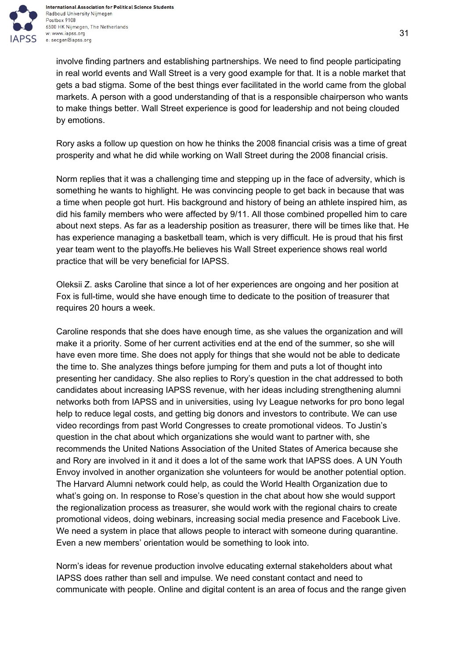

involve finding partners and establishing partnerships. We need to find people participating in real world events and Wall Street is a very good example for that. It is a noble market that gets a bad stigma. Some of the best things ever facilitated in the world came from the global markets. A person with a good understanding of that is a responsible chairperson who wants to make things better. Wall Street experience is good for leadership and not being clouded by emotions.

Rory asks a follow up question on how he thinks the 2008 financial crisis was a time of great prosperity and what he did while working on Wall Street during the 2008 financial crisis.

Norm replies that it was a challenging time and stepping up in the face of adversity, which is something he wants to highlight. He was convincing people to get back in because that was a time when people got hurt. His background and history of being an athlete inspired him, as did his family members who were affected by 9/11. All those combined propelled him to care about next steps. As far as a leadership position as treasurer, there will be times like that. He has experience managing a basketball team, which is very difficult. He is proud that his first year team went to the playoffs.He believes his Wall Street experience shows real world practice that will be very beneficial for IAPSS.

Oleksii Z. asks Caroline that since a lot of her experiences are ongoing and her position at Fox is full-time, would she have enough time to dedicate to the position of treasurer that requires 20 hours a week.

Caroline responds that she does have enough time, as she values the organization and will make it a priority. Some of her current activities end at the end of the summer, so she will have even more time. She does not apply for things that she would not be able to dedicate the time to. She analyzes things before jumping for them and puts a lot of thought into presenting her candidacy. She also replies to Rory's question in the chat addressed to both candidates about increasing IAPSS revenue, with her ideas including strengthening alumni networks both from IAPSS and in universities, using Ivy League networks for pro bono legal help to reduce legal costs, and getting big donors and investors to contribute. We can use video recordings from past World Congresses to create promotional videos. To Justin's question in the chat about which organizations she would want to partner with, she recommends the United Nations Association of the United States of America because she and Rory are involved in it and it does a lot of the same work that IAPSS does. A UN Youth Envoy involved in another organization she volunteers for would be another potential option. The Harvard Alumni network could help, as could the World Health Organization due to what's going on. In response to Rose's question in the chat about how she would support the regionalization process as treasurer, she would work with the regional chairs to create promotional videos, doing webinars, increasing social media presence and Facebook Live. We need a system in place that allows people to interact with someone during quarantine. Even a new members' orientation would be something to look into.

Norm's ideas for revenue production involve educating external stakeholders about what IAPSS does rather than sell and impulse. We need constant contact and need to communicate with people. Online and digital content is an area of focus and the range given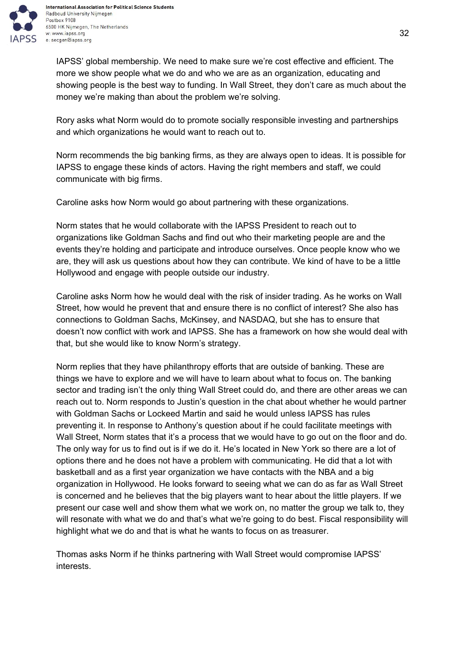

IAPSS' global membership. We need to make sure we're cost effective and efficient. The more we show people what we do and who we are as an organization, educating and showing people is the best way to funding. In Wall Street, they don't care as much about the money we're making than about the problem we're solving.

Rory asks what Norm would do to promote socially responsible investing and partnerships and which organizations he would want to reach out to.

Norm recommends the big banking firms, as they are always open to ideas. It is possible for IAPSS to engage these kinds of actors. Having the right members and staff, we could communicate with big firms.

Caroline asks how Norm would go about partnering with these organizations.

Norm states that he would collaborate with the IAPSS President to reach out to organizations like Goldman Sachs and find out who their marketing people are and the events they're holding and participate and introduce ourselves. Once people know who we are, they will ask us questions about how they can contribute. We kind of have to be a little Hollywood and engage with people outside our industry.

Caroline asks Norm how he would deal with the risk of insider trading. As he works on Wall Street, how would he prevent that and ensure there is no conflict of interest? She also has connections to Goldman Sachs, McKinsey, and NASDAQ, but she has to ensure that doesn't now conflict with work and IAPSS. She has a framework on how she would deal with that, but she would like to know Norm's strategy.

Norm replies that they have philanthropy efforts that are outside of banking. These are things we have to explore and we will have to learn about what to focus on. The banking sector and trading isn't the only thing Wall Street could do, and there are other areas we can reach out to. Norm responds to Justin's question in the chat about whether he would partner with Goldman Sachs or Lockeed Martin and said he would unless IAPSS has rules preventing it. In response to Anthony's question about if he could facilitate meetings with Wall Street, Norm states that it's a process that we would have to go out on the floor and do. The only way for us to find out is if we do it. He's located in New York so there are a lot of options there and he does not have a problem with communicating. He did that a lot with basketball and as a first year organization we have contacts with the NBA and a big organization in Hollywood. He looks forward to seeing what we can do as far as Wall Street is concerned and he believes that the big players want to hear about the little players. If we present our case well and show them what we work on, no matter the group we talk to, they will resonate with what we do and that's what we're going to do best. Fiscal responsibility will highlight what we do and that is what he wants to focus on as treasurer.

Thomas asks Norm if he thinks partnering with Wall Street would compromise IAPSS' interests.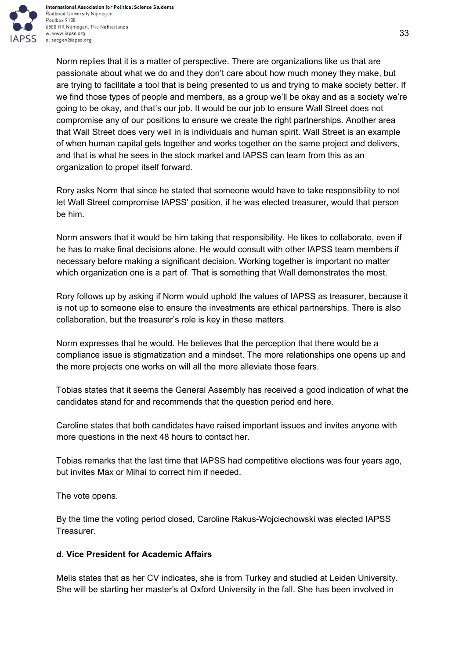

Norm replies that it is a matter of perspective. There are organizations like us that are passionate about what we do and they don't care about how much money they make, but are trying to facilitate a tool that is being presented to us and trying to make society better. If we find those types of people and members, as a group we'll be okay and as a society we're going to be okay, and that's our job. It would be our job to ensure Wall Street does not compromise any of our positions to ensure we create the right partnerships. Another area that Wall Street does very well in is individuals and human spirit. Wall Street is an example of when human capital gets together and works together on the same project and delivers, and that is what he sees in the stock market and IAPSS can learn from this as an organization to propel itself forward.

Rory asks Norm that since he stated that someone would have to take responsibility to not let Wall Street compromise IAPSS' position, if he was elected treasurer, would that person be him.

Norm answers that it would be him taking that responsibility. He likes to collaborate, even if he has to make final decisions alone. He would consult with other IAPSS team members if necessary before making a significant decision. Working together is important no matter which organization one is a part of. That is something that Wall demonstrates the most.

Rory follows up by asking if Norm would uphold the values of IAPSS as treasurer, because it is not up to someone else to ensure the investments are ethical partnerships. There is also collaboration, but the treasurer's role is key in these matters.

Norm expresses that he would. He believes that the perception that there would be a compliance issue is stigmatization and a mindset. The more relationships one opens up and the more projects one works on will all the more alleviate those fears.

Tobias states that it seems the General Assembly has received a good indication of what the candidates stand for and recommends that the question period end here.

Caroline states that both candidates have raised important issues and invites anyone with more questions in the next 48 hours to contact her.

Tobias remarks that the last time that IAPSS had competitive elections was four years ago, but invites Max or Mihai to correct him if needed.

The vote opens.

By the time the voting period closed, Caroline Rakus-Wojciechowski was elected IAPSS Treasurer.

# <span id="page-32-0"></span>**d. Vice President for Academic Affairs**

Melis states that as her CV indicates, she is from Turkey and studied at Leiden University. She will be starting her master's at Oxford University in the fall. She has been involved in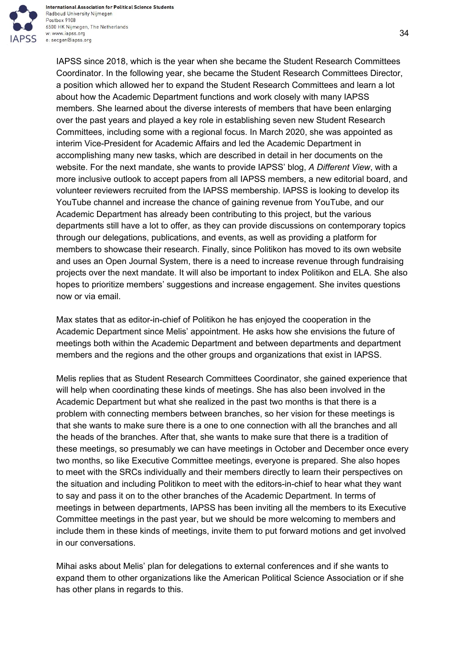

IAPSS since 2018, which is the year when she became the Student Research Committees Coordinator. In the following year, she became the Student Research Committees Director, a position which allowed her to expand the Student Research Committees and learn a lot about how the Academic Department functions and work closely with many IAPSS members. She learned about the diverse interests of members that have been enlarging over the past years and played a key role in establishing seven new Student Research Committees, including some with a regional focus. In March 2020, she was appointed as interim Vice-President for Academic Affairs and led the Academic Department in accomplishing many new tasks, which are described in detail in her documents on the website. For the next mandate, she wants to provide IAPSS' blog, *A Different View*, with a more inclusive outlook to accept papers from all IAPSS members, a new editorial board, and volunteer reviewers recruited from the IAPSS membership. IAPSS is looking to develop its YouTube channel and increase the chance of gaining revenue from YouTube, and our Academic Department has already been contributing to this project, but the various departments still have a lot to offer, as they can provide discussions on contemporary topics through our delegations, publications, and events, as well as providing a platform for members to showcase their research. Finally, since Politikon has moved to its own website and uses an Open Journal System, there is a need to increase revenue through fundraising projects over the next mandate. It will also be important to index Politikon and ELA. She also hopes to prioritize members' suggestions and increase engagement. She invites questions now or via email.

Max states that as editor-in-chief of Politikon he has enjoyed the cooperation in the Academic Department since Melis' appointment. He asks how she envisions the future of meetings both within the Academic Department and between departments and department members and the regions and the other groups and organizations that exist in IAPSS.

Melis replies that as Student Research Committees Coordinator, she gained experience that will help when coordinating these kinds of meetings. She has also been involved in the Academic Department but what she realized in the past two months is that there is a problem with connecting members between branches, so her vision for these meetings is that she wants to make sure there is a one to one connection with all the branches and all the heads of the branches. After that, she wants to make sure that there is a tradition of these meetings, so presumably we can have meetings in October and December once every two months, so like Executive Committee meetings, everyone is prepared. She also hopes to meet with the SRCs individually and their members directly to learn their perspectives on the situation and including Politikon to meet with the editors-in-chief to hear what they want to say and pass it on to the other branches of the Academic Department. In terms of meetings in between departments, IAPSS has been inviting all the members to its Executive Committee meetings in the past year, but we should be more welcoming to members and include them in these kinds of meetings, invite them to put forward motions and get involved in our conversations.

Mihai asks about Melis' plan for delegations to external conferences and if she wants to expand them to other organizations like the American Political Science Association or if she has other plans in regards to this.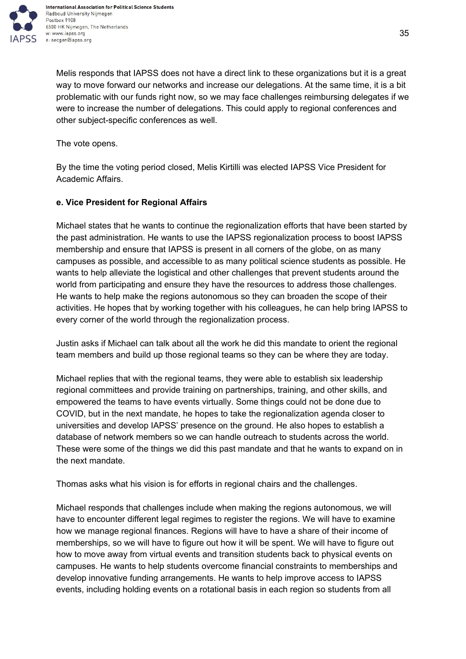

Melis responds that IAPSS does not have a direct link to these organizations but it is a great way to move forward our networks and increase our delegations. At the same time, it is a bit problematic with our funds right now, so we may face challenges reimbursing delegates if we were to increase the number of delegations. This could apply to regional conferences and other subject-specific conferences as well.

The vote opens.

By the time the voting period closed, Melis Kirtilli was elected IAPSS Vice President for Academic Affairs.

## <span id="page-34-0"></span>**e. Vice President for Regional Affairs**

Michael states that he wants to continue the regionalization efforts that have been started by the past administration. He wants to use the IAPSS regionalization process to boost IAPSS membership and ensure that IAPSS is present in all corners of the globe, on as many campuses as possible, and accessible to as many political science students as possible. He wants to help alleviate the logistical and other challenges that prevent students around the world from participating and ensure they have the resources to address those challenges. He wants to help make the regions autonomous so they can broaden the scope of their activities. He hopes that by working together with his colleagues, he can help bring IAPSS to every corner of the world through the regionalization process.

Justin asks if Michael can talk about all the work he did this mandate to orient the regional team members and build up those regional teams so they can be where they are today.

Michael replies that with the regional teams, they were able to establish six leadership regional committees and provide training on partnerships, training, and other skills, and empowered the teams to have events virtually. Some things could not be done due to COVID, but in the next mandate, he hopes to take the regionalization agenda closer to universities and develop IAPSS' presence on the ground. He also hopes to establish a database of network members so we can handle outreach to students across the world. These were some of the things we did this past mandate and that he wants to expand on in the next mandate.

Thomas asks what his vision is for efforts in regional chairs and the challenges.

Michael responds that challenges include when making the regions autonomous, we will have to encounter different legal regimes to register the regions. We will have to examine how we manage regional finances. Regions will have to have a share of their income of memberships, so we will have to figure out how it will be spent. We will have to figure out how to move away from virtual events and transition students back to physical events on campuses. He wants to help students overcome financial constraints to memberships and develop innovative funding arrangements. He wants to help improve access to IAPSS events, including holding events on a rotational basis in each region so students from all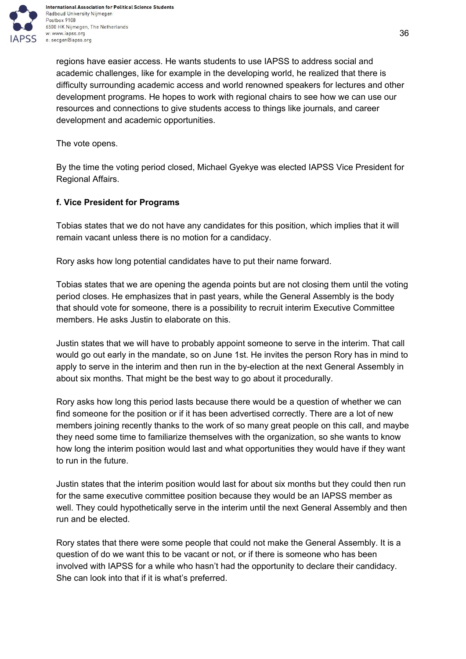

regions have easier access. He wants students to use IAPSS to address social and academic challenges, like for example in the developing world, he realized that there is difficulty surrounding academic access and world renowned speakers for lectures and other development programs. He hopes to work with regional chairs to see how we can use our resources and connections to give students access to things like journals, and career development and academic opportunities.

The vote opens.

By the time the voting period closed, Michael Gyekye was elected IAPSS Vice President for Regional Affairs.

## <span id="page-35-0"></span>**f. Vice President for Programs**

Tobias states that we do not have any candidates for this position, which implies that it will remain vacant unless there is no motion for a candidacy.

Rory asks how long potential candidates have to put their name forward.

Tobias states that we are opening the agenda points but are not closing them until the voting period closes. He emphasizes that in past years, while the General Assembly is the body that should vote for someone, there is a possibility to recruit interim Executive Committee members. He asks Justin to elaborate on this.

Justin states that we will have to probably appoint someone to serve in the interim. That call would go out early in the mandate, so on June 1st. He invites the person Rory has in mind to apply to serve in the interim and then run in the by-election at the next General Assembly in about six months. That might be the best way to go about it procedurally.

Rory asks how long this period lasts because there would be a question of whether we can find someone for the position or if it has been advertised correctly. There are a lot of new members joining recently thanks to the work of so many great people on this call, and maybe they need some time to familiarize themselves with the organization, so she wants to know how long the interim position would last and what opportunities they would have if they want to run in the future.

Justin states that the interim position would last for about six months but they could then run for the same executive committee position because they would be an IAPSS member as well. They could hypothetically serve in the interim until the next General Assembly and then run and be elected.

Rory states that there were some people that could not make the General Assembly. It is a question of do we want this to be vacant or not, or if there is someone who has been involved with IAPSS for a while who hasn't had the opportunity to declare their candidacy. She can look into that if it is what's preferred.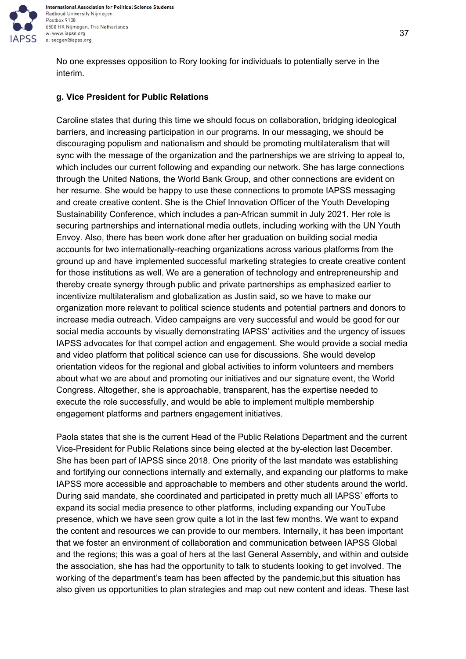

No one expresses opposition to Rory looking for individuals to potentially serve in the interim.

#### **g. Vice President for Public Relations**

Caroline states that during this time we should focus on collaboration, bridging ideological barriers, and increasing participation in our programs. In our messaging, we should be discouraging populism and nationalism and should be promoting multilateralism that will sync with the message of the organization and the partnerships we are striving to appeal to, which includes our current following and expanding our network. She has large connections through the United Nations, the World Bank Group, and other connections are evident on her resume. She would be happy to use these connections to promote IAPSS messaging and create creative content. She is the Chief Innovation Officer of the Youth Developing Sustainability Conference, which includes a pan-African summit in July 2021. Her role is securing partnerships and international media outlets, including working with the UN Youth Envoy. Also, there has been work done after her graduation on building social media accounts for two internationally-reaching organizations across various platforms from the ground up and have implemented successful marketing strategies to create creative content for those institutions as well. We are a generation of technology and entrepreneurship and thereby create synergy through public and private partnerships as emphasized earlier to incentivize multilateralism and globalization as Justin said, so we have to make our organization more relevant to political science students and potential partners and donors to increase media outreach. Video campaigns are very successful and would be good for our social media accounts by visually demonstrating IAPSS' activities and the urgency of issues IAPSS advocates for that compel action and engagement. She would provide a social media and video platform that political science can use for discussions. She would develop orientation videos for the regional and global activities to inform volunteers and members about what we are about and promoting our initiatives and our signature event, the World Congress. Altogether, she is approachable, transparent, has the expertise needed to execute the role successfully, and would be able to implement multiple membership engagement platforms and partners engagement initiatives.

Paola states that she is the current Head of the Public Relations Department and the current Vice-President for Public Relations since being elected at the by-election last December. She has been part of IAPSS since 2018. One priority of the last mandate was establishing and fortifying our connections internally and externally, and expanding our platforms to make IAPSS more accessible and approachable to members and other students around the world. During said mandate, she coordinated and participated in pretty much all IAPSS' efforts to expand its social media presence to other platforms, including expanding our YouTube presence, which we have seen grow quite a lot in the last few months. We want to expand the content and resources we can provide to our members. Internally, it has been important that we foster an environment of collaboration and communication between IAPSS Global and the regions; this was a goal of hers at the last General Assembly, and within and outside the association, she has had the opportunity to talk to students looking to get involved. The working of the department's team has been affected by the pandemic,but this situation has also given us opportunities to plan strategies and map out new content and ideas. These last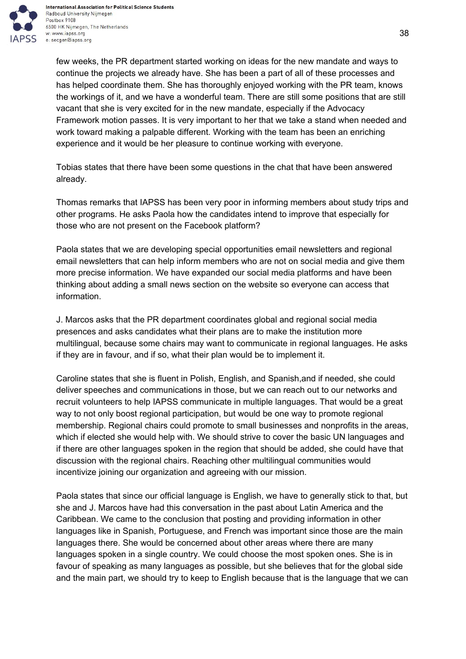

few weeks, the PR department started working on ideas for the new mandate and ways to continue the projects we already have. She has been a part of all of these processes and has helped coordinate them. She has thoroughly enjoyed working with the PR team, knows the workings of it, and we have a wonderful team. There are still some positions that are still vacant that she is very excited for in the new mandate, especially if the Advocacy Framework motion passes. It is very important to her that we take a stand when needed and work toward making a palpable different. Working with the team has been an enriching experience and it would be her pleasure to continue working with everyone.

Tobias states that there have been some questions in the chat that have been answered already.

Thomas remarks that IAPSS has been very poor in informing members about study trips and other programs. He asks Paola how the candidates intend to improve that especially for those who are not present on the Facebook platform?

Paola states that we are developing special opportunities email newsletters and regional email newsletters that can help inform members who are not on social media and give them more precise information. We have expanded our social media platforms and have been thinking about adding a small news section on the website so everyone can access that information.

J. Marcos asks that the PR department coordinates global and regional social media presences and asks candidates what their plans are to make the institution more multilingual, because some chairs may want to communicate in regional languages. He asks if they are in favour, and if so, what their plan would be to implement it.

Caroline states that she is fluent in Polish, English, and Spanish,and if needed, she could deliver speeches and communications in those, but we can reach out to our networks and recruit volunteers to help IAPSS communicate in multiple languages. That would be a great way to not only boost regional participation, but would be one way to promote regional membership. Regional chairs could promote to small businesses and nonprofits in the areas, which if elected she would help with. We should strive to cover the basic UN languages and if there are other languages spoken in the region that should be added, she could have that discussion with the regional chairs. Reaching other multilingual communities would incentivize joining our organization and agreeing with our mission.

Paola states that since our official language is English, we have to generally stick to that, but she and J. Marcos have had this conversation in the past about Latin America and the Caribbean. We came to the conclusion that posting and providing information in other languages like in Spanish, Portuguese, and French was important since those are the main languages there. She would be concerned about other areas where there are many languages spoken in a single country. We could choose the most spoken ones. She is in favour of speaking as many languages as possible, but she believes that for the global side and the main part, we should try to keep to English because that is the language that we can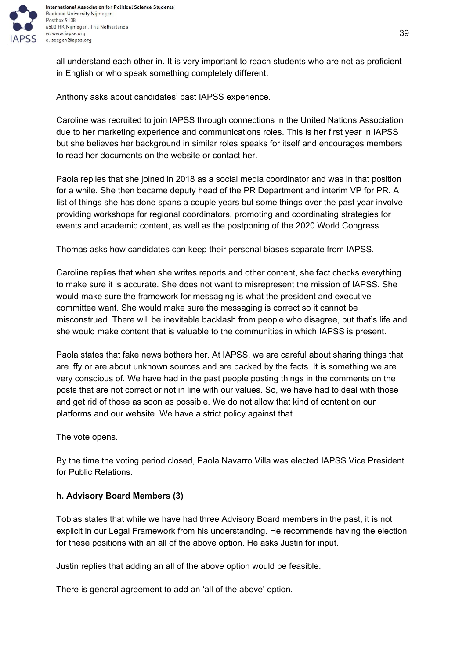

all understand each other in. It is very important to reach students who are not as proficient in English or who speak something completely different.

Anthony asks about candidates' past IAPSS experience.

Caroline was recruited to join IAPSS through connections in the United Nations Association due to her marketing experience and communications roles. This is her first year in IAPSS but she believes her background in similar roles speaks for itself and encourages members to read her documents on the website or contact her.

Paola replies that she joined in 2018 as a social media coordinator and was in that position for a while. She then became deputy head of the PR Department and interim VP for PR. A list of things she has done spans a couple years but some things over the past year involve providing workshops for regional coordinators, promoting and coordinating strategies for events and academic content, as well as the postponing of the 2020 World Congress.

Thomas asks how candidates can keep their personal biases separate from IAPSS.

Caroline replies that when she writes reports and other content, she fact checks everything to make sure it is accurate. She does not want to misrepresent the mission of IAPSS. She would make sure the framework for messaging is what the president and executive committee want. She would make sure the messaging is correct so it cannot be misconstrued. There will be inevitable backlash from people who disagree, but that's life and she would make content that is valuable to the communities in which IAPSS is present.

Paola states that fake news bothers her. At IAPSS, we are careful about sharing things that are iffy or are about unknown sources and are backed by the facts. It is something we are very conscious of. We have had in the past people posting things in the comments on the posts that are not correct or not in line with our values. So, we have had to deal with those and get rid of those as soon as possible. We do not allow that kind of content on our platforms and our website. We have a strict policy against that.

The vote opens.

By the time the voting period closed, Paola Navarro Villa was elected IAPSS Vice President for Public Relations.

# **h. Advisory Board Members (3)**

Tobias states that while we have had three Advisory Board members in the past, it is not explicit in our Legal Framework from his understanding. He recommends having the election for these positions with an all of the above option. He asks Justin for input.

Justin replies that adding an all of the above option would be feasible.

There is general agreement to add an 'all of the above' option.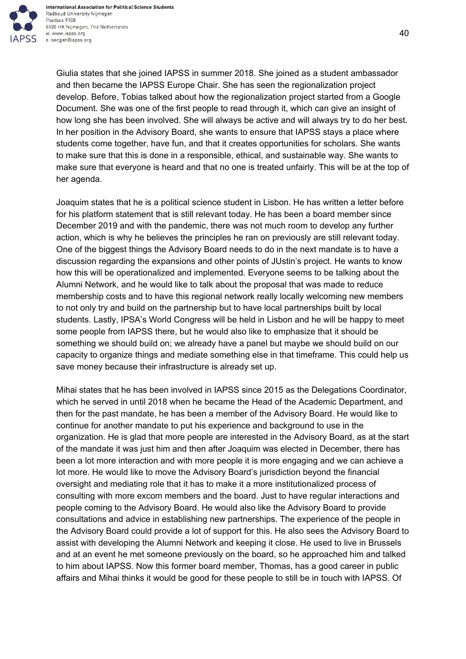

International Association for Political Science Students Radboud University Nijmegen Postbox 9108 6500 HK Nijmegen, The Netherlands w: www.iapss.org e: secgen@iapss.org

Giulia states that she joined IAPSS in summer 2018. She joined as a student ambassador and then became the IAPSS Europe Chair. She has seen the regionalization project develop. Before, Tobias talked about how the regionalization project started from a Google Document. She was one of the first people to read through it, which can give an insight of how long she has been involved. She will always be active and will always try to do her best. In her position in the Advisory Board, she wants to ensure that IAPSS stays a place where students come together, have fun, and that it creates opportunities for scholars. She wants to make sure that this is done in a responsible, ethical, and sustainable way. She wants to make sure that everyone is heard and that no one is treated unfairly. This will be at the top of her agenda.

Joaquim states that he is a political science student in Lisbon. He has written a letter before for his platform statement that is still relevant today. He has been a board member since December 2019 and with the pandemic, there was not much room to develop any further action, which is why he believes the principles he ran on previously are still relevant today. One of the biggest things the Advisory Board needs to do in the next mandate is to have a discussion regarding the expansions and other points of JUstin's project. He wants to know how this will be operationalized and implemented. Everyone seems to be talking about the Alumni Network, and he would like to talk about the proposal that was made to reduce membership costs and to have this regional network really locally welcoming new members to not only try and build on the partnership but to have local partnerships built by local students. Lastly, IPSA's World Congress will be held in Lisbon and he will be happy to meet some people from IAPSS there, but he would also like to emphasize that it should be something we should build on; we already have a panel but maybe we should build on our capacity to organize things and mediate something else in that timeframe. This could help us save money because their infrastructure is already set up.

Mihai states that he has been involved in IAPSS since 2015 as the Delegations Coordinator, which he served in until 2018 when he became the Head of the Academic Department, and then for the past mandate, he has been a member of the Advisory Board. He would like to continue for another mandate to put his experience and background to use in the organization. He is glad that more people are interested in the Advisory Board, as at the start of the mandate it was just him and then after Joaquim was elected in December, there has been a lot more interaction and with more people it is more engaging and we can achieve a lot more. He would like to move the Advisory Board's jurisdiction beyond the financial oversight and mediating role that it has to make it a more institutionalized process of consulting with more excom members and the board. Just to have regular interactions and people coming to the Advisory Board. He would also like the Advisory Board to provide consultations and advice in establishing new partnerships. The experience of the people in the Advisory Board could provide a lot of support for this. He also sees the Advisory Board to assist with developing the Alumni Network and keeping it close. He used to live in Brussels and at an event he met someone previously on the board, so he approached him and talked to him about IAPSS. Now this former board member, Thomas, has a good career in public affairs and Mihai thinks it would be good for these people to still be in touch with IAPSS. Of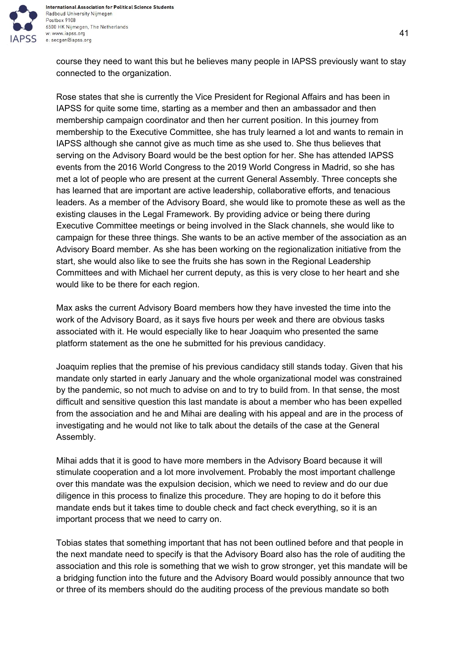

International Association for Political Science Students Radboud University Nijmegen Postbox 9108 6500 HK Nijmegen, The Netherlands w: www.iapss.org e: secgen@iapss.org

course they need to want this but he believes many people in IAPSS previously want to stay connected to the organization.

Rose states that she is currently the Vice President for Regional Affairs and has been in IAPSS for quite some time, starting as a member and then an ambassador and then membership campaign coordinator and then her current position. In this journey from membership to the Executive Committee, she has truly learned a lot and wants to remain in IAPSS although she cannot give as much time as she used to. She thus believes that serving on the Advisory Board would be the best option for her. She has attended IAPSS events from the 2016 World Congress to the 2019 World Congress in Madrid, so she has met a lot of people who are present at the current General Assembly. Three concepts she has learned that are important are active leadership, collaborative efforts, and tenacious leaders. As a member of the Advisory Board, she would like to promote these as well as the existing clauses in the Legal Framework. By providing advice or being there during Executive Committee meetings or being involved in the Slack channels, she would like to campaign for these three things. She wants to be an active member of the association as an Advisory Board member. As she has been working on the regionalization initiative from the start, she would also like to see the fruits she has sown in the Regional Leadership Committees and with Michael her current deputy, as this is very close to her heart and she would like to be there for each region.

Max asks the current Advisory Board members how they have invested the time into the work of the Advisory Board, as it says five hours per week and there are obvious tasks associated with it. He would especially like to hear Joaquim who presented the same platform statement as the one he submitted for his previous candidacy.

Joaquim replies that the premise of his previous candidacy still stands today. Given that his mandate only started in early January and the whole organizational model was constrained by the pandemic, so not much to advise on and to try to build from. In that sense, the most difficult and sensitive question this last mandate is about a member who has been expelled from the association and he and Mihai are dealing with his appeal and are in the process of investigating and he would not like to talk about the details of the case at the General Assembly.

Mihai adds that it is good to have more members in the Advisory Board because it will stimulate cooperation and a lot more involvement. Probably the most important challenge over this mandate was the expulsion decision, which we need to review and do our due diligence in this process to finalize this procedure. They are hoping to do it before this mandate ends but it takes time to double check and fact check everything, so it is an important process that we need to carry on.

Tobias states that something important that has not been outlined before and that people in the next mandate need to specify is that the Advisory Board also has the role of auditing the association and this role is something that we wish to grow stronger, yet this mandate will be a bridging function into the future and the Advisory Board would possibly announce that two or three of its members should do the auditing process of the previous mandate so both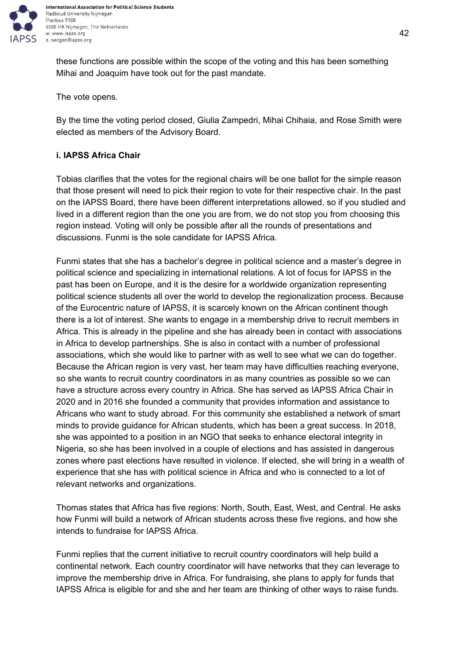

these functions are possible within the scope of the voting and this has been something Mihai and Joaquim have took out for the past mandate.

The vote opens.

By the time the voting period closed, Giulia Zampedri, Mihai Chihaia, and Rose Smith were elected as members of the Advisory Board.

## **i. IAPSS Africa Chair**

Tobias clarifies that the votes for the regional chairs will be one ballot for the simple reason that those present will need to pick their region to vote for their respective chair. In the past on the IAPSS Board, there have been different interpretations allowed, so if you studied and lived in a different region than the one you are from, we do not stop you from choosing this region instead. Voting will only be possible after all the rounds of presentations and discussions. Funmi is the sole candidate for IAPSS Africa.

Funmi states that she has a bachelor's degree in political science and a master's degree in political science and specializing in international relations. A lot of focus for IAPSS in the past has been on Europe, and it is the desire for a worldwide organization representing political science students all over the world to develop the regionalization process. Because of the Eurocentric nature of IAPSS, it is scarcely known on the African continent though there is a lot of interest. She wants to engage in a membership drive to recruit members in Africa. This is already in the pipeline and she has already been in contact with associations in Africa to develop partnerships. She is also in contact with a number of professional associations, which she would like to partner with as well to see what we can do together. Because the African region is very vast, her team may have difficulties reaching everyone, so she wants to recruit country coordinators in as many countries as possible so we can have a structure across every country in Africa. She has served as IAPSS Africa Chair in 2020 and in 2016 she founded a community that provides information and assistance to Africans who want to study abroad. For this community she established a network of smart minds to provide guidance for African students, which has been a great success. In 2018, she was appointed to a position in an NGO that seeks to enhance electoral integrity in Nigeria, so she has been involved in a couple of elections and has assisted in dangerous zones where past elections have resulted in violence. If elected, she will bring in a wealth of experience that she has with political science in Africa and who is connected to a lot of relevant networks and organizations.

Thomas states that Africa has five regions: North, South, East, West, and Central. He asks how Funmi will build a network of African students across these five regions, and how she intends to fundraise for IAPSS Africa.

Funmi replies that the current initiative to recruit country coordinators will help build a continental network. Each country coordinator will have networks that they can leverage to improve the membership drive in Africa. For fundraising, she plans to apply for funds that IAPSS Africa is eligible for and she and her team are thinking of other ways to raise funds.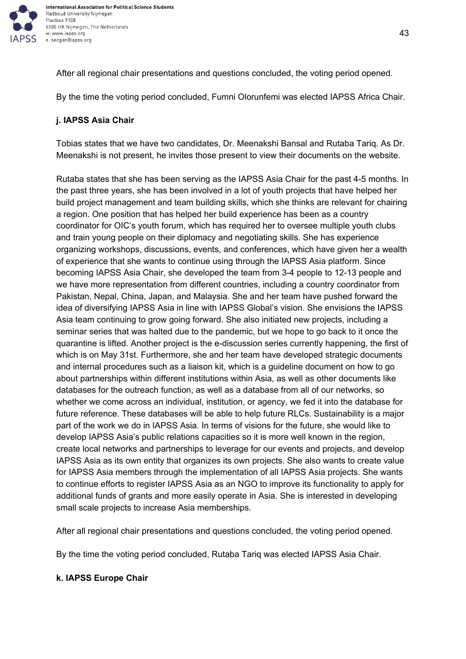

After all regional chair presentations and questions concluded, the voting period opened.

By the time the voting period concluded, Fumni Olorunfemi was elected IAPSS Africa Chair.

# **j. IAPSS Asia Chair**

Tobias states that we have two candidates, Dr. Meenakshi Bansal and Rutaba Tariq. As Dr. Meenakshi is not present, he invites those present to view their documents on the website.

Rutaba states that she has been serving as the IAPSS Asia Chair for the past 4-5 months. In the past three years, she has been involved in a lot of youth projects that have helped her build project management and team building skills, which she thinks are relevant for chairing a region. One position that has helped her build experience has been as a country coordinator for OIC's youth forum, which has required her to oversee multiple youth clubs and train young people on their diplomacy and negotiating skills. She has experience organizing workshops, discussions, events, and conferences, which have given her a wealth of experience that she wants to continue using through the IAPSS Asia platform. Since becoming IAPSS Asia Chair, she developed the team from 3-4 people to 12-13 people and we have more representation from different countries, including a country coordinator from Pakistan, Nepal, China, Japan, and Malaysia. She and her team have pushed forward the idea of diversifying IAPSS Asia in line with IAPSS Global's vision. She envisions the IAPSS Asia team continuing to grow going forward. She also initiated new projects, including a seminar series that was halted due to the pandemic, but we hope to go back to it once the quarantine is lifted. Another project is the e-discussion series currently happening, the first of which is on May 31st. Furthermore, she and her team have developed strategic documents and internal procedures such as a liaison kit, which is a guideline document on how to go about partnerships within different institutions within Asia, as well as other documents like databases for the outreach function, as well as a database from all of our networks, so whether we come across an individual, institution, or agency, we fed it into the database for future reference. These databases will be able to help future RLCs. Sustainability is a major part of the work we do in IAPSS Asia. In terms of visions for the future, she would like to develop IAPSS Asia's public relations capacities so it is more well known in the region, create local networks and partnerships to leverage for our events and projects, and develop IAPSS Asia as its own entity that organizes its own projects. She also wants to create value for IAPSS Asia members through the implementation of all IAPSS Asia projects. She wants to continue efforts to register IAPSS Asia as an NGO to improve its functionality to apply for additional funds of grants and more easily operate in Asia. She is interested in developing small scale projects to increase Asia memberships.

After all regional chair presentations and questions concluded, the voting period opened.

By the time the voting period concluded, Rutaba Tariq was elected IAPSS Asia Chair.

## **k. IAPSS Europe Chair**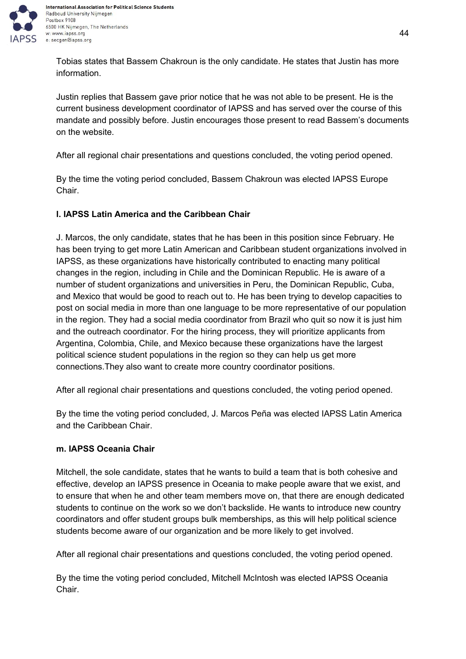

International Association for Political Science Students Radboud University Nijmegen 6500 HK Nijmegen, The Netherlands

Tobias states that Bassem Chakroun is the only candidate. He states that Justin has more information.

Justin replies that Bassem gave prior notice that he was not able to be present. He is the current business development coordinator of IAPSS and has served over the course of this mandate and possibly before. Justin encourages those present to read Bassem's documents on the website.

After all regional chair presentations and questions concluded, the voting period opened.

By the time the voting period concluded, Bassem Chakroun was elected IAPSS Europe Chair.

# **l. IAPSS Latin America and the Caribbean Chair**

J. Marcos, the only candidate, states that he has been in this position since February. He has been trying to get more Latin American and Caribbean student organizations involved in IAPSS, as these organizations have historically contributed to enacting many political changes in the region, including in Chile and the Dominican Republic. He is aware of a number of student organizations and universities in Peru, the Dominican Republic, Cuba, and Mexico that would be good to reach out to. He has been trying to develop capacities to post on social media in more than one language to be more representative of our population in the region. They had a social media coordinator from Brazil who quit so now it is just him and the outreach coordinator. For the hiring process, they will prioritize applicants from Argentina, Colombia, Chile, and Mexico because these organizations have the largest political science student populations in the region so they can help us get more connections.They also want to create more country coordinator positions.

After all regional chair presentations and questions concluded, the voting period opened.

By the time the voting period concluded, J. Marcos Peña was elected IAPSS Latin America and the Caribbean Chair.

# **m. IAPSS Oceania Chair**

Mitchell, the sole candidate, states that he wants to build a team that is both cohesive and effective, develop an IAPSS presence in Oceania to make people aware that we exist, and to ensure that when he and other team members move on, that there are enough dedicated students to continue on the work so we don't backslide. He wants to introduce new country coordinators and offer student groups bulk memberships, as this will help political science students become aware of our organization and be more likely to get involved.

After all regional chair presentations and questions concluded, the voting period opened.

By the time the voting period concluded, Mitchell McIntosh was elected IAPSS Oceania Chair.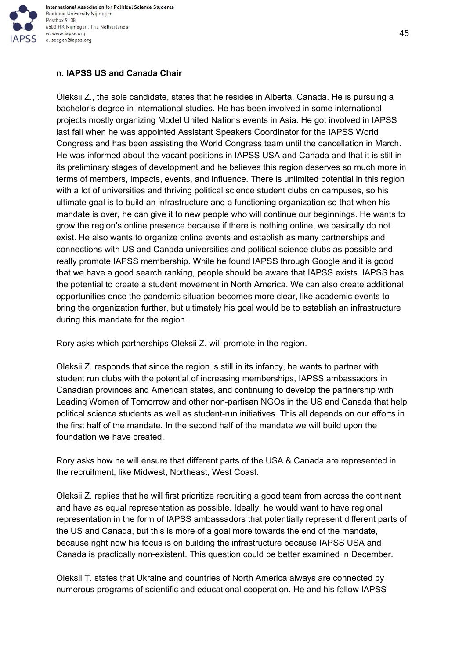

## **n. IAPSS US and Canada Chair**

Oleksii Z., the sole candidate, states that he resides in Alberta, Canada. He is pursuing a bachelor's degree in international studies. He has been involved in some international projects mostly organizing Model United Nations events in Asia. He got involved in IAPSS last fall when he was appointed Assistant Speakers Coordinator for the IAPSS World Congress and has been assisting the World Congress team until the cancellation in March. He was informed about the vacant positions in IAPSS USA and Canada and that it is still in its preliminary stages of development and he believes this region deserves so much more in terms of members, impacts, events, and influence. There is unlimited potential in this region with a lot of universities and thriving political science student clubs on campuses, so his ultimate goal is to build an infrastructure and a functioning organization so that when his mandate is over, he can give it to new people who will continue our beginnings. He wants to grow the region's online presence because if there is nothing online, we basically do not exist. He also wants to organize online events and establish as many partnerships and connections with US and Canada universities and political science clubs as possible and really promote IAPSS membership. While he found IAPSS through Google and it is good that we have a good search ranking, people should be aware that IAPSS exists. IAPSS has the potential to create a student movement in North America. We can also create additional opportunities once the pandemic situation becomes more clear, like academic events to bring the organization further, but ultimately his goal would be to establish an infrastructure during this mandate for the region.

Rory asks which partnerships Oleksii Z. will promote in the region.

Oleksii Z. responds that since the region is still in its infancy, he wants to partner with student run clubs with the potential of increasing memberships, IAPSS ambassadors in Canadian provinces and American states, and continuing to develop the partnership with Leading Women of Tomorrow and other non-partisan NGOs in the US and Canada that help political science students as well as student-run initiatives. This all depends on our efforts in the first half of the mandate. In the second half of the mandate we will build upon the foundation we have created.

Rory asks how he will ensure that different parts of the USA & Canada are represented in the recruitment, like Midwest, Northeast, West Coast.

Oleksii Z. replies that he will first prioritize recruiting a good team from across the continent and have as equal representation as possible. Ideally, he would want to have regional representation in the form of IAPSS ambassadors that potentially represent different parts of the US and Canada, but this is more of a goal more towards the end of the mandate, because right now his focus is on building the infrastructure because IAPSS USA and Canada is practically non-existent. This question could be better examined in December.

Oleksii T. states that Ukraine and countries of North America always are connected by numerous programs of scientific and educational cooperation. He and his fellow IAPSS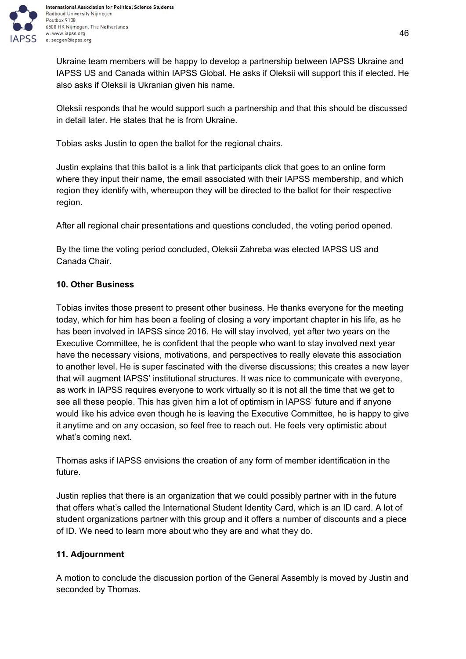

Ukraine team members will be happy to develop a partnership between IAPSS Ukraine and IAPSS US and Canada within IAPSS Global. He asks if Oleksii will support this if elected. He also asks if Oleksii is Ukranian given his name.

Oleksii responds that he would support such a partnership and that this should be discussed in detail later. He states that he is from Ukraine.

Tobias asks Justin to open the ballot for the regional chairs.

Justin explains that this ballot is a link that participants click that goes to an online form where they input their name, the email associated with their IAPSS membership, and which region they identify with, whereupon they will be directed to the ballot for their respective region.

After all regional chair presentations and questions concluded, the voting period opened.

By the time the voting period concluded, Oleksii Zahreba was elected IAPSS US and Canada Chair.

# **10. Other Business**

Tobias invites those present to present other business. He thanks everyone for the meeting today, which for him has been a feeling of closing a very important chapter in his life, as he has been involved in IAPSS since 2016. He will stay involved, yet after two years on the Executive Committee, he is confident that the people who want to stay involved next year have the necessary visions, motivations, and perspectives to really elevate this association to another level. He is super fascinated with the diverse discussions; this creates a new layer that will augment IAPSS' institutional structures. It was nice to communicate with everyone, as work in IAPSS requires everyone to work virtually so it is not all the time that we get to see all these people. This has given him a lot of optimism in IAPSS' future and if anyone would like his advice even though he is leaving the Executive Committee, he is happy to give it anytime and on any occasion, so feel free to reach out. He feels very optimistic about what's coming next.

Thomas asks if IAPSS envisions the creation of any form of member identification in the future.

Justin replies that there is an organization that we could possibly partner with in the future that offers what's called the International Student Identity Card, which is an ID card. A lot of student organizations partner with this group and it offers a number of discounts and a piece of ID. We need to learn more about who they are and what they do.

## **11. Adjournment**

A motion to conclude the discussion portion of the General Assembly is moved by Justin and seconded by Thomas.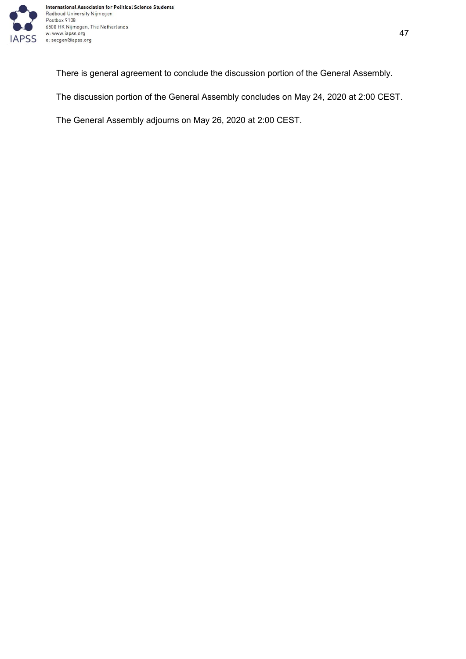

There is general agreement to conclude the discussion portion of the General Assembly.

The discussion portion of the General Assembly concludes on May 24, 2020 at 2:00 CEST.

The General Assembly adjourns on May 26, 2020 at 2:00 CEST.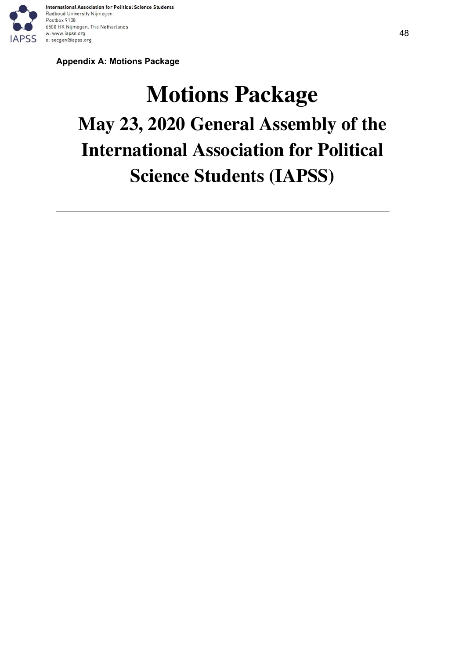

**Appendix A: Motions Package**

# **Motions Package May 23, 2020 General Assembly of the International Association for Political Science Students (IAPSS)**

\_\_\_\_\_\_\_\_\_\_\_\_\_\_\_\_\_\_\_\_\_\_\_\_\_\_\_\_\_\_\_\_\_\_\_\_\_\_\_\_\_\_\_\_\_\_\_\_\_\_\_\_\_\_\_\_\_\_\_\_\_\_\_\_\_\_\_\_\_\_\_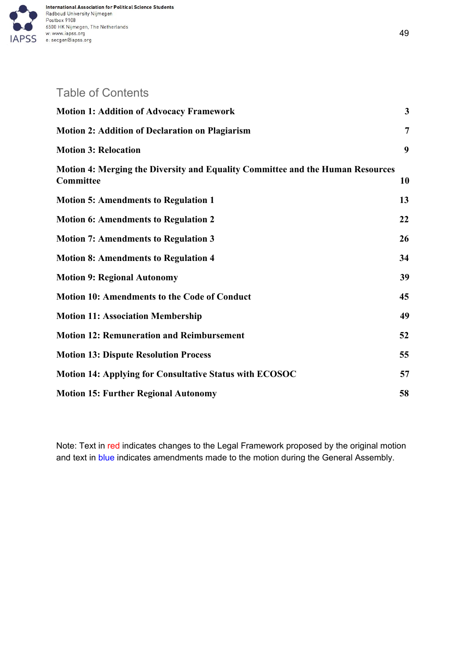

# Table of Contents

| <b>Motion 1: Addition of Advocacy Framework</b>                                             | 3              |
|---------------------------------------------------------------------------------------------|----------------|
| <b>Motion 2: Addition of Declaration on Plagiarism</b>                                      | $\overline{7}$ |
| <b>Motion 3: Relocation</b>                                                                 | 9              |
| Motion 4: Merging the Diversity and Equality Committee and the Human Resources<br>Committee | 10             |
| <b>Motion 5: Amendments to Regulation 1</b>                                                 | 13             |
| <b>Motion 6: Amendments to Regulation 2</b>                                                 | 22             |
| <b>Motion 7: Amendments to Regulation 3</b>                                                 | 26             |
| <b>Motion 8: Amendments to Regulation 4</b>                                                 | 34             |
| <b>Motion 9: Regional Autonomy</b>                                                          | 39             |
| <b>Motion 10: Amendments to the Code of Conduct</b>                                         | 45             |
| <b>Motion 11: Association Membership</b>                                                    | 49             |
| <b>Motion 12: Remuneration and Reimbursement</b>                                            | 52             |
| <b>Motion 13: Dispute Resolution Process</b>                                                | 55             |
| <b>Motion 14: Applying for Consultative Status with ECOSOC</b>                              | 57             |
| <b>Motion 15: Further Regional Autonomy</b>                                                 | 58             |

Note: Text in red indicates changes to the Legal Framework proposed by the original motion and text in blue indicates amendments made to the motion during the General Assembly.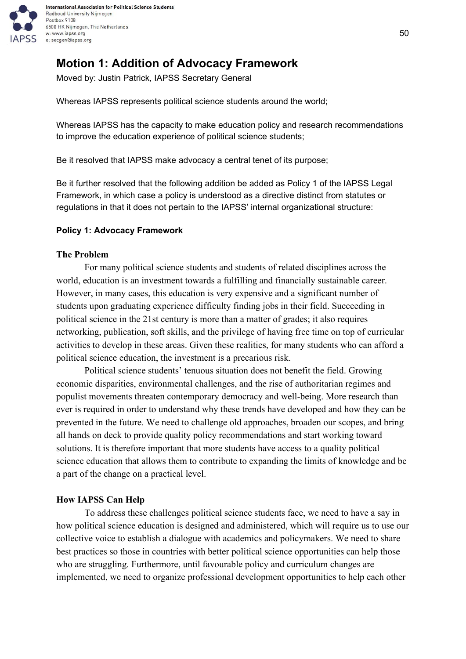

# <span id="page-49-0"></span>**Motion 1: Addition of Advocacy Framework**

Moved by: Justin Patrick, IAPSS Secretary General

Whereas IAPSS represents political science students around the world;

Whereas IAPSS has the capacity to make education policy and research recommendations to improve the education experience of political science students;

Be it resolved that IAPSS make advocacy a central tenet of its purpose;

Be it further resolved that the following addition be added as Policy 1 of the IAPSS Legal Framework, in which case a policy is understood as a directive distinct from statutes or regulations in that it does not pertain to the IAPSS' internal organizational structure:

#### **Policy 1: Advocacy Framework**

#### **The Problem**

For many political science students and students of related disciplines across the world, education is an investment towards a fulfilling and financially sustainable career. However, in many cases, this education is very expensive and a significant number of students upon graduating experience difficulty finding jobs in their field. Succeeding in political science in the 21st century is more than a matter of grades; it also requires networking, publication, soft skills, and the privilege of having free time on top of curricular activities to develop in these areas. Given these realities, for many students who can afford a political science education, the investment is a precarious risk.

Political science students' tenuous situation does not benefit the field. Growing economic disparities, environmental challenges, and the rise of authoritarian regimes and populist movements threaten contemporary democracy and well-being. More research than ever is required in order to understand why these trends have developed and how they can be prevented in the future. We need to challenge old approaches, broaden our scopes, and bring all hands on deck to provide quality policy recommendations and start working toward solutions. It is therefore important that more students have access to a quality political science education that allows them to contribute to expanding the limits of knowledge and be a part of the change on a practical level.

#### **How IAPSS Can Help**

To address these challenges political science students face, we need to have a say in how political science education is designed and administered, which will require us to use our collective voice to establish a dialogue with academics and policymakers. We need to share best practices so those in countries with better political science opportunities can help those who are struggling. Furthermore, until favourable policy and curriculum changes are implemented, we need to organize professional development opportunities to help each other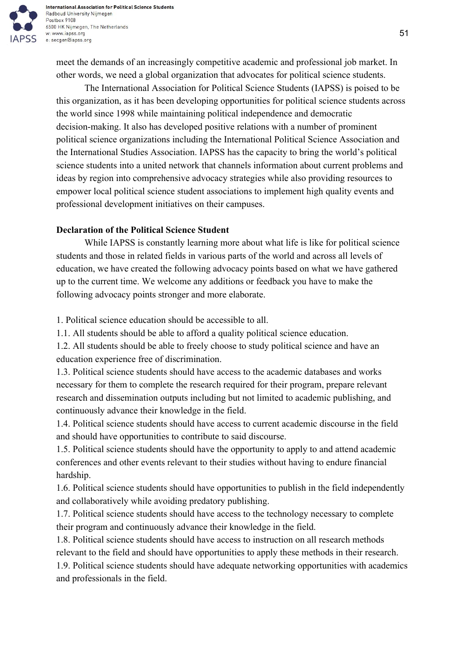

International Association for Political Science Students Radboud University Nijmegen Postbox 9108 6500 HK Nijmegen, The Netherlands w: www.iapss.org e: secgen@iapss.org

meet the demands of an increasingly competitive academic and professional job market. In other words, we need a global organization that advocates for political science students.

The International Association for Political Science Students (IAPSS) is poised to be this organization, as it has been developing opportunities for political science students across the world since 1998 while maintaining political independence and democratic decision-making. It also has developed positive relations with a number of prominent political science organizations including the International Political Science Association and the International Studies Association. IAPSS has the capacity to bring the world's political science students into a united network that channels information about current problems and ideas by region into comprehensive advocacy strategies while also providing resources to empower local political science student associations to implement high quality events and professional development initiatives on their campuses.

## **Declaration of the Political Science Student**

While IAPSS is constantly learning more about what life is like for political science students and those in related fields in various parts of the world and across all levels of education, we have created the following advocacy points based on what we have gathered up to the current time. We welcome any additions or feedback you have to make the following advocacy points stronger and more elaborate.

1. Political science education should be accessible to all.

1.1. All students should be able to afford a quality political science education.

1.2. All students should be able to freely choose to study political science and have an education experience free of discrimination.

1.3. Political science students should have access to the academic databases and works necessary for them to complete the research required for their program, prepare relevant research and dissemination outputs including but not limited to academic publishing, and continuously advance their knowledge in the field.

1.4. Political science students should have access to current academic discourse in the field and should have opportunities to contribute to said discourse.

1.5. Political science students should have the opportunity to apply to and attend academic conferences and other events relevant to their studies without having to endure financial hardship.

1.6. Political science students should have opportunities to publish in the field independently and collaboratively while avoiding predatory publishing.

1.7. Political science students should have access to the technology necessary to complete their program and continuously advance their knowledge in the field.

1.8. Political science students should have access to instruction on all research methods relevant to the field and should have opportunities to apply these methods in their research.

1.9. Political science students should have adequate networking opportunities with academics and professionals in the field.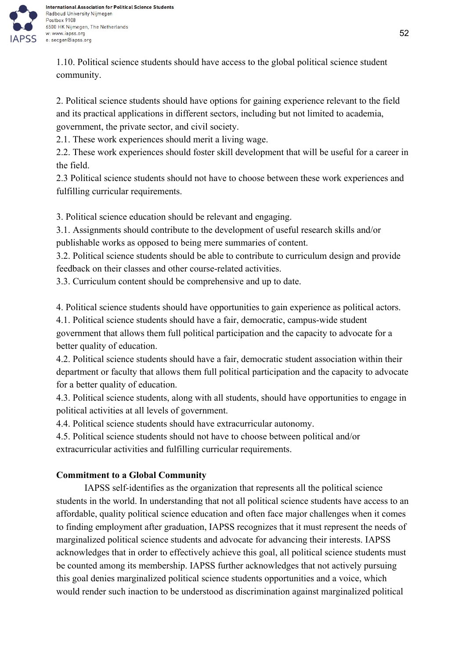

1.10. Political science students should have access to the global political science student community.

2. Political science students should have options for gaining experience relevant to the field and its practical applications in different sectors, including but not limited to academia, government, the private sector, and civil society.

2.1. These work experiences should merit a living wage.

2.2. These work experiences should foster skill development that will be useful for a career in the field.

2.3 Political science students should not have to choose between these work experiences and fulfilling curricular requirements.

3. Political science education should be relevant and engaging.

3.1. Assignments should contribute to the development of useful research skills and/or publishable works as opposed to being mere summaries of content.

3.2. Political science students should be able to contribute to curriculum design and provide feedback on their classes and other course-related activities.

3.3. Curriculum content should be comprehensive and up to date.

4. Political science students should have opportunities to gain experience as political actors.

4.1. Political science students should have a fair, democratic, campus-wide student government that allows them full political participation and the capacity to advocate for a better quality of education.

4.2. Political science students should have a fair, democratic student association within their department or faculty that allows them full political participation and the capacity to advocate for a better quality of education.

4.3. Political science students, along with all students, should have opportunities to engage in political activities at all levels of government.

4.4. Political science students should have extracurricular autonomy.

4.5. Political science students should not have to choose between political and/or extracurricular activities and fulfilling curricular requirements.

# **Commitment to a Global Community**

IAPSS self-identifies as the organization that represents all the political science students in the world. In understanding that not all political science students have access to an affordable, quality political science education and often face major challenges when it comes to finding employment after graduation, IAPSS recognizes that it must represent the needs of marginalized political science students and advocate for advancing their interests. IAPSS acknowledges that in order to effectively achieve this goal, all political science students must be counted among its membership. IAPSS further acknowledges that not actively pursuing this goal denies marginalized political science students opportunities and a voice, which would render such inaction to be understood as discrimination against marginalized political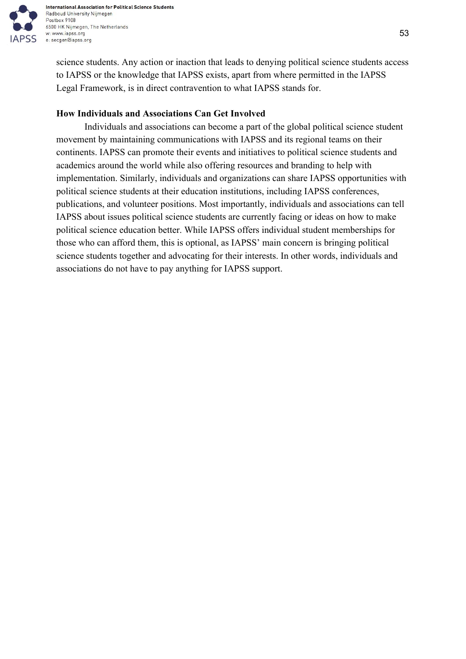

science students. Any action or inaction that leads to denying political science students access to IAPSS or the knowledge that IAPSS exists, apart from where permitted in the IAPSS Legal Framework, is in direct contravention to what IAPSS stands for.

# **How Individuals and Associations Can Get Involved**

Individuals and associations can become a part of the global political science student movement by maintaining communications with IAPSS and its regional teams on their continents. IAPSS can promote their events and initiatives to political science students and academics around the world while also offering resources and branding to help with implementation. Similarly, individuals and organizations can share IAPSS opportunities with political science students at their education institutions, including IAPSS conferences, publications, and volunteer positions. Most importantly, individuals and associations can tell IAPSS about issues political science students are currently facing or ideas on how to make political science education better. While IAPSS offers individual student memberships for those who can afford them, this is optional, as IAPSS' main concern is bringing political science students together and advocating for their interests. In other words, individuals and associations do not have to pay anything for IAPSS support.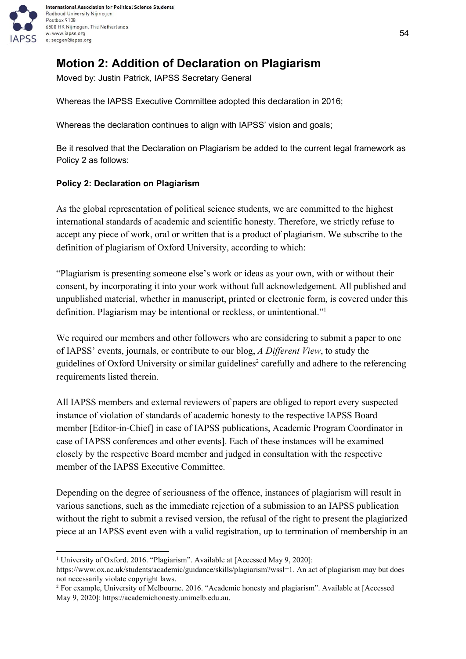

# <span id="page-53-0"></span>**Motion 2: Addition of Declaration on Plagiarism**

Moved by: Justin Patrick, IAPSS Secretary General

Whereas the IAPSS Executive Committee adopted this declaration in 2016;

Whereas the declaration continues to align with IAPSS' vision and goals;

Be it resolved that the Declaration on Plagiarism be added to the current legal framework as Policy 2 as follows:

## **Policy 2: Declaration on Plagiarism**

As the global representation of political science students, we are committed to the highest international standards of academic and scientific honesty. Therefore, we strictly refuse to accept any piece of work, oral or written that is a product of plagiarism. We subscribe to the definition of plagiarism of Oxford University, according to which:

"Plagiarism is presenting someone else's work or ideas as your own, with or without their consent, by incorporating it into your work without full acknowledgement. All published and unpublished material, whether in manuscript, printed or electronic form, is covered under this definition. Plagiarism may be intentional or reckless, or unintentional."<sup>1</sup>

We required our members and other followers who are considering to submit a paper to one of IAPSS' events, journals, or contribute to our blog, *A Different View*, to study the guidelines of Oxford University or similar guidelines<sup>2</sup> carefully and adhere to the referencing requirements listed therein.

All IAPSS members and external reviewers of papers are obliged to report every suspected instance of violation of standards of academic honesty to the respective IAPSS Board member [Editor-in-Chief] in case of IAPSS publications, Academic Program Coordinator in case of IAPSS conferences and other events]. Each of these instances will be examined closely by the respective Board member and judged in consultation with the respective member of the IAPSS Executive Committee.

Depending on the degree of seriousness of the offence, instances of plagiarism will result in various sanctions, such as the immediate rejection of a submission to an IAPSS publication without the right to submit a revised version, the refusal of the right to present the plagiarized piece at an IAPSS event even with a valid registration, up to termination of membership in an

<sup>&</sup>lt;sup>1</sup> University of Oxford. 2016. "Plagiarism". Available at [Accessed May 9, 2020]:

[https://www.ox.ac.uk/students/academic/guidance/skills/plagiarism?wssl=1.](https://www.ox.ac.uk/students/academic/guidance/skills/plagiarism?wssl=1) An act of plagiarism may but does not necessarily violate copyright laws.

<sup>2</sup> For example, University of Melbourne. 2016. "Academic honesty and plagiarism". Available at [Accessed May 9, 2020]: [https://academichonesty.unimelb.edu.a](https://academichonesty.unimelb.edu.au/)u.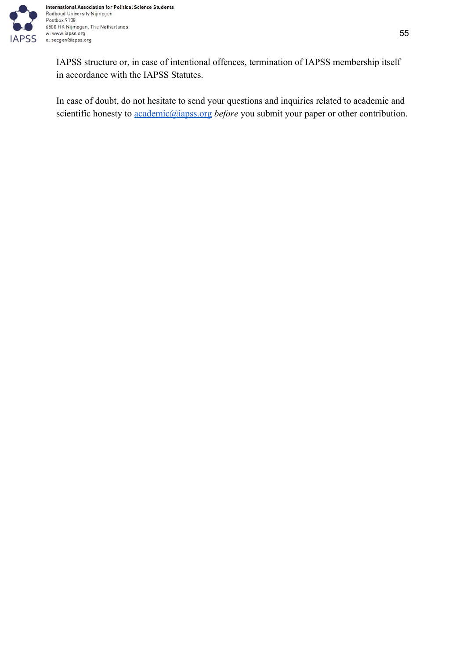

IAPSS structure or, in case of intentional offences, termination of IAPSS membership itself in accordance with the IAPSS Statutes.

In case of doubt, do not hesitate to send your questions and inquiries related to academic and scientific honesty to [academic@iapss.org](mailto:academic@iapss.org) *before* you submit your paper or other contribution.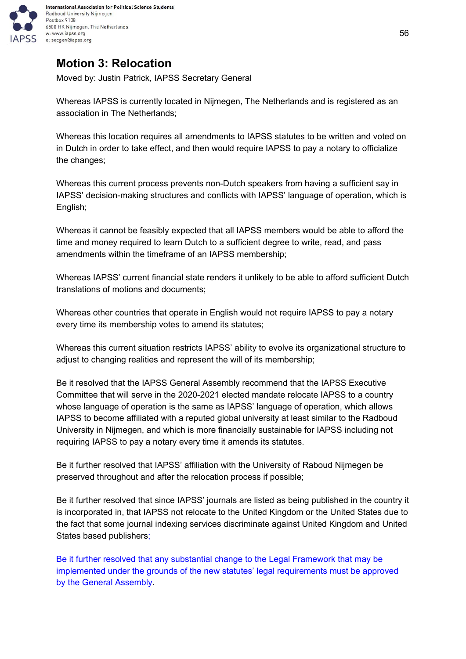

# <span id="page-55-0"></span>**Motion 3: Relocation**

Moved by: Justin Patrick, IAPSS Secretary General

Whereas IAPSS is currently located in Nijmegen, The Netherlands and is registered as an association in The Netherlands;

Whereas this location requires all amendments to IAPSS statutes to be written and voted on in Dutch in order to take effect, and then would require IAPSS to pay a notary to officialize the changes;

Whereas this current process prevents non-Dutch speakers from having a sufficient say in IAPSS' decision-making structures and conflicts with IAPSS' language of operation, which is English;

Whereas it cannot be feasibly expected that all IAPSS members would be able to afford the time and money required to learn Dutch to a sufficient degree to write, read, and pass amendments within the timeframe of an IAPSS membership;

Whereas IAPSS' current financial state renders it unlikely to be able to afford sufficient Dutch translations of motions and documents;

Whereas other countries that operate in English would not require IAPSS to pay a notary every time its membership votes to amend its statutes;

Whereas this current situation restricts IAPSS' ability to evolve its organizational structure to adjust to changing realities and represent the will of its membership;

Be it resolved that the IAPSS General Assembly recommend that the IAPSS Executive Committee that will serve in the 2020-2021 elected mandate relocate IAPSS to a country whose language of operation is the same as IAPSS' language of operation, which allows IAPSS to become affiliated with a reputed global university at least similar to the Radboud University in Nijmegen, and which is more financially sustainable for IAPSS including not requiring IAPSS to pay a notary every time it amends its statutes.

Be it further resolved that IAPSS' affiliation with the University of Raboud Nijmegen be preserved throughout and after the relocation process if possible;

Be it further resolved that since IAPSS' journals are listed as being published in the country it is incorporated in, that IAPSS not relocate to the United Kingdom or the United States due to the fact that some journal indexing services discriminate against United Kingdom and United States based publishers;

Be it further resolved that any substantial change to the Legal Framework that may be implemented under the grounds of the new statutes' legal requirements must be approved by the General Assembly.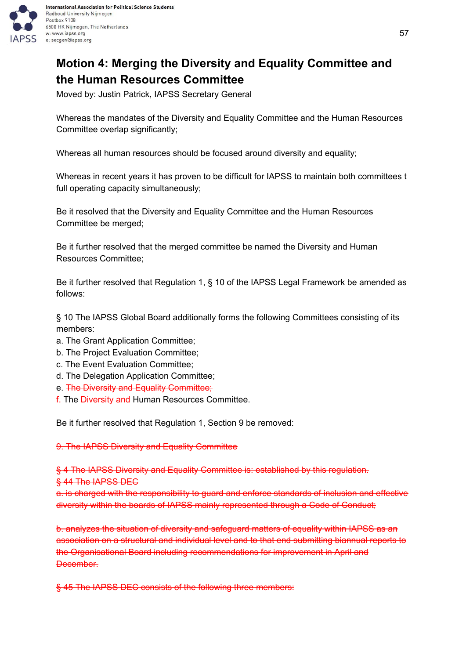

# <span id="page-56-0"></span>**Motion 4: Merging the Diversity and Equality Committee and the Human Resources Committee**

Moved by: Justin Patrick, IAPSS Secretary General

Whereas the mandates of the Diversity and Equality Committee and the Human Resources Committee overlap significantly;

Whereas all human resources should be focused around diversity and equality;

Whereas in recent years it has proven to be difficult for IAPSS to maintain both committees t full operating capacity simultaneously;

Be it resolved that the Diversity and Equality Committee and the Human Resources Committee be merged;

Be it further resolved that the merged committee be named the Diversity and Human Resources Committee;

Be it further resolved that Regulation 1, § 10 of the IAPSS Legal Framework be amended as follows:

§ 10 The IAPSS Global Board additionally forms the following Committees consisting of its members:

- a. The Grant Application Committee;
- b. The Project Evaluation Committee;
- c. The Event Evaluation Committee;
- d. The Delegation Application Committee;
- e. The Diversity and Equality Committee;
- **f.** The Diversity and Human Resources Committee.

Be it further resolved that Regulation 1, Section 9 be removed:

## 9. The IAPSS Diversity and Equality Committee

§ 4 The IAPSS Diversity and Equality Committee is: established by this regulation.

§ 44 The IAPSS DEC

a. is charged with the responsibility to guard and enforce standards of inclusion and effective diversity within the boards of IAPSS mainly represented through a Code of Conduct;

b. analyzes the situation of diversity and safeguard matters of equality within IAPSS as an association on a structural and individual level and to that end submitting biannual reports to the Organisational Board including recommendations for improvement in April and December.

§ 45 The IAPSS DEC consists of the following three members: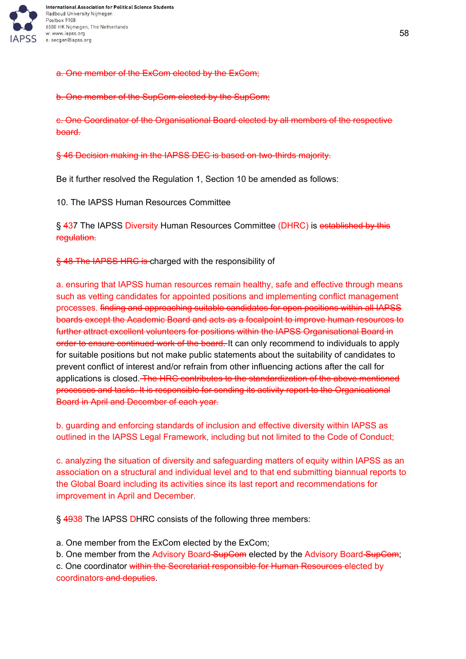

a. One member of the ExCom elected by the ExCom;

b. One member of the SupCom elected by the SupCom;

c. One Coordinator of the Organisational Board elected by all members of the respective board.

§ 46 Decision making in the IAPSS DEC is based on two-thirds majority.

Be it further resolved the Regulation 1, Section 10 be amended as follows:

10. The IAPSS Human Resources Committee

§ 437 The IAPSS Diversity Human Resources Committee (DHRC) is established by this regulation.

§ 48 The IAPSS HRC is charged with the responsibility of

a. ensuring that IAPSS human resources remain healthy, safe and effective through means such as vetting candidates for appointed positions and implementing conflict management processes. finding and approaching suitable candidates for open positions within all IAPSS boards except the Academic Board and acts as a focalpoint to improve human resources to further attract excellent volunteers for positions within the IAPSS Organisational Board in order to ensure continued work of the board. It can only recommend to individuals to apply for suitable positions but not make public statements about the suitability of candidates to prevent conflict of interest and/or refrain from other influencing actions after the call for applications is closed. The HRC contributes to the standardization of the above mentioned processes and tasks. It is responsible for sending its activity report to the Organisational Board in April and December of each year.

b. guarding and enforcing standards of inclusion and effective diversity within IAPSS as outlined in the IAPSS Legal Framework, including but not limited to the Code of Conduct;

c. analyzing the situation of diversity and safeguarding matters of equity within IAPSS as an association on a structural and individual level and to that end submitting biannual reports to the Global Board including its activities since its last report and recommendations for improvement in April and December.

§ 4938 The IAPSS DHRC consists of the following three members:

a. One member from the ExCom elected by the ExCom;

b. One member from the Advisory Board SupCom elected by the Advisory Board SupCom;

c. One coordinator within the Secretariat responsible for Human Resources elected by coordinators and deputies.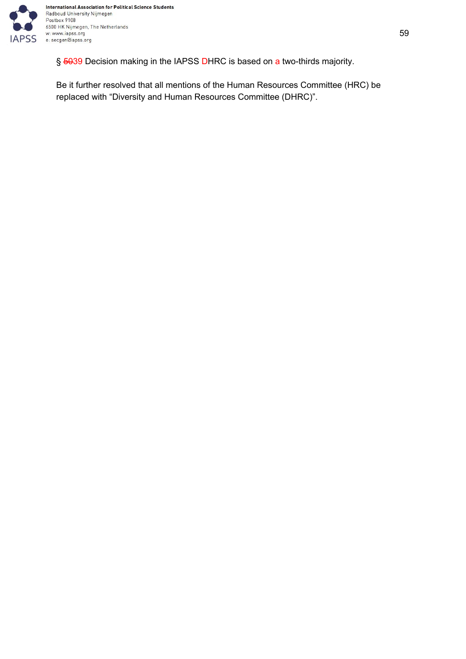

§ 5039 Decision making in the IAPSS DHRC is based on a two-thirds majority.

Be it further resolved that all mentions of the Human Resources Committee (HRC) be replaced with "Diversity and Human Resources Committee (DHRC)".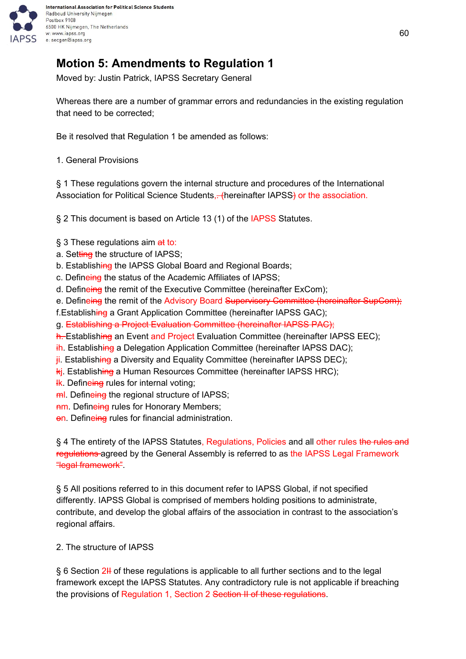

# <span id="page-59-0"></span>**Motion 5: Amendments to Regulation 1**

Moved by: Justin Patrick, IAPSS Secretary General

Whereas there are a number of grammar errors and redundancies in the existing regulation that need to be corrected;

Be it resolved that Regulation 1 be amended as follows:

1. General Provisions

§ 1 These regulations govern the internal structure and procedures of the International Association for Political Science Students, - (hereinafter IAPSS) or the association.

§ 2 This document is based on Article 13 (1) of the IAPSS Statutes.

- § 3 These regulations aim at to:
- a. Setting the structure of IAPSS;
- b. Establishing the IAPSS Global Board and Regional Boards;
- c. Defineing the status of the Academic Affiliates of IAPSS;
- d. Defineing the remit of the Executive Committee (hereinafter ExCom);
- e. Defineing the remit of the Advisory Board Supervisory Committee (hereinafter SupCom);
- f.Establishing a Grant Application Committee (hereinafter IAPSS GAC);
- g. Establishing a Project Evaluation Committee (hereinafter IAPSS PAC);
- h. Establishing an Event and Project Evaluation Committee (hereinafter IAPSS EEC);
- ih. Establishing a Delegation Application Committee (hereinafter IAPSS DAC);
- ji. Establishing a Diversity and Equality Committee (hereinafter IAPSS DEC);
- kj. Establishing a Human Resources Committee (hereinafter IAPSS HRC);
- **K.** Defineing rules for internal voting;
- ml. Defineing the regional structure of IAPSS;
- **nm. Defineing rules for Honorary Members;**
- on. Defineing rules for financial administration.

§ 4 The entirety of the IAPSS Statutes, Regulations, Policies and all other rules the rules and regulations agreed by the General Assembly is referred to as the IAPSS Legal Framework "legal framework".

§ 5 All positions referred to in this document refer to IAPSS Global, if not specified differently. IAPSS Global is comprised of members holding positions to administrate, contribute, and develop the global affairs of the association in contrast to the association's regional affairs.

## 2. The structure of IAPSS

 $\S$  6 Section 2H of these regulations is applicable to all further sections and to the legal framework except the IAPSS Statutes. Any contradictory rule is not applicable if breaching the provisions of Regulation 1, Section 2 Section II of these regulations.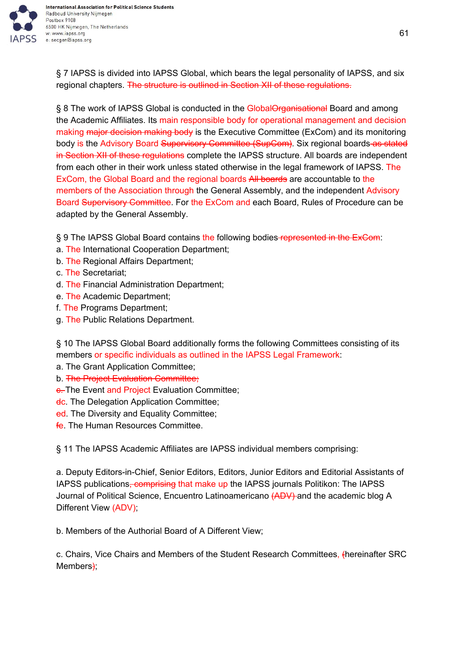

§ 7 IAPSS is divided into IAPSS Global, which bears the legal personality of IAPSS, and six regional chapters. The structure is outlined in Section XII of these regulations.

§ 8 The work of IAPSS Global is conducted in the GlobalOrganisational Board and among the Academic Affiliates. Its main responsible body for operational management and decision making major decision making body is the Executive Committee (ExCom) and its monitoring body is the Advisory Board Supervisory Committee (SupCom). Six regional boards as stated in Section XII of these regulations complete the IAPSS structure. All boards are independent from each other in their work unless stated otherwise in the legal framework of IAPSS. The ExCom, the Global Board and the regional boards All boards are accountable to the members of the Association through the General Assembly, and the independent Advisory Board Supervisory Committee. For the ExCom and each Board, Rules of Procedure can be adapted by the General Assembly.

§ 9 The IAPSS Global Board contains the following bodies-represented in the ExCom:

- a. The International Cooperation Department;
- b. The Regional Affairs Department;
- c. The Secretariat;
- d. The Financial Administration Department;
- e. The Academic Department;
- f. The Programs Department;
- g. The Public Relations Department.

§ 10 The IAPSS Global Board additionally forms the following Committees consisting of its members or specific individuals as outlined in the IAPSS Legal Framework:

- a. The Grant Application Committee;
- b. The Project Evaluation Committee;
- **e.** The Event and Project Evaluation Committee;
- dc. The Delegation Application Committee;
- ed. The Diversity and Equality Committee;
- fe. The Human Resources Committee.

§ 11 The IAPSS Academic Affiliates are IAPSS individual members comprising:

a. Deputy Editors-in-Chief, Senior Editors, Editors, Junior Editors and Editorial Assistants of IAPSS publications, comprising that make up the IAPSS journals Politikon: The IAPSS Journal of Political Science, Encuentro Latinoamericano (ADV) and the academic blog A Different View (ADV);

b. Members of the Authorial Board of A Different View;

c. Chairs, Vice Chairs and Members of the Student Research Committees, (hereinafter SRC Members<del>)</del>;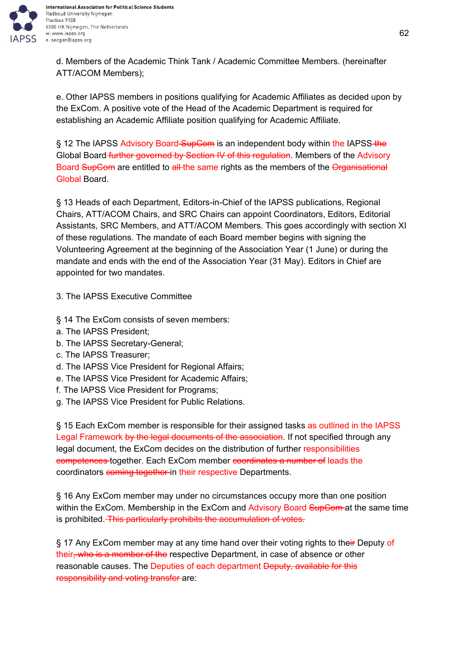

d. Members of the Academic Think Tank / Academic Committee Members. (hereinafter ATT/ACOM Members);

e. Other IAPSS members in positions qualifying for Academic Affiliates as decided upon by the ExCom. A positive vote of the Head of the Academic Department is required for establishing an Academic Affiliate position qualifying for Academic Affiliate.

§ 12 The IAPSS Advisory Board-SupCom is an independent body within the IAPSS-the Global Board further governed by Section IV of this regulation. Members of the Advisory Board SupCom are entitled to all the same rights as the members of the Organisational Global Board.

§ 13 Heads of each Department, Editors-in-Chief of the IAPSS publications, Regional Chairs, ATT/ACOM Chairs, and SRC Chairs can appoint Coordinators, Editors, Editorial Assistants, SRC Members, and ATT/ACOM Members. This goes accordingly with section XI of these regulations. The mandate of each Board member begins with signing the Volunteering Agreement at the beginning of the Association Year (1 June) or during the mandate and ends with the end of the Association Year (31 May). Editors in Chief are appointed for two mandates.

- 3. The IAPSS Executive Committee
- § 14 The ExCom consists of seven members:
- a. The IAPSS President;
- b. The IAPSS Secretary-General;
- c. The IAPSS Treasurer;
- d. The IAPSS Vice President for Regional Affairs;
- e. The IAPSS Vice President for Academic Affairs;
- f. The IAPSS Vice President for Programs;
- g. The IAPSS Vice President for Public Relations.

§ 15 Each ExCom member is responsible for their assigned tasks as outlined in the IAPSS Legal Framework by the legal documents of the association. If not specified through any legal document, the ExCom decides on the distribution of further responsibilities competences together. Each ExCom member coordinates a number of leads the coordinators coming together in their respective Departments.

§ 16 Any ExCom member may under no circumstances occupy more than one position within the ExCom. Membership in the ExCom and Advisory Board SupCom at the same time is prohibited. This particularly prohibits the accumulation of votes.

§ 17 Any ExCom member may at any time hand over their voting rights to their Deputy of their, who is a member of the respective Department, in case of absence or other reasonable causes. The Deputies of each department Deputy, available for this responsibility and voting transfer-are: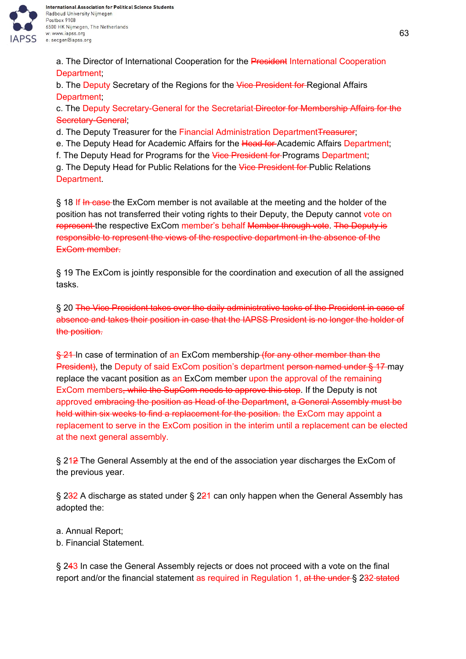

a. The Director of International Cooperation for the President International Cooperation Department;

b. The Deputy Secretary of the Regions for the Vice President for Regional Affairs Department;

c. The Deputy Secretary-General for the Secretariat-Director for Membership Affairs for the Secretary-General;

d. The Deputy Treasurer for the Financial Administration Department Treasurer;

e. The Deputy Head for Academic Affairs for the Head for Academic Affairs Department;

f. The Deputy Head for Programs for the Vice President for Programs Department;

g. The Deputy Head for Public Relations for the Vice President for Public Relations **Department** 

§ 18 If In case the ExCom member is not available at the meeting and the holder of the position has not transferred their voting rights to their Deputy, the Deputy cannot vote on represent the respective ExCom member's behalf Member through vote. The Deputy is responsible to represent the views of the respective department in the absence of the ExCom member.

§ 19 The ExCom is jointly responsible for the coordination and execution of all the assigned tasks.

§ 20 The Vice President takes over the daily administrative tasks of the President in case of absence and takes their position in case that the IAPSS President is no longer the holder of the position.

§ 21 In case of termination of an ExCom membership (for any other member than the President), the Deputy of said ExCom position's department person named under § 17 may replace the vacant position as an ExCom member upon the approval of the remaining ExCom members, while the SupCom needs to approve this step. If the Deputy is not approved embracing the position as Head of the Department, a General Assembly must be held within six weeks to find a replacement for the position. the ExCom may appoint a replacement to serve in the ExCom position in the interim until a replacement can be elected at the next general assembly.

§ 212 The General Assembly at the end of the association year discharges the ExCom of the previous year.

§ 232 A discharge as stated under § 221 can only happen when the General Assembly has adopted the:

- a. Annual Report;
- b. Financial Statement.

§ 243 In case the General Assembly rejects or does not proceed with a vote on the final report and/or the financial statement as required in Regulation 1, at the under § 232-stated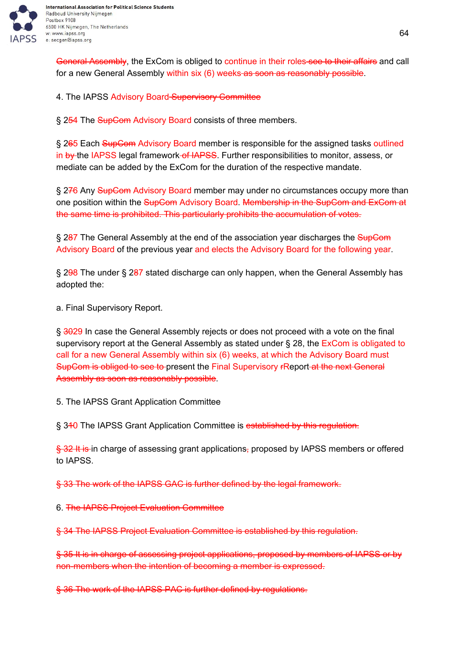

General Assembly, the ExCom is obliged to continue in their roles-see to their affairs and call for a new General Assembly within six (6) weeks as soon as reasonably possible.

4. The IAPSS Advisory Board Supervisory Committee

§ 254 The SupCom Advisory Board consists of three members.

§ 265 Each SupCom Advisory Board member is responsible for the assigned tasks outlined in by the IAPSS legal framework of IAPSS. Further responsibilities to monitor, assess, or mediate can be added by the ExCom for the duration of the respective mandate.

§ 276 Any SupCom Advisory Board member may under no circumstances occupy more than one position within the SupCom Advisory Board. Membership in the SupCom and ExCom at the same time is prohibited. This particularly prohibits the accumulation of votes.

§ 287 The General Assembly at the end of the association year discharges the SupCom Advisory Board of the previous year and elects the Advisory Board for the following year.

§ 298 The under § 287 stated discharge can only happen, when the General Assembly has adopted the:

a. Final Supervisory Report.

§ 3029 In case the General Assembly rejects or does not proceed with a vote on the final supervisory report at the General Assembly as stated under § 28, the ExCom is obligated to call for a new General Assembly within six (6) weeks, at which the Advisory Board must SupCom is obliged to see to present the Final Supervisory rReport-at the next General Assembly as soon as reasonably possible.

5. The IAPSS Grant Application Committee

§ 340 The IAPSS Grant Application Committee is established by this regulation.

§ 32 It is in charge of assessing grant applications, proposed by IAPSS members or offered to IAPSS.

§ 33 The work of the IAPSS GAC is further defined by the legal framework.

6. The IAPSS Project Evaluation Committee

§ 34 The IAPSS Project Evaluation Committee is established by this regulation.

§ 35 It is in charge of assessing project applications, proposed by members of IAPSS or by non-members when the intention of becoming a member is expressed.

§ 36 The work of the IAPSS PAC is further defined by regulations.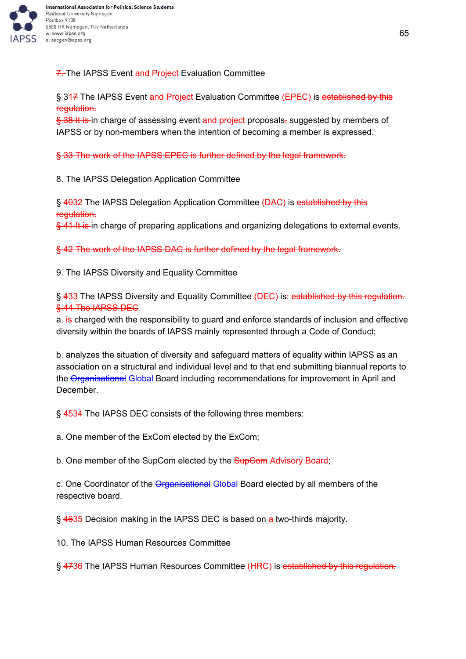

7. The IAPSS Event and Project Evaluation Committee

§ 317 The IAPSS Event and Project Evaluation Committee (EPEC) is established by this regulation.

§ 38 It is in charge of assessing event and project proposals, suggested by members of IAPSS or by non-members when the intention of becoming a member is expressed.

§ 33 The work of the IAPSS EPEC is further defined by the legal framework.

8. The IAPSS Delegation Application Committee

§ 4032 The IAPSS Delegation Application Committee (DAC) is established by this regulation.

 $\frac{6}{5}$  41 It is in charge of preparing applications and organizing delegations to external events.

§ 42 The work of the IAPSS DAC is further defined by the legal framework.

9. The IAPSS Diversity and Equality Committee

§ 433 The IAPSS Diversity and Equality Committee (DEC) is: established by this regulation. § 44 The IAPSS DEC

a. is charged with the responsibility to guard and enforce standards of inclusion and effective diversity within the boards of IAPSS mainly represented through a Code of Conduct;

b. analyzes the situation of diversity and safeguard matters of equality within IAPSS as an association on a structural and individual level and to that end submitting biannual reports to the Organisational Global Board including recommendations for improvement in April and December.

§ 4534 The IAPSS DEC consists of the following three members:

a. One member of the ExCom elected by the ExCom;

b. One member of the SupCom elected by the **SupCom** Advisory Board;

c. One Coordinator of the Organisational Global Board elected by all members of the respective board.

§ 4635 Decision making in the IAPSS DEC is based on a two-thirds majority.

10. The IAPSS Human Resources Committee

§ 4736 The IAPSS Human Resources Committee (HRC) is established by this regulation.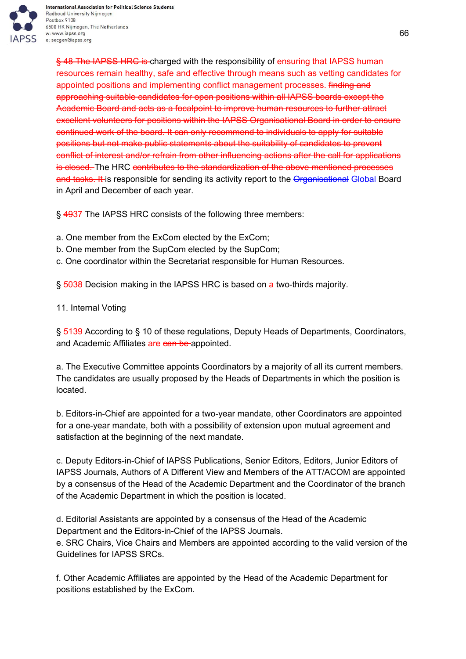

International Association for Political Science Students Radboud University Nijmegen Postbox 9108 6500 HK Nijmegen, The Netherlands w: www.iapss.org e: secgen@iapss.org

§ 48 The IAPSS HRC is charged with the responsibility of ensuring that IAPSS human resources remain healthy, safe and effective through means such as vetting candidates for appointed positions and implementing conflict management processes. finding and approaching suitable candidates for open positions within all IAPSS boards except the Academic Board and acts as a focalpoint to improve human resources to further attract excellent volunteers for positions within the IAPSS Organisational Board in order to ensure continued work of the board. It can only recommend to individuals to apply for suitable positions but not make public statements about the suitability of candidates to prevent conflict of interest and/or refrain from other influencing actions after the call for applications is closed. The HRC contributes to the standardization of the above mentioned processes and tasks. It is responsible for sending its activity report to the Organisational Global Board in April and December of each year.

§ 4937 The IAPSS HRC consists of the following three members:

- a. One member from the ExCom elected by the ExCom;
- b. One member from the SupCom elected by the SupCom;
- c. One coordinator within the Secretariat responsible for Human Resources.

§ 5038 Decision making in the IAPSS HRC is based on a two-thirds majority.

11. Internal Voting

§ 5439 According to § 10 of these regulations, Deputy Heads of Departments, Coordinators, and Academic Affiliates are can be appointed.

a. The Executive Committee appoints Coordinators by a majority of all its current members. The candidates are usually proposed by the Heads of Departments in which the position is located.

b. Editors-in-Chief are appointed for a two-year mandate, other Coordinators are appointed for a one-year mandate, both with a possibility of extension upon mutual agreement and satisfaction at the beginning of the next mandate.

c. Deputy Editors-in-Chief of IAPSS Publications, Senior Editors, Editors, Junior Editors of IAPSS Journals, Authors of A Different View and Members of the ATT/ACOM are appointed by a consensus of the Head of the Academic Department and the Coordinator of the branch of the Academic Department in which the position is located.

d. Editorial Assistants are appointed by a consensus of the Head of the Academic Department and the Editors-in-Chief of the IAPSS Journals.

e. SRC Chairs, Vice Chairs and Members are appointed according to the valid version of the Guidelines for IAPSS SRCs.

f. Other Academic Affiliates are appointed by the Head of the Academic Department for positions established by the ExCom.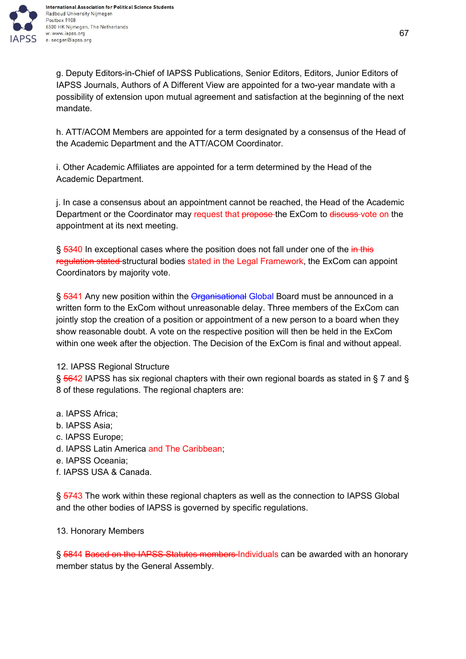

g. Deputy Editors-in-Chief of IAPSS Publications, Senior Editors, Editors, Junior Editors of IAPSS Journals, Authors of A Different View are appointed for a two-year mandate with a possibility of extension upon mutual agreement and satisfaction at the beginning of the next mandate.

h. ATT/ACOM Members are appointed for a term designated by a consensus of the Head of the Academic Department and the ATT/ACOM Coordinator.

i. Other Academic Affiliates are appointed for a term determined by the Head of the Academic Department.

j. In case a consensus about an appointment cannot be reached, the Head of the Academic Department or the Coordinator may request that propose the ExCom to discuss vote on the appointment at its next meeting.

§ 5340 In exceptional cases where the position does not fall under one of the in this regulation stated structural bodies stated in the Legal Framework, the ExCom can appoint Coordinators by majority vote.

§ 5341 Any new position within the Organisational Global Board must be announced in a written form to the ExCom without unreasonable delay. Three members of the ExCom can jointly stop the creation of a position or appointment of a new person to a board when they show reasonable doubt. A vote on the respective position will then be held in the ExCom within one week after the objection. The Decision of the ExCom is final and without appeal.

## 12. IAPSS Regional Structure

§ 5642 IAPSS has six regional chapters with their own regional boards as stated in § 7 and § 8 of these regulations. The regional chapters are:

- a. IAPSS Africa;
- b. IAPSS Asia;
- c. IAPSS Europe;
- d. IAPSS Latin America and The Caribbean;
- e. IAPSS Oceania;
- f. IAPSS USA & Canada.

§ 5743 The work within these regional chapters as well as the connection to IAPSS Global and the other bodies of IAPSS is governed by specific regulations.

#### 13. Honorary Members

§ 5844 Based on the IAPSS Statutes members-Individuals can be awarded with an honorary member status by the General Assembly.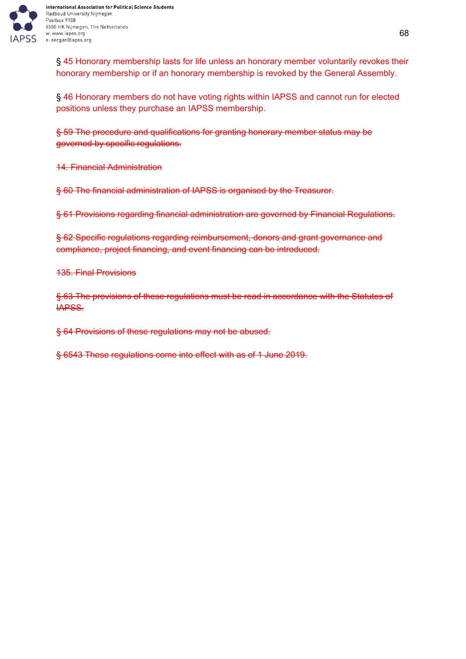

§ 45 Honorary membership lasts for life unless an honorary member voluntarily revokes their honorary membership or if an honorary membership is revoked by the General Assembly.

§ 46 Honorary members do not have voting rights within IAPSS and cannot run for elected positions unless they purchase an IAPSS membership.

§ 59 The procedure and qualifications for granting honorary member status may be governed by specific regulations.

14. Financial Administration

§ 60 The financial administration of IAPSS is organised by the Treasurer.

§ 61 Provisions regarding financial administration are governed by Financial Regulations.

§ 62 Specific regulations regarding reimbursement, donors and grant governance and compliance, project financing, and event financing can be introduced.

135. Final Provisions

§ 63 The provisions of these regulations must be read in accordance with the Statutes of IAPSS.

§ 64 Provisions of these regulations may not be abused.

§ 6543 These regulations come into effect with as of 1 June 2019.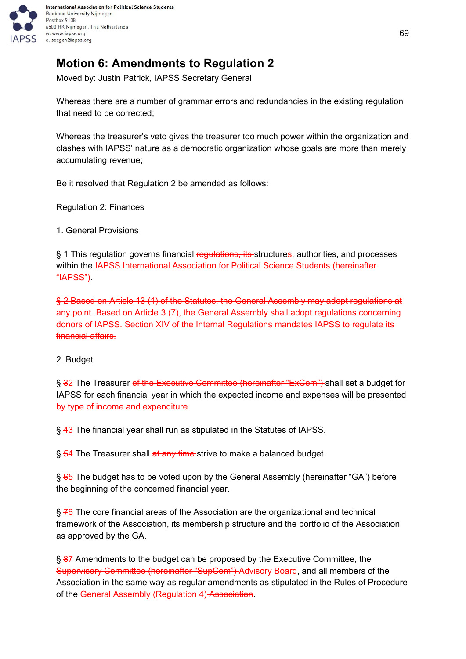

# <span id="page-68-0"></span>**Motion 6: Amendments to Regulation 2**

Moved by: Justin Patrick, IAPSS Secretary General

Whereas there are a number of grammar errors and redundancies in the existing regulation that need to be corrected;

Whereas the treasurer's veto gives the treasurer too much power within the organization and clashes with IAPSS' nature as a democratic organization whose goals are more than merely accumulating revenue;

Be it resolved that Regulation 2 be amended as follows:

Regulation 2: Finances

1. General Provisions

§ 1 This regulation governs financial regulations, its structures, authorities, and processes within the IAPSS International Association for Political Science Students (hereinafter "IAPSS").

§ 2 Based on Article 13 (1) of the Statutes, the General Assembly may adopt regulations at any point. Based on Article 3 (7), the General Assembly shall adopt regulations concerning donors of IAPSS. Section XIV of the Internal Regulations mandates IAPSS to regulate its financial affairs.

#### 2. Budget

§ 32 The Treasurer o<del>f the Executive Committee (hereinafter "ExCom")</del> shall set a budget for IAPSS for each financial year in which the expected income and expenses will be presented by type of income and expenditure.

§ 43 The financial year shall run as stipulated in the Statutes of IAPSS.

§ 54 The Treasurer shall at any time strive to make a balanced budget.

§ 65 The budget has to be voted upon by the General Assembly (hereinafter "GA") before the beginning of the concerned financial year.

§ 76 The core financial areas of the Association are the organizational and technical framework of the Association, its membership structure and the portfolio of the Association as approved by the GA.

§ 87 Amendments to the budget can be proposed by the Executive Committee, the Supervisory Committee (hereinafter "SupCom") Advisory Board, and all members of the Association in the same way as regular amendments as stipulated in the Rules of Procedure of the General Assembly (Regulation 4) Association.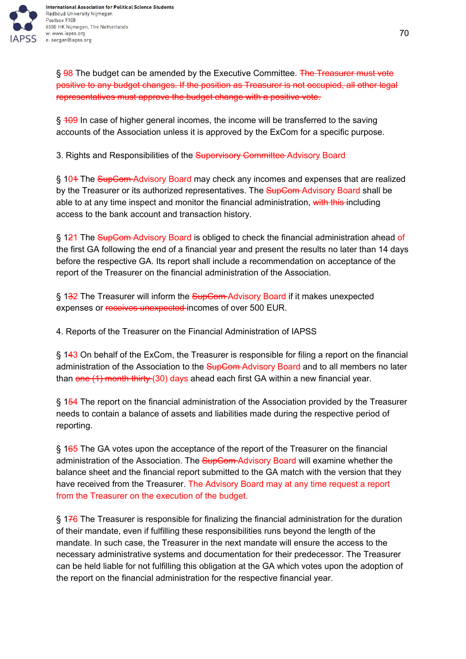

§ 98 The budget can be amended by the Executive Committee. The Treasurer must vote positive to any budget changes. If the position as Treasurer is not occupied, all other legal representatives must approve the budget change with a positive vote.

§ 409 In case of higher general incomes, the income will be transferred to the saving accounts of the Association unless it is approved by the ExCom for a specific purpose.

3. Rights and Responsibilities of the **Supervisory Committee Advisory Board** 

§ 104 The SupCom Advisory Board may check any incomes and expenses that are realized by the Treasurer or its authorized representatives. The SupCom-Advisory Board shall be able to at any time inspect and monitor the financial administration, with this including access to the bank account and transaction history.

§ 121 The SupCom-Advisory Board is obliged to check the financial administration ahead of the first GA following the end of a financial year and present the results no later than 14 days before the respective GA. Its report shall include a recommendation on acceptance of the report of the Treasurer on the financial administration of the Association.

§ 132 The Treasurer will inform the SupCom-Advisory Board if it makes unexpected expenses or receives unexpected incomes of over 500 EUR.

4. Reports of the Treasurer on the Financial Administration of IAPSS

§ 143 On behalf of the ExCom, the Treasurer is responsible for filing a report on the financial administration of the Association to the SupCom-Advisory Board and to all members no later than one (1) month thirty (30) days ahead each first GA within a new financial year.

§ 154 The report on the financial administration of the Association provided by the Treasurer needs to contain a balance of assets and liabilities made during the respective period of reporting.

§ 165 The GA votes upon the acceptance of the report of the Treasurer on the financial administration of the Association. The **SupCom-Advisory Board will examine whether the** balance sheet and the financial report submitted to the GA match with the version that they have received from the Treasurer. The Advisory Board may at any time request a report from the Treasurer on the execution of the budget.

§ 176 The Treasurer is responsible for finalizing the financial administration for the duration of their mandate, even if fulfilling these responsibilities runs beyond the length of the mandate. In such case, the Treasurer in the next mandate will ensure the access to the necessary administrative systems and documentation for their predecessor. The Treasurer can be held liable for not fulfilling this obligation at the GA which votes upon the adoption of the report on the financial administration for the respective financial year.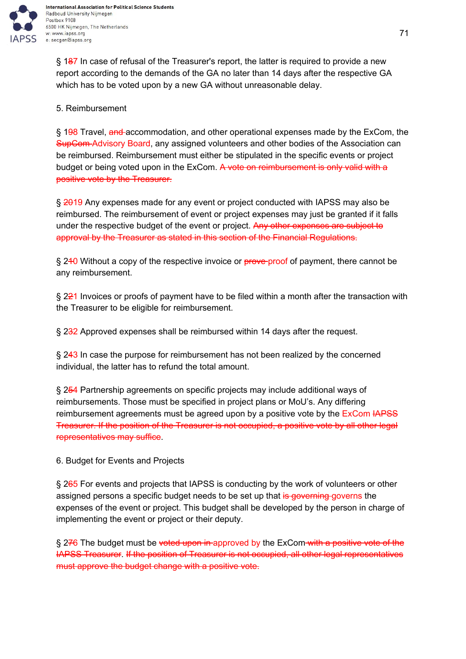

§ 187 In case of refusal of the Treasurer's report, the latter is required to provide a new report according to the demands of the GA no later than 14 days after the respective GA which has to be voted upon by a new GA without unreasonable delay.

## 5. Reimbursement

§ 198 Travel, and accommodation, and other operational expenses made by the ExCom, the SupCom Advisory Board, any assigned volunteers and other bodies of the Association can be reimbursed. Reimbursement must either be stipulated in the specific events or project budget or being voted upon in the ExCom. A vote on reimbursement is only valid with a positive vote by the Treasurer.

§ 2019 Any expenses made for any event or project conducted with IAPSS may also be reimbursed. The reimbursement of event or project expenses may just be granted if it falls under the respective budget of the event or project. Any other expenses are subject to approval by the Treasurer as stated in this section of the Financial Regulations.

§ 240 Without a copy of the respective invoice or prove proof of payment, there cannot be any reimbursement.

§ 221 Invoices or proofs of payment have to be filed within a month after the transaction with the Treasurer to be eligible for reimbursement.

§ 232 Approved expenses shall be reimbursed within 14 days after the request.

§ 243 In case the purpose for reimbursement has not been realized by the concerned individual, the latter has to refund the total amount.

§ 254 Partnership agreements on specific projects may include additional ways of reimbursements. Those must be specified in project plans or MoU's. Any differing reimbursement agreements must be agreed upon by a positive vote by the ExCom HAPSS Treasurer. If the position of the Treasurer is not occupied, a positive vote by all other legal representatives may suffice.

6. Budget for Events and Projects

§ 265 For events and projects that IAPSS is conducting by the work of volunteers or other assigned persons a specific budget needs to be set up that is governing governs the expenses of the event or project. This budget shall be developed by the person in charge of implementing the event or project or their deputy.

§ 276 The budget must be voted upon in approved by the ExCom with a positive vote of the IAPSS Treasurer. If the position of Treasurer is not occupied, all other legal representatives must approve the budget change with a positive vote.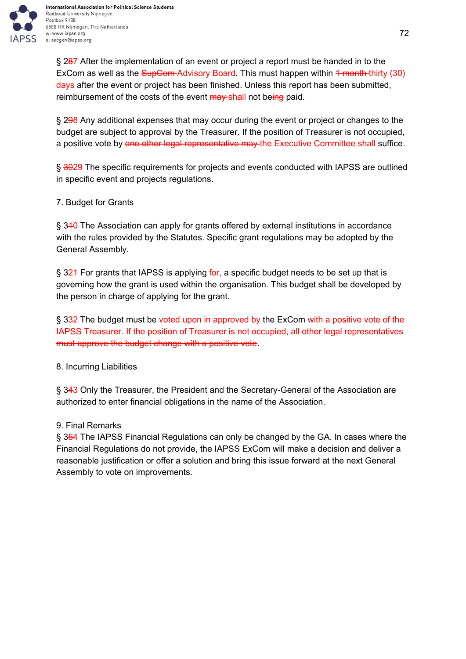

§ 287 After the implementation of an event or project a report must be handed in to the ExCom as well as the SupCom-Advisory Board. This must happen within 4 month thirty (30) days after the event or project has been finished. Unless this report has been submitted, reimbursement of the costs of the event may shall not being paid.

§ 298 Any additional expenses that may occur during the event or project or changes to the budget are subject to approval by the Treasurer. If the position of Treasurer is not occupied, a positive vote by one other legal representative may the Executive Committee shall suffice.

§ 3029 The specific requirements for projects and events conducted with IAPSS are outlined in specific event and projects regulations.

7. Budget for Grants

§ 310 The Association can apply for grants offered by external institutions in accordance with the rules provided by the Statutes. Specific grant regulations may be adopted by the General Assembly.

§ 321 For grants that IAPSS is applying for, a specific budget needs to be set up that is governing how the grant is used within the organisation. This budget shall be developed by the person in charge of applying for the grant.

§ 332 The budget must be voted upon in approved by the ExCom with a positive vote of the IAPSS Treasurer. If the position of Treasurer is not occupied, all other legal representatives must approve the budget change with a positive vote.

8. Incurring Liabilities

§ 343 Only the Treasurer, the President and the Secretary-General of the Association are authorized to enter financial obligations in the name of the Association.

# 9. Final Remarks

§ 354 The IAPSS Financial Regulations can only be changed by the GA. In cases where the Financial Regulations do not provide, the IAPSS ExCom will make a decision and deliver a reasonable justification or offer a solution and bring this issue forward at the next General Assembly to vote on improvements.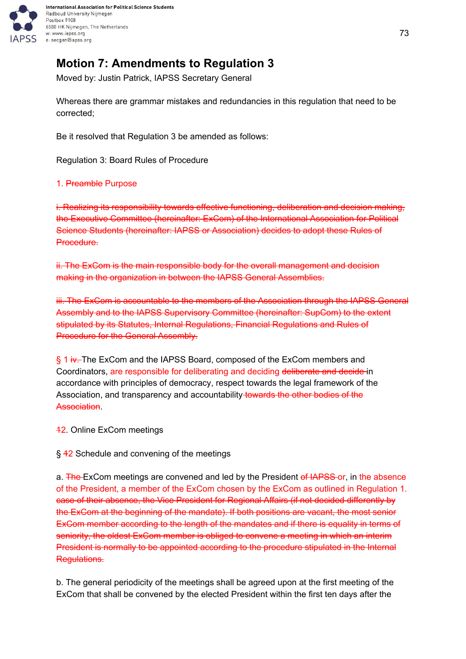

# **Motion 7: Amendments to Regulation 3**

Moved by: Justin Patrick, IAPSS Secretary General

Whereas there are grammar mistakes and redundancies in this regulation that need to be corrected;

Be it resolved that Regulation 3 be amended as follows:

Regulation 3: Board Rules of Procedure

#### 1. Preamble Purpose

i. Realizing its responsibility towards effective functioning, deliberation and decision making, the Executive Committee (hereinafter: ExCom) of the International Association for Political Science Students (hereinafter: IAPSS or Association) decides to adopt these Rules of Procedure.

ii. The ExCom is the main responsible body for the overall management and decision making in the organization in between the IAPSS General Assemblies.

iii. The ExCom is accountable to the members of the Association through the IAPSS General Assembly and to the IAPSS Supervisory Committee (hereinafter: SupCom) to the extent stipulated by its Statutes, Internal Regulations, Financial Regulations and Rules of Procedure for the General Assembly.

§ 1 iv. The ExCom and the IAPSS Board, composed of the ExCom members and Coordinators, are responsible for deliberating and deciding deliberate and decide in accordance with principles of democracy, respect towards the legal framework of the Association, and transparency and accountability towards the other bodies of the Association.

42. Online ExCom meetings

§ 42 Schedule and convening of the meetings

a. The ExCom meetings are convened and led by the President of IAPSS or, in the absence of the President, a member of the ExCom chosen by the ExCom as outlined in Regulation 1. case of their absence, the Vice President for Regional Affairs (if not decided differently by the ExCom at the beginning of the mandate). If both positions are vacant, the most senior ExCom member according to the length of the mandates and if there is equality in terms of seniority, the oldest ExCom member is obliged to convene a meeting in which an interim President is normally to be appointed according to the procedure stipulated in the Internal Regulations.

b. The general periodicity of the meetings shall be agreed upon at the first meeting of the ExCom that shall be convened by the elected President within the first ten days after the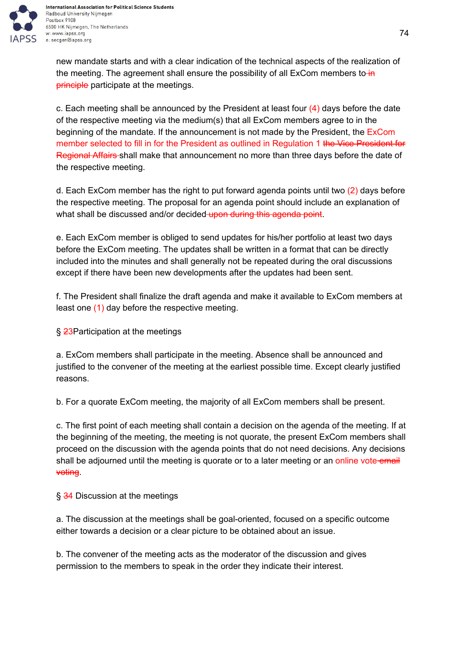

new mandate starts and with a clear indication of the technical aspects of the realization of the meeting. The agreement shall ensure the possibility of all ExCom members to-in **principle** participate at the meetings.

c. Each meeting shall be announced by the President at least four  $(4)$  days before the date of the respective meeting via the medium(s) that all ExCom members agree to in the beginning of the mandate. If the announcement is not made by the President, the ExCom member selected to fill in for the President as outlined in Regulation 1 the Vice President for Regional Affairs shall make that announcement no more than three days before the date of the respective meeting.

d. Each ExCom member has the right to put forward agenda points until two (2) days before the respective meeting. The proposal for an agenda point should include an explanation of what shall be discussed and/or decided upon during this agenda point.

e. Each ExCom member is obliged to send updates for his/her portfolio at least two days before the ExCom meeting. The updates shall be written in a format that can be directly included into the minutes and shall generally not be repeated during the oral discussions except if there have been new developments after the updates had been sent.

f. The President shall finalize the draft agenda and make it available to ExCom members at least one (1) day before the respective meeting.

§ 23Participation at the meetings

a. ExCom members shall participate in the meeting. Absence shall be announced and justified to the convener of the meeting at the earliest possible time. Except clearly justified reasons.

b. For a quorate ExCom meeting, the majority of all ExCom members shall be present.

c. The first point of each meeting shall contain a decision on the agenda of the meeting. If at the beginning of the meeting, the meeting is not quorate, the present ExCom members shall proceed on the discussion with the agenda points that do not need decisions. Any decisions shall be adjourned until the meeting is quorate or to a later meeting or an online vote email voting.

§ 34 Discussion at the meetings

a. The discussion at the meetings shall be goal-oriented, focused on a specific outcome either towards a decision or a clear picture to be obtained about an issue.

b. The convener of the meeting acts as the moderator of the discussion and gives permission to the members to speak in the order they indicate their interest.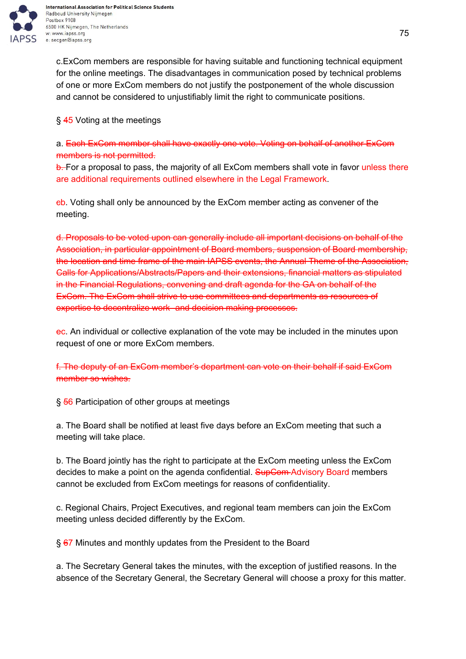

International Association for Political Science Students Radboud University Nijmegen 6500 HK Nijmegen, The Netherlands w: www.iapss.org

c.ExCom members are responsible for having suitable and functioning technical equipment for the online meetings. The disadvantages in communication posed by technical problems of one or more ExCom members do not justify the postponement of the whole discussion and cannot be considered to unjustifiably limit the right to communicate positions.

#### § 45 Voting at the meetings

a. Each ExCom member shall have exactly one vote. Voting on behalf of another ExCom members is not permitted.

b. For a proposal to pass, the majority of all ExCom members shall vote in favor unless there are additional requirements outlined elsewhere in the Legal Framework.

cb. Voting shall only be announced by the ExCom member acting as convener of the meeting.

d. Proposals to be voted upon can generally include all important decisions on behalf of the Association, in particular appointment of Board members, suspension of Board membership, the location and time frame of the main IAPSS events, the Annual Theme of the Association, Calls for Applications/Abstracts/Papers and their extensions, financial matters as stipulated in the Financial Regulations, convening and draft agenda for the GA on behalf of the ExCom. The ExCom shall strive to use committees and departments as resources of expertise to decentralize work- and decision making processes.

ec. An individual or collective explanation of the vote may be included in the minutes upon request of one or more ExCom members.

f. The deputy of an ExCom member's department can vote on their behalf if said ExCom member so wishes.

§ 56 Participation of other groups at meetings

a. The Board shall be notified at least five days before an ExCom meeting that such a meeting will take place.

b. The Board jointly has the right to participate at the ExCom meeting unless the ExCom decides to make a point on the agenda confidential. SupCom-Advisory Board members cannot be excluded from ExCom meetings for reasons of confidentiality.

c. Regional Chairs, Project Executives, and regional team members can join the ExCom meeting unless decided differently by the ExCom.

§ 67 Minutes and monthly updates from the President to the Board

a. The Secretary General takes the minutes, with the exception of justified reasons. In the absence of the Secretary General, the Secretary General will choose a proxy for this matter.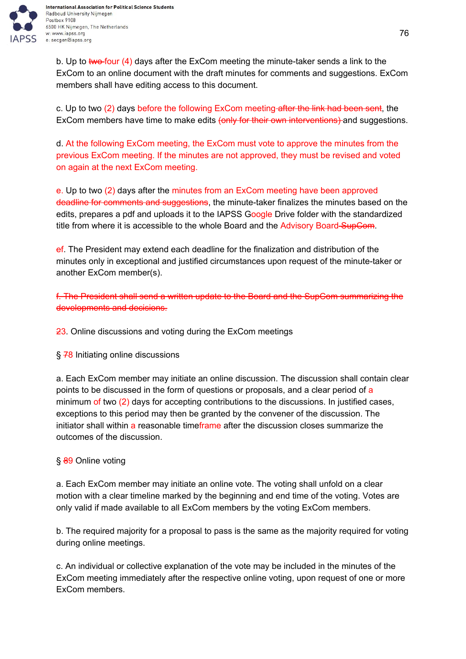

b. Up to two four  $(4)$  days after the ExCom meeting the minute-taker sends a link to the ExCom to an online document with the draft minutes for comments and suggestions. ExCom members shall have editing access to this document.

c. Up to two (2) days before the following ExCom meeting after the link had been sent, the ExCom members have time to make edits (only for their own interventions) and suggestions.

d. At the following ExCom meeting, the ExCom must vote to approve the minutes from the previous ExCom meeting. If the minutes are not approved, they must be revised and voted on again at the next ExCom meeting.

e. Up to two (2) days after the minutes from an ExCom meeting have been approved deadline for comments and suggestions, the minute-taker finalizes the minutes based on the edits, prepares a pdf and uploads it to the IAPSS Google Drive folder with the standardized title from where it is accessible to the whole Board and the Advisory Board SupCom.

ef. The President may extend each deadline for the finalization and distribution of the minutes only in exceptional and justified circumstances upon request of the minute-taker or another ExCom member(s).

f. The President shall send a written update to the Board and the SupCom summarizing the developments and decisions.

23. Online discussions and voting during the ExCom meetings

§ 78 Initiating online discussions

a. Each ExCom member may initiate an online discussion. The discussion shall contain clear points to be discussed in the form of questions or proposals, and a clear period of a minimum of two (2) days for accepting contributions to the discussions. In justified cases, exceptions to this period may then be granted by the convener of the discussion. The initiator shall within a reasonable timeframe after the discussion closes summarize the outcomes of the discussion.

## § 89 Online voting

a. Each ExCom member may initiate an online vote. The voting shall unfold on a clear motion with a clear timeline marked by the beginning and end time of the voting. Votes are only valid if made available to all ExCom members by the voting ExCom members.

b. The required majority for a proposal to pass is the same as the majority required for voting during online meetings.

c. An individual or collective explanation of the vote may be included in the minutes of the ExCom meeting immediately after the respective online voting, upon request of one or more ExCom members.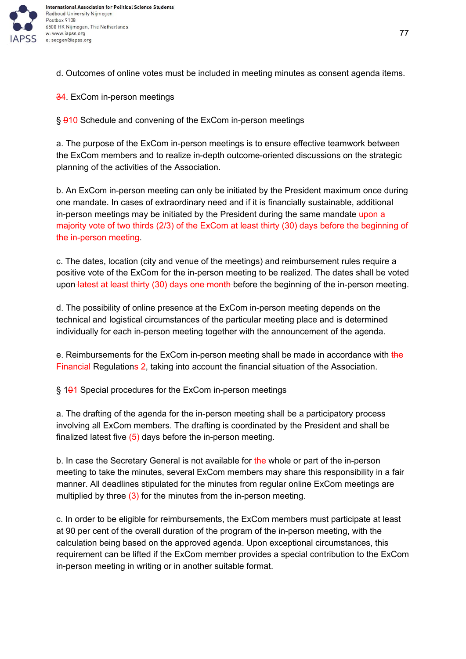

d. Outcomes of online votes must be included in meeting minutes as consent agenda items.

34. ExCom in-person meetings

§ 910 Schedule and convening of the ExCom in-person meetings

a. The purpose of the ExCom in-person meetings is to ensure effective teamwork between the ExCom members and to realize in-depth outcome-oriented discussions on the strategic planning of the activities of the Association.

b. An ExCom in-person meeting can only be initiated by the President maximum once during one mandate. In cases of extraordinary need and if it is financially sustainable, additional in-person meetings may be initiated by the President during the same mandate upon a majority vote of two thirds (2/3) of the ExCom at least thirty (30) days before the beginning of the in-person meeting.

c. The dates, location (city and venue of the meetings) and reimbursement rules require a positive vote of the ExCom for the in-person meeting to be realized. The dates shall be voted upon latest at least thirty (30) days one month before the beginning of the in-person meeting.

d. The possibility of online presence at the ExCom in-person meeting depends on the technical and logistical circumstances of the particular meeting place and is determined individually for each in-person meeting together with the announcement of the agenda.

e. Reimbursements for the ExCom in-person meeting shall be made in accordance with the Financial Regulations 2, taking into account the financial situation of the Association.

 $\S$  1 $\theta$ 1 Special procedures for the ExCom in-person meetings

a. The drafting of the agenda for the in-person meeting shall be a participatory process involving all ExCom members. The drafting is coordinated by the President and shall be finalized latest five  $(5)$  days before the in-person meeting.

b. In case the Secretary General is not available for the whole or part of the in-person meeting to take the minutes, several ExCom members may share this responsibility in a fair manner. All deadlines stipulated for the minutes from regular online ExCom meetings are multiplied by three  $(3)$  for the minutes from the in-person meeting.

c. In order to be eligible for reimbursements, the ExCom members must participate at least at 90 per cent of the overall duration of the program of the in-person meeting, with the calculation being based on the approved agenda. Upon exceptional circumstances, this requirement can be lifted if the ExCom member provides a special contribution to the ExCom in-person meeting in writing or in another suitable format.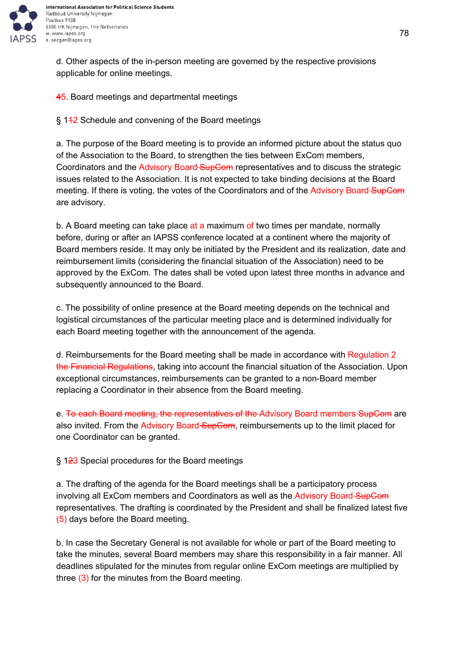

d. Other aspects of the in-person meeting are governed by the respective provisions applicable for online meetings.

45. Board meetings and departmental meetings

§ 142 Schedule and convening of the Board meetings

a. The purpose of the Board meeting is to provide an informed picture about the status quo of the Association to the Board, to strengthen the ties between ExCom members, Coordinators and the Advisory Board SupCom representatives and to discuss the strategic issues related to the Association. It is not expected to take binding decisions at the Board meeting. If there is voting, the votes of the Coordinators and of the Advisory Board SupCom are advisory.

b. A Board meeting can take place at a maximum of two times per mandate, normally before, during or after an IAPSS conference located at a continent where the majority of Board members reside. It may only be initiated by the President and its realization, date and reimbursement limits (considering the financial situation of the Association) need to be approved by the ExCom. The dates shall be voted upon latest three months in advance and subsequently announced to the Board.

c. The possibility of online presence at the Board meeting depends on the technical and logistical circumstances of the particular meeting place and is determined individually for each Board meeting together with the announcement of the agenda.

d. Reimbursements for the Board meeting shall be made in accordance with Regulation 2 the Financial Regulations, taking into account the financial situation of the Association. Upon exceptional circumstances, reimbursements can be granted to a non-Board member replacing a Coordinator in their absence from the Board meeting.

e. To each Board meeting, the representatives of the Advisory Board members SupCom are also invited. From the Advisory Board-SupCom, reimbursements up to the limit placed for one Coordinator can be granted.

§ 123 Special procedures for the Board meetings

a. The drafting of the agenda for the Board meetings shall be a participatory process involving all ExCom members and Coordinators as well as the Advisory Board-SupCom representatives. The drafting is coordinated by the President and shall be finalized latest five (5) days before the Board meeting.

b. In case the Secretary General is not available for whole or part of the Board meeting to take the minutes, several Board members may share this responsibility in a fair manner. All deadlines stipulated for the minutes from regular online ExCom meetings are multiplied by three (3) for the minutes from the Board meeting.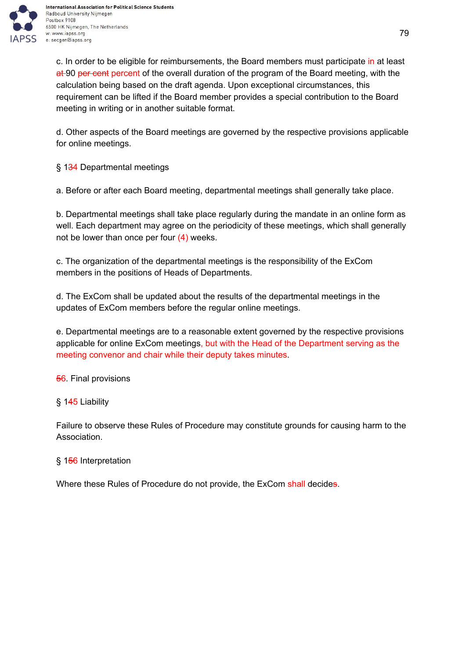

c. In order to be eligible for reimbursements, the Board members must participate in at least at 90 per cent percent of the overall duration of the program of the Board meeting, with the calculation being based on the draft agenda. Upon exceptional circumstances, this requirement can be lifted if the Board member provides a special contribution to the Board meeting in writing or in another suitable format.

d. Other aspects of the Board meetings are governed by the respective provisions applicable for online meetings.

§ 1<del>34</del> Departmental meetings

a. Before or after each Board meeting, departmental meetings shall generally take place.

b. Departmental meetings shall take place regularly during the mandate in an online form as well. Each department may agree on the periodicity of these meetings, which shall generally not be lower than once per four  $(4)$  weeks.

c. The organization of the departmental meetings is the responsibility of the ExCom members in the positions of Heads of Departments.

d. The ExCom shall be updated about the results of the departmental meetings in the updates of ExCom members before the regular online meetings.

e. Departmental meetings are to a reasonable extent governed by the respective provisions applicable for online ExCom meetings, but with the Head of the Department serving as the meeting convenor and chair while their deputy takes minutes.

**56**. Final provisions

## § 145 Liability

Failure to observe these Rules of Procedure may constitute grounds for causing harm to the Association.

## § 156 Interpretation

Where these Rules of Procedure do not provide, the ExCom shall decides.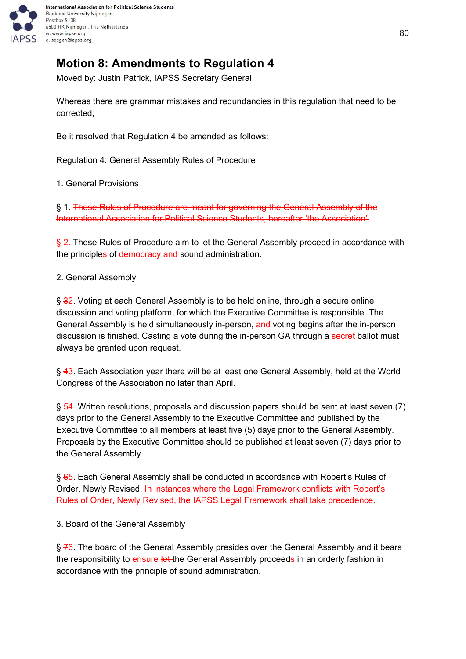

# **Motion 8: Amendments to Regulation 4**

Moved by: Justin Patrick, IAPSS Secretary General

Whereas there are grammar mistakes and redundancies in this regulation that need to be corrected;

Be it resolved that Regulation 4 be amended as follows:

Regulation 4: General Assembly Rules of Procedure

1. General Provisions

§ 1. These Rules of Procedure are meant for governing the General Assembly of the International Association for Political Science Students, hereafter 'the Association'.

§ 2. These Rules of Procedure aim to let the General Assembly proceed in accordance with the principles of democracy and sound administration.

2. General Assembly

§ 32. Voting at each General Assembly is to be held online, through a secure online discussion and voting platform, for which the Executive Committee is responsible. The General Assembly is held simultaneously in-person, and voting begins after the in-person discussion is finished. Casting a vote during the in-person GA through a secret ballot must always be granted upon request.

§ 43. Each Association year there will be at least one General Assembly, held at the World Congress of the Association no later than April.

§ 54. Written resolutions, proposals and discussion papers should be sent at least seven (7) days prior to the General Assembly to the Executive Committee and published by the Executive Committee to all members at least five (5) days prior to the General Assembly. Proposals by the Executive Committee should be published at least seven (7) days prior to the General Assembly.

§ 65. Each General Assembly shall be conducted in accordance with Robert's Rules of Order, Newly Revised. In instances where the Legal Framework conflicts with Robert's Rules of Order, Newly Revised, the IAPSS Legal Framework shall take precedence.

3. Board of the General Assembly

§ 76. The board of the General Assembly presides over the General Assembly and it bears the responsibility to ensure let the General Assembly proceeds in an orderly fashion in accordance with the principle of sound administration.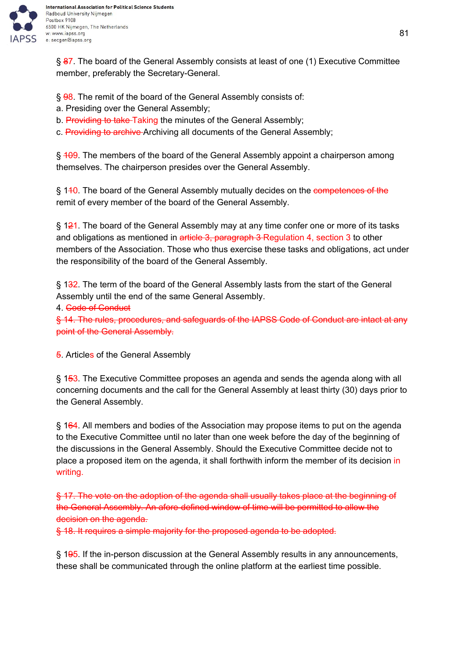

§ 87. The board of the General Assembly consists at least of one (1) Executive Committee member, preferably the Secretary-General.

§ 98. The remit of the board of the General Assembly consists of:

- a. Presiding over the General Assembly;
- b. Providing to take Taking the minutes of the General Assembly;
- c. Providing to archive Archiving all documents of the General Assembly;

§ 409. The members of the board of the General Assembly appoint a chairperson among themselves. The chairperson presides over the General Assembly.

§ 140. The board of the General Assembly mutually decides on the competences of the remit of every member of the board of the General Assembly.

§ 121. The board of the General Assembly may at any time confer one or more of its tasks and obligations as mentioned in article 3, paragraph 3 Regulation 4, section 3 to other members of the Association. Those who thus exercise these tasks and obligations, act under the responsibility of the board of the General Assembly.

§ 1<del>3</del>2. The term of the board of the General Assembly lasts from the start of the General Assembly until the end of the same General Assembly.

4. Code of Conduct

§ 14. The rules, procedures, and safeguards of the IAPSS Code of Conduct are intact at any point of the General Assembly.

**5.** Articles of the General Assembly

§ 153. The Executive Committee proposes an agenda and sends the agenda along with all concerning documents and the call for the General Assembly at least thirty (30) days prior to the General Assembly.

§ 164. All members and bodies of the Association may propose items to put on the agenda to the Executive Committee until no later than one week before the day of the beginning of the discussions in the General Assembly. Should the Executive Committee decide not to place a proposed item on the agenda, it shall forthwith inform the member of its decision in writing.

§ 17. The vote on the adoption of the agenda shall usually takes place at the beginning of the General Assembly. An afore-defined window of time will be permitted to allow the decision on the agenda.

§ 18. It requires a simple majority for the proposed agenda to be adopted.

§ 195. If the in-person discussion at the General Assembly results in any announcements, these shall be communicated through the online platform at the earliest time possible.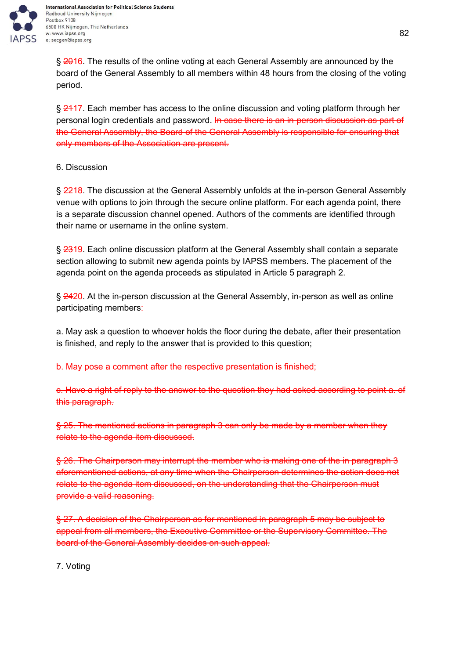

International Association for Political Science Students Radboud University Nijmegen Postbox 9108 6500 HK Nijmegen, The Netherlands w: www.iapss.org e: secgen@iapss.org

§ 2016. The results of the online voting at each General Assembly are announced by the board of the General Assembly to all members within 48 hours from the closing of the voting period.

§ 2417. Each member has access to the online discussion and voting platform through her personal login credentials and password. In case there is an in-person discussion as part of the General Assembly, the Board of the General Assembly is responsible for ensuring that only members of the Association are present.

6. Discussion

§ 2218. The discussion at the General Assembly unfolds at the in-person General Assembly venue with options to join through the secure online platform. For each agenda point, there is a separate discussion channel opened. Authors of the comments are identified through their name or username in the online system.

§ 2319. Each online discussion platform at the General Assembly shall contain a separate section allowing to submit new agenda points by IAPSS members. The placement of the agenda point on the agenda proceeds as stipulated in Article 5 paragraph 2.

§ 2420. At the in-person discussion at the General Assembly, in-person as well as online participating members:

a. May ask a question to whoever holds the floor during the debate, after their presentation is finished, and reply to the answer that is provided to this question;

b. May pose a comment after the respective presentation is finished;

c. Have a right of reply to the answer to the question they had asked according to point a. of this paragraph.

§ 25. The mentioned actions in paragraph 3 can only be made by a member when they relate to the agenda item discussed.

§ 26. The Chairperson may interrupt the member who is making one of the in paragraph 3 aforementioned actions, at any time when the Chairperson determines the action does not relate to the agenda item discussed, on the understanding that the Chairperson must provide a valid reasoning.

§ 27. A decision of the Chairperson as for mentioned in paragraph 5 may be subject to appeal from all members, the Executive Committee or the Supervisory Committee. The board of the General Assembly decides on such appeal.

7. Voting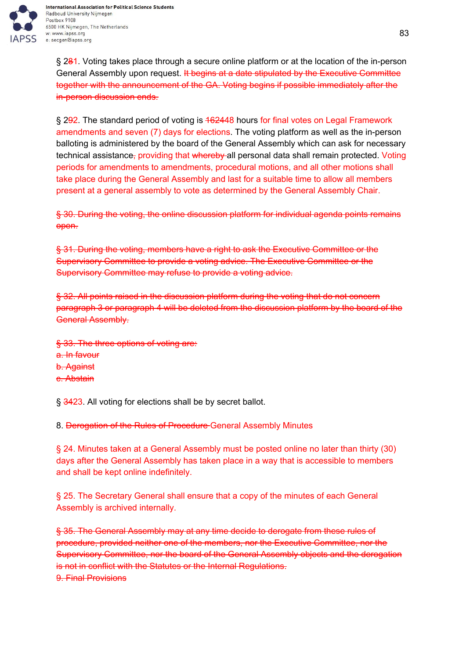

§ 281. Voting takes place through a secure online platform or at the location of the in-person General Assembly upon request. It begins at a date stipulated by the Executive Committee together with the announcement of the GA. Voting begins if possible immediately after the in-person discussion ends.

§ 292. The standard period of voting is 462448 hours for final votes on Legal Framework amendments and seven (7) days for elections. The voting platform as well as the in-person balloting is administered by the board of the General Assembly which can ask for necessary technical assistance, providing that whereby all personal data shall remain protected. Voting periods for amendments to amendments, procedural motions, and all other motions shall take place during the General Assembly and last for a suitable time to allow all members present at a general assembly to vote as determined by the General Assembly Chair.

§ 30. During the voting, the online discussion platform for individual agenda points remains open.

§ 31. During the voting, members have a right to ask the Executive Committee or the Supervisory Committee to provide a voting advice. The Executive Committee or the Supervisory Committee may refuse to provide a voting advice.

§ 32. All points raised in the discussion platform during the voting that do not concern paragraph 3 or paragraph 4 will be deleted from the discussion platform by the board of the General Assembly.

§ 33. The three options of voting are: a. In favour b. Against c. Abstain

§ 3423. All voting for elections shall be by secret ballot.

8. Derogation of the Rules of Procedure General Assembly Minutes

§ 24. Minutes taken at a General Assembly must be posted online no later than thirty (30) days after the General Assembly has taken place in a way that is accessible to members and shall be kept online indefinitely.

§ 25. The Secretary General shall ensure that a copy of the minutes of each General Assembly is archived internally.

§ 35. The General Assembly may at any time decide to derogate from these rules of procedure, provided neither one of the members, nor the Executive Committee, nor the Supervisory Committee, nor the board of the General Assembly objects and the derogation is not in conflict with the Statutes or the Internal Regulations. 9. Final Provisions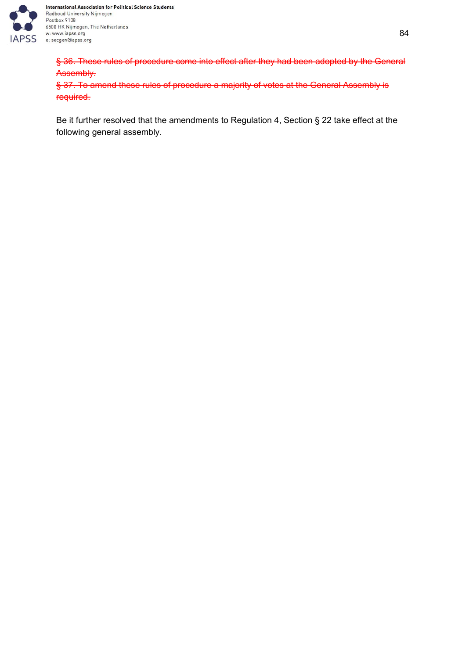

International Association for Political Science Students Radboud University Nijmegen Postbox 9108 6500 HK Nijmegen, The Netherlands w: www.iapss.org e: secgen@iapss.org

§ 36. These rules of procedure come into effect after they had been adopted by the General Assembly.

§ 37. To amend these rules of procedure a majority of votes at the General Assembly is required.

Be it further resolved that the amendments to Regulation 4, Section § 22 take effect at the following general assembly.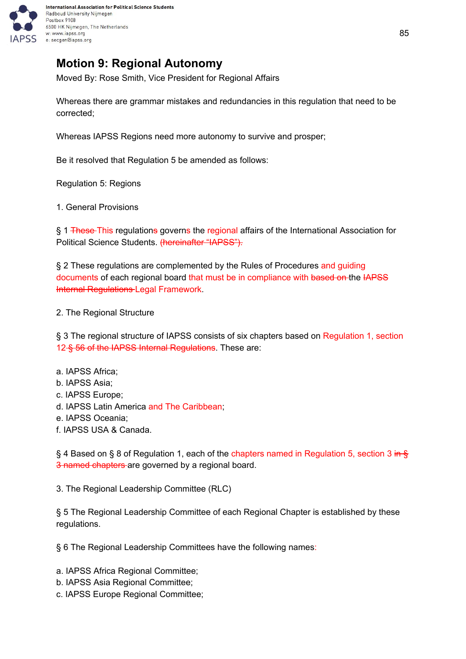

# **Motion 9: Regional Autonomy**

Moved By: Rose Smith, Vice President for Regional Affairs

Whereas there are grammar mistakes and redundancies in this regulation that need to be corrected;

Whereas IAPSS Regions need more autonomy to survive and prosper;

Be it resolved that Regulation 5 be amended as follows:

Regulation 5: Regions

1. General Provisions

§ 1 These This regulations governs the regional affairs of the International Association for Political Science Students. (hereinafter "IAPSS").

§ 2 These regulations are complemented by the Rules of Procedures and guiding documents of each regional board that must be in compliance with based on the IAPSS Internal Regulations Legal Framework.

#### 2. The Regional Structure

§ 3 The regional structure of IAPSS consists of six chapters based on Regulation 1, section 12 § 56 of the IAPSS Internal Regulations. These are:

#### a. IAPSS Africa;

- b. IAPSS Asia;
- c. IAPSS Europe;
- d. IAPSS Latin America and The Caribbean;
- e. IAPSS Oceania;
- f. IAPSS USA & Canada.

§ 4 Based on § 8 of Regulation 1, each of the chapters named in Regulation 5, section 3 in § 3 named chapters are governed by a regional board.

3. The Regional Leadership Committee (RLC)

§ 5 The Regional Leadership Committee of each Regional Chapter is established by these regulations.

§ 6 The Regional Leadership Committees have the following names:

a. IAPSS Africa Regional Committee;

- b. IAPSS Asia Regional Committee;
- c. IAPSS Europe Regional Committee;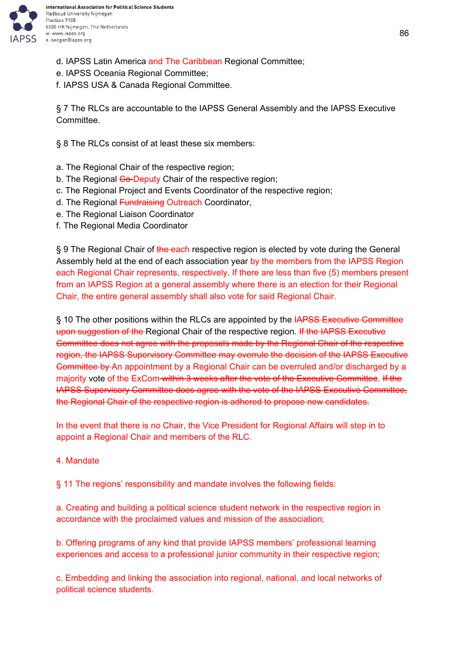

- d. IAPSS Latin America and The Caribbean Regional Committee;
- e. IAPSS Oceania Regional Committee;
- f. IAPSS USA & Canada Regional Committee.

§ 7 The RLCs are accountable to the IAPSS General Assembly and the IAPSS Executive Committee.

§ 8 The RLCs consist of at least these six members:

- a. The Regional Chair of the respective region;
- b. The Regional Co-Deputy Chair of the respective region;
- c. The Regional Project and Events Coordinator of the respective region;
- d. The Regional Fundraising Outreach Coordinator,
- e. The Regional Liaison Coordinator
- f. The Regional Media Coordinator

§ 9 The Regional Chair of the each respective region is elected by vote during the General Assembly held at the end of each association year by the members from the IAPSS Region each Regional Chair represents, respectively. If there are less than five (5) members present from an IAPSS Region at a general assembly where there is an election for their Regional Chair, the entire general assembly shall also vote for said Regional Chair.

§ 10 The other positions within the RLCs are appointed by the **IAPSS Executive Committee** upon suggestion of the Regional Chair of the respective region. If the IAPSS Executive Committee does not agree with the proposals made by the Regional Chair of the respective region, the IAPSS Supervisory Committee may overrule the decision of the IAPSS Executive Committee by An appointment by a Regional Chair can be overruled and/or discharged by a majority vote of the ExCom within 3 weeks after the vote of the Executive Committee. If the IAPSS Supervisory Committee does agree with the vote of the IAPSS Executive Committee, the Regional Chair of the respective region is adhered to propose new candidates.

In the event that there is no Chair, the Vice President for Regional Affairs will step in to appoint a Regional Chair and members of the RLC.

#### 4. Mandate

§ 11 The regions' responsibility and mandate involves the following fields:

a. Creating and building a political science student network in the respective region in accordance with the proclaimed values and mission of the association;

b. Offering programs of any kind that provide IAPSS members' professional learning experiences and access to a professional junior community in their respective region;

c. Embedding and linking the association into regional, national, and local networks of political science students.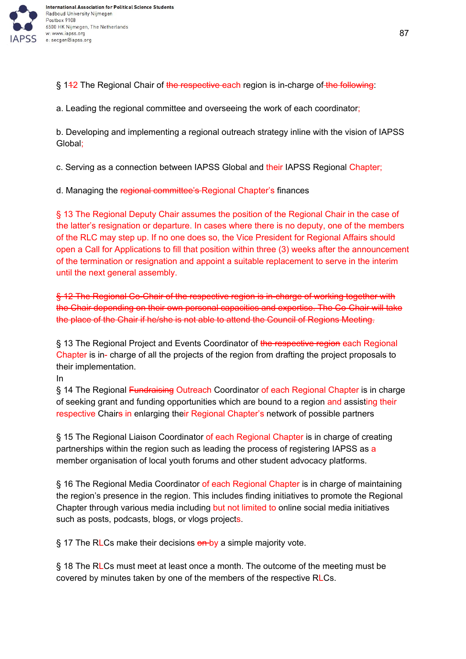

§ 142 The Regional Chair of the respective each region is in-charge of the following:

a. Leading the regional committee and overseeing the work of each coordinator;

b. Developing and implementing a regional outreach strategy inline with the vision of IAPSS Global;

c. Serving as a connection between IAPSS Global and their IAPSS Regional Chapter;

d. Managing the regional committee's Regional Chapter's finances

§ 13 The Regional Deputy Chair assumes the position of the Regional Chair in the case of the latter's resignation or departure. In cases where there is no deputy, one of the members of the RLC may step up. If no one does so, the Vice President for Regional Affairs should open a Call for Applications to fill that position within three (3) weeks after the announcement of the termination or resignation and appoint a suitable replacement to serve in the interim until the next general assembly.

§ 12 The Regional Co-Chair of the respective region is in-charge of working together with the Chair depending on their own personal capacities and expertise. The Co-Chair will take the place of the Chair if he/she is not able to attend the Council of Regions Meeting.

§ 13 The Regional Project and Events Coordinator of the respective region each Regional Chapter is in- charge of all the projects of the region from drafting the project proposals to their implementation.

In

§ 14 The Regional Fundraising Outreach Coordinator of each Regional Chapter is in charge of seeking grant and funding opportunities which are bound to a region and assisting their respective Chairs in enlarging their Regional Chapter's network of possible partners

§ 15 The Regional Liaison Coordinator of each Regional Chapter is in charge of creating partnerships within the region such as leading the process of registering IAPSS as a member organisation of local youth forums and other student advocacy platforms.

§ 16 The Regional Media Coordinator of each Regional Chapter is in charge of maintaining the region's presence in the region. This includes finding initiatives to promote the Regional Chapter through various media including but not limited to online social media initiatives such as posts, podcasts, blogs, or vlogs projects.

 $\S$  17 The RLCs make their decisions  $\theta$ n-by a simple majority vote.

§ 18 The RLCs must meet at least once a month. The outcome of the meeting must be covered by minutes taken by one of the members of the respective RLCs.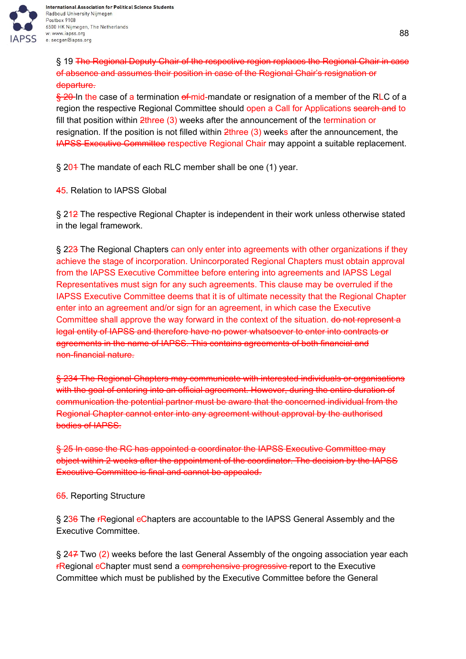

International Association for Political Science Students Radboud University Nijmegen Postbox 9108 6500 HK Nijmegen, The Netherlands w: www.iapss.org e: secgen@iapss.org

§ 19 The Regional Deputy Chair of the respective region replaces the Regional Chair in case of absence and assumes their position in case of the Regional Chair's resignation or departure.

 $\frac{6}{5}$  20-In the case of a termination of mid-mandate or resignation of a member of the RLC of a region the respective Regional Committee should open a Call for Applications search and to fill that position within 2three (3) weeks after the announcement of the termination or resignation. If the position is not filled within 2three (3) weeks after the announcement, the IAPSS Executive Committee respective Regional Chair may appoint a suitable replacement.

§ 204 The mandate of each RLC member shall be one (1) year.

45. Relation to IAPSS Global

§ 212 The respective Regional Chapter is independent in their work unless otherwise stated in the legal framework.

§ 223 The Regional Chapters can only enter into agreements with other organizations if they achieve the stage of incorporation. Unincorporated Regional Chapters must obtain approval from the IAPSS Executive Committee before entering into agreements and IAPSS Legal Representatives must sign for any such agreements. This clause may be overruled if the IAPSS Executive Committee deems that it is of ultimate necessity that the Regional Chapter enter into an agreement and/or sign for an agreement, in which case the Executive Committee shall approve the way forward in the context of the situation. do not represent a legal entity of IAPSS and therefore have no power whatsoever to enter into contracts or agreements in the name of IAPSS. This contains agreements of both financial and non-financial nature.

§ 234 The Regional Chapters may communicate with interested individuals or organisations with the goal of entering into an official agreement. However, during the entire duration of communication the potential partner must be aware that the concerned individual from the Regional Chapter cannot enter into any agreement without approval by the authorised bodies of IAPSS.

§ 25 In case the RC has appointed a coordinator the IAPSS Executive Committee may object within 2 weeks after the appointment of the coordinator. The decision by the IAPSS Executive Committee is final and cannot be appealed.

65. Reporting Structure

§ 236 The rRegional eChapters are accountable to the IAPSS General Assembly and the Executive Committee.

§ 247 Two (2) weeks before the last General Assembly of the ongoing association year each **FRegional eChapter must send a comprehensive progressive report to the Executive** Committee which must be published by the Executive Committee before the General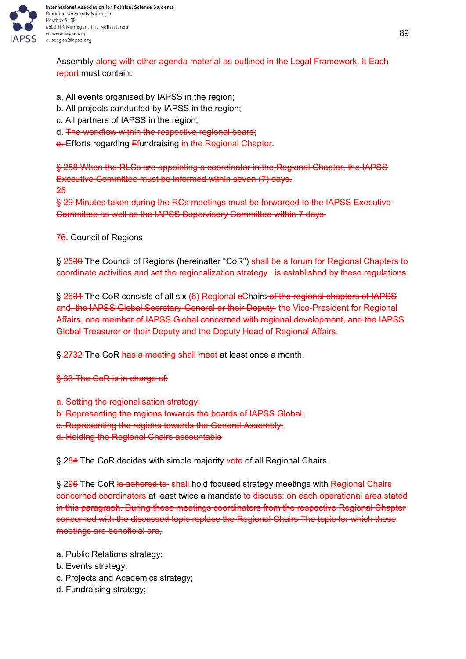

Assembly along with other agenda material as outlined in the Legal Framework. It Each report must contain:

- a. All events organised by IAPSS in the region;
- b. All projects conducted by IAPSS in the region;
- c. All partners of IAPSS in the region;
- d. The workflow within the respective regional board;
- e. Efforts regarding Ffundraising in the Regional Chapter.

§ 258 When the RLCs are appointing a coordinator in the Regional Chapter, the IAPSS Executive Committee must be informed within seven (7) days. 25

§ 29 Minutes taken during the RCs meetings must be forwarded to the IAPSS Executive Committee as well as the IAPSS Supervisory Committee within 7 days.

76. Council of Regions

§ 2530 The Council of Regions (hereinafter "CoR") shall be a forum for Regional Chapters to coordinate activities and set the regionalization strategy. He established by these regulations.

§ 2634 The CoR consists of all six (6) Regional eChairs of the regional chapters of IAPSS and, the IAPSS Global Secretary-General or their Deputy, the Vice-President for Regional Affairs, one member of IAPSS Global concerned with regional development, and the IAPSS Global Treasurer or their Deputy and the Deputy Head of Regional Affairs.

§ 2732 The CoR has a meeting shall meet at least once a month.

§ 33 The CoR is in charge of:

a. Setting the regionalisation strategy;

b. Representing the regions towards the boards of IAPSS Global;

- c. Representing the regions towards the General Assembly;
- d. Holding the Regional Chairs accountable

§ 284 The CoR decides with simple majority vote of all Regional Chairs.

§ 295 The CoR is adhered to shall hold focused strategy meetings with Regional Chairs concerned coordinators at least twice a mandate to discuss: on each operational area stated in this paragraph. During these meetings coordinators from the respective Regional Chapter concerned with the discussed topic replace the Regional Chairs The topic for which these meetings are beneficial are,

- a. Public Relations strategy;
- b. Events strategy;
- c. Projects and Academics strategy;
- d. Fundraising strategy;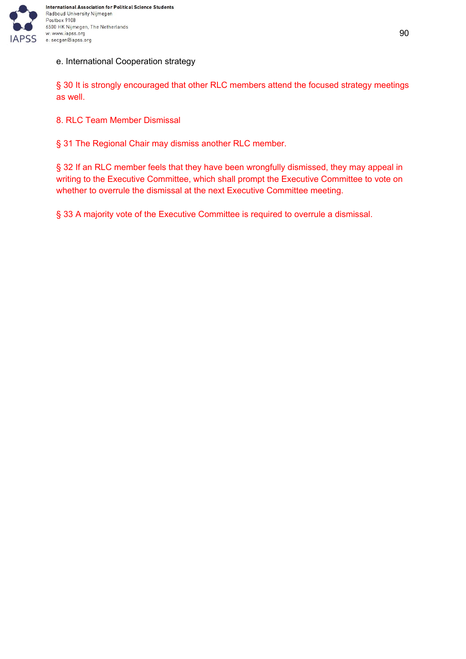

### e. International Cooperation strategy

§ 30 It is strongly encouraged that other RLC members attend the focused strategy meetings as well.

8. RLC Team Member Dismissal

§ 31 The Regional Chair may dismiss another RLC member.

§ 32 If an RLC member feels that they have been wrongfully dismissed, they may appeal in writing to the Executive Committee, which shall prompt the Executive Committee to vote on whether to overrule the dismissal at the next Executive Committee meeting.

§ 33 A majority vote of the Executive Committee is required to overrule a dismissal.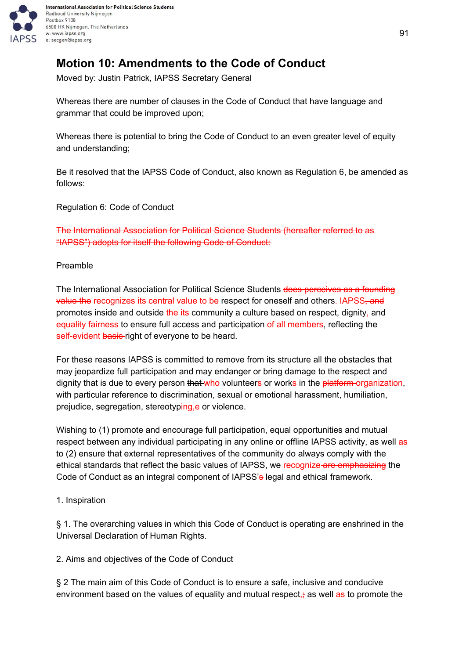

# **Motion 10: Amendments to the Code of Conduct**

Moved by: Justin Patrick, IAPSS Secretary General

Whereas there are number of clauses in the Code of Conduct that have language and grammar that could be improved upon;

Whereas there is potential to bring the Code of Conduct to an even greater level of equity and understanding;

Be it resolved that the IAPSS Code of Conduct, also known as Regulation 6, be amended as follows:

Regulation 6: Code of Conduct

The International Association for Political Science Students (hereafter referred to as "IAPSS") adopts for itself the following Code of Conduct:

### Preamble

The International Association for Political Science Students does perceives as a founding value the recognizes its central value to be respect for oneself and others. IAPSS, and promotes inside and outside the its community a culture based on respect, dignity, and equality fairness to ensure full access and participation of all members, reflecting the self-evident basic right of everyone to be heard.

For these reasons IAPSS is committed to remove from its structure all the obstacles that may jeopardize full participation and may endanger or bring damage to the respect and dignity that is due to every person that who volunteers or works in the platform-organization, with particular reference to discrimination, sexual or emotional harassment, humiliation, prejudice, segregation, stereotyping, e or violence.

Wishing to (1) promote and encourage full participation, equal opportunities and mutual respect between any individual participating in any online or offline IAPSS activity, as well as to (2) ensure that external representatives of the community do always comply with the ethical standards that reflect the basic values of IAPSS, we recognize are emphasizing the Code of Conduct as an integral component of IAPSS's legal and ethical framework.

1. Inspiration

§ 1. The overarching values in which this Code of Conduct is operating are enshrined in the Universal Declaration of Human Rights.

2. Aims and objectives of the Code of Conduct

§ 2 The main aim of this Code of Conduct is to ensure a safe, inclusive and conducive environment based on the values of equality and mutual respect, $\frac{1}{2}$  as well as to promote the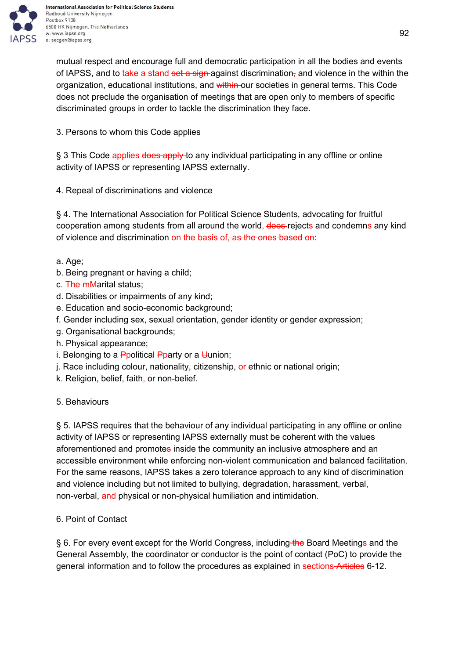

International Association for Political Science Students Radboud University Nijmegen Postbox 9108 6500 HK Nijmegen, The Netherlands w: www.iapss.org e: secgen@iapss.org

mutual respect and encourage full and democratic participation in all the bodies and events of IAPSS, and to take a stand set a sign-against discrimination, and violence in the within the organization, educational institutions, and within our societies in general terms. This Code does not preclude the organisation of meetings that are open only to members of specific discriminated groups in order to tackle the discrimination they face.

3. Persons to whom this Code applies

§ 3 This Code applies does apply-to any individual participating in any offline or online activity of IAPSS or representing IAPSS externally.

4. Repeal of discriminations and violence

§ 4. The International Association for Political Science Students, advocating for fruitful cooperation among students from all around the world, does rejects and condemns any kind of violence and discrimination on the basis of, as the ones based on:

a. Age;

- b. Being pregnant or having a child;
- c. The mMarital status;
- d. Disabilities or impairments of any kind;
- e. Education and socio-economic background;
- f. Gender including sex, sexual orientation, gender identity or gender expression;
- g. Organisational backgrounds;
- h. Physical appearance;
- i. Belonging to a **Ppolitical Pparty or a Uunion**;
- j. Race including colour, nationality, citizenship, or ethnic or national origin;
- k. Religion, belief, faith, or non-belief.

5. Behaviours

§ 5. IAPSS requires that the behaviour of any individual participating in any offline or online activity of IAPSS or representing IAPSS externally must be coherent with the values aforementioned and promotes inside the community an inclusive atmosphere and an accessible environment while enforcing non-violent communication and balanced facilitation. For the same reasons, IAPSS takes a zero tolerance approach to any kind of discrimination and violence including but not limited to bullying, degradation, harassment, verbal, non-verbal, and physical or non-physical humiliation and intimidation.

## 6. Point of Contact

§ 6. For every event except for the World Congress, including the Board Meetings and the General Assembly, the coordinator or conductor is the point of contact (PoC) to provide the general information and to follow the procedures as explained in sections Articles 6-12.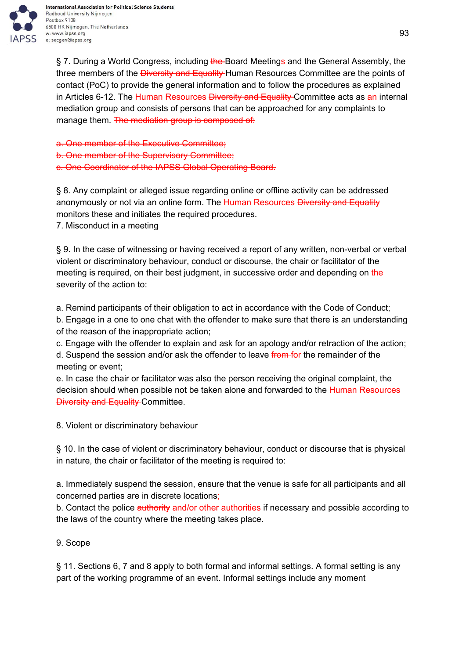

International Association for Political Science Students Radboud University Nijmegen Postbox 9108 6500 HK Nijmegen, The Netherlands w: www.iapss.org e: secgen@iapss.org

§ 7. During a World Congress, including the Board Meetings and the General Assembly, the three members of the *Diversity and Equality* Human Resources Committee are the points of contact (PoC) to provide the general information and to follow the procedures as explained in Articles 6-12. The Human Resources Diversity and Equality Committee acts as an internal mediation group and consists of persons that can be approached for any complaints to manage them. The mediation group is composed of:

a. One member of the Executive Committee; b. One member of the Supervisory Committee; c. One Coordinator of the IAPSS Global Operating Board.

§ 8. Any complaint or alleged issue regarding online or offline activity can be addressed anonymously or not via an online form. The Human Resources Diversity and Equality monitors these and initiates the required procedures.

7. Misconduct in a meeting

§ 9. In the case of witnessing or having received a report of any written, non-verbal or verbal violent or discriminatory behaviour, conduct or discourse, the chair or facilitator of the meeting is required, on their best judgment, in successive order and depending on the severity of the action to:

a. Remind participants of their obligation to act in accordance with the Code of Conduct;

b. Engage in a one to one chat with the offender to make sure that there is an understanding of the reason of the inappropriate action;

c. Engage with the offender to explain and ask for an apology and/or retraction of the action; d. Suspend the session and/or ask the offender to leave from for the remainder of the meeting or event;

e. In case the chair or facilitator was also the person receiving the original complaint, the decision should when possible not be taken alone and forwarded to the Human Resources **Diversity and Equality Committee.** 

8. Violent or discriminatory behaviour

§ 10. In the case of violent or discriminatory behaviour, conduct or discourse that is physical in nature, the chair or facilitator of the meeting is required to:

a. Immediately suspend the session, ensure that the venue is safe for all participants and all concerned parties are in discrete locations;

b. Contact the police authority and/or other authorities if necessary and possible according to the laws of the country where the meeting takes place.

## 9. Scope

§ 11. Sections 6, 7 and 8 apply to both formal and informal settings. A formal setting is any part of the working programme of an event. Informal settings include any moment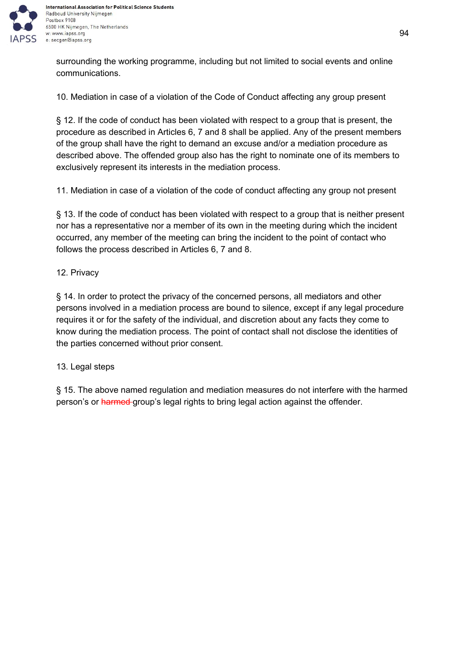

surrounding the working programme, including but not limited to social events and online communications.

10. Mediation in case of a violation of the Code of Conduct affecting any group present

§ 12. If the code of conduct has been violated with respect to a group that is present, the procedure as described in Articles 6, 7 and 8 shall be applied. Any of the present members of the group shall have the right to demand an excuse and/or a mediation procedure as described above. The offended group also has the right to nominate one of its members to exclusively represent its interests in the mediation process.

11. Mediation in case of a violation of the code of conduct affecting any group not present

§ 13. If the code of conduct has been violated with respect to a group that is neither present nor has a representative nor a member of its own in the meeting during which the incident occurred, any member of the meeting can bring the incident to the point of contact who follows the process described in Articles 6, 7 and 8.

#### 12. Privacy

§ 14. In order to protect the privacy of the concerned persons, all mediators and other persons involved in a mediation process are bound to silence, except if any legal procedure requires it or for the safety of the individual, and discretion about any facts they come to know during the mediation process. The point of contact shall not disclose the identities of the parties concerned without prior consent.

#### 13. Legal steps

§ 15. The above named regulation and mediation measures do not interfere with the harmed person's or harmed group's legal rights to bring legal action against the offender.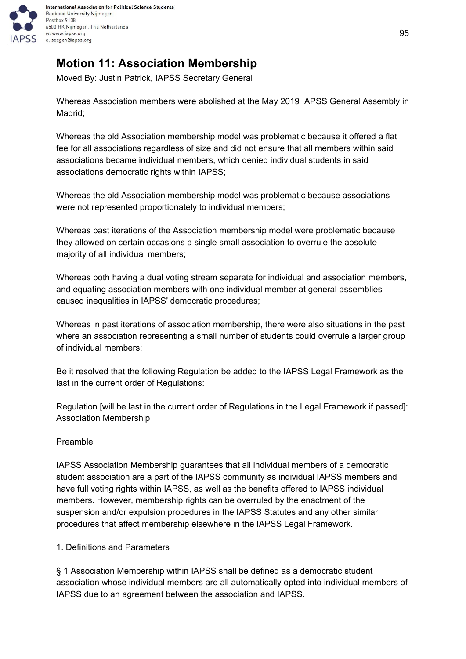

# **Motion 11: Association Membership**

Moved By: Justin Patrick, IAPSS Secretary General

Whereas Association members were abolished at the May 2019 IAPSS General Assembly in Madrid;

Whereas the old Association membership model was problematic because it offered a flat fee for all associations regardless of size and did not ensure that all members within said associations became individual members, which denied individual students in said associations democratic rights within IAPSS;

Whereas the old Association membership model was problematic because associations were not represented proportionately to individual members;

Whereas past iterations of the Association membership model were problematic because they allowed on certain occasions a single small association to overrule the absolute majority of all individual members;

Whereas both having a dual voting stream separate for individual and association members, and equating association members with one individual member at general assemblies caused inequalities in IAPSS' democratic procedures;

Whereas in past iterations of association membership, there were also situations in the past where an association representing a small number of students could overrule a larger group of individual members;

Be it resolved that the following Regulation be added to the IAPSS Legal Framework as the last in the current order of Regulations:

Regulation [will be last in the current order of Regulations in the Legal Framework if passed]: Association Membership

## Preamble

IAPSS Association Membership guarantees that all individual members of a democratic student association are a part of the IAPSS community as individual IAPSS members and have full voting rights within IAPSS, as well as the benefits offered to IAPSS individual members. However, membership rights can be overruled by the enactment of the suspension and/or expulsion procedures in the IAPSS Statutes and any other similar procedures that affect membership elsewhere in the IAPSS Legal Framework.

#### 1. Definitions and Parameters

§ 1 Association Membership within IAPSS shall be defined as a democratic student association whose individual members are all automatically opted into individual members of IAPSS due to an agreement between the association and IAPSS.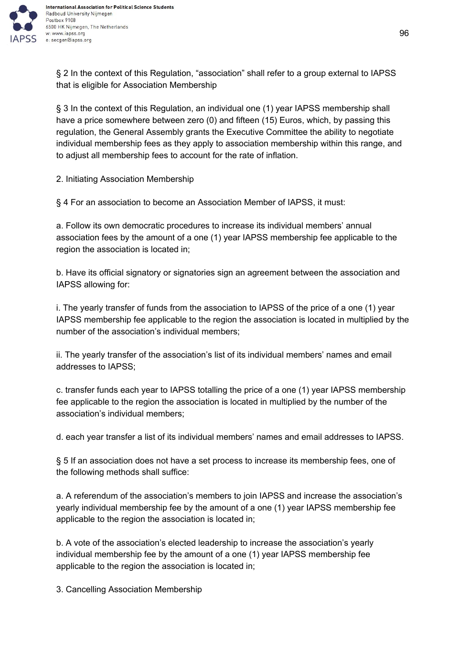

§ 2 In the context of this Regulation, "association" shall refer to a group external to IAPSS that is eligible for Association Membership

§ 3 In the context of this Regulation, an individual one (1) year IAPSS membership shall have a price somewhere between zero (0) and fifteen (15) Euros, which, by passing this regulation, the General Assembly grants the Executive Committee the ability to negotiate individual membership fees as they apply to association membership within this range, and to adjust all membership fees to account for the rate of inflation.

2. Initiating Association Membership

§ 4 For an association to become an Association Member of IAPSS, it must:

a. Follow its own democratic procedures to increase its individual members' annual association fees by the amount of a one (1) year IAPSS membership fee applicable to the region the association is located in;

b. Have its official signatory or signatories sign an agreement between the association and IAPSS allowing for:

i. The yearly transfer of funds from the association to IAPSS of the price of a one (1) year IAPSS membership fee applicable to the region the association is located in multiplied by the number of the association's individual members;

ii. The yearly transfer of the association's list of its individual members' names and email addresses to IAPSS;

c. transfer funds each year to IAPSS totalling the price of a one (1) year IAPSS membership fee applicable to the region the association is located in multiplied by the number of the association's individual members;

d. each year transfer a list of its individual members' names and email addresses to IAPSS.

§ 5 If an association does not have a set process to increase its membership fees, one of the following methods shall suffice:

a. A referendum of the association's members to join IAPSS and increase the association's yearly individual membership fee by the amount of a one (1) year IAPSS membership fee applicable to the region the association is located in;

b. A vote of the association's elected leadership to increase the association's yearly individual membership fee by the amount of a one (1) year IAPSS membership fee applicable to the region the association is located in;

3. Cancelling Association Membership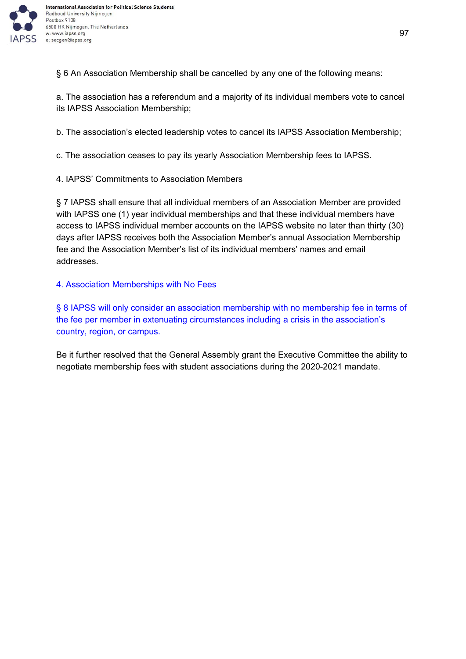

§ 6 An Association Membership shall be cancelled by any one of the following means:

a. The association has a referendum and a majority of its individual members vote to cancel its IAPSS Association Membership;

b. The association's elected leadership votes to cancel its IAPSS Association Membership;

c. The association ceases to pay its yearly Association Membership fees to IAPSS.

4. IAPSS' Commitments to Association Members

§ 7 IAPSS shall ensure that all individual members of an Association Member are provided with IAPSS one (1) year individual memberships and that these individual members have access to IAPSS individual member accounts on the IAPSS website no later than thirty (30) days after IAPSS receives both the Association Member's annual Association Membership fee and the Association Member's list of its individual members' names and email addresses.

4. Association Memberships with No Fees

§ 8 IAPSS will only consider an association membership with no membership fee in terms of the fee per member in extenuating circumstances including a crisis in the association's country, region, or campus.

Be it further resolved that the General Assembly grant the Executive Committee the ability to negotiate membership fees with student associations during the 2020-2021 mandate.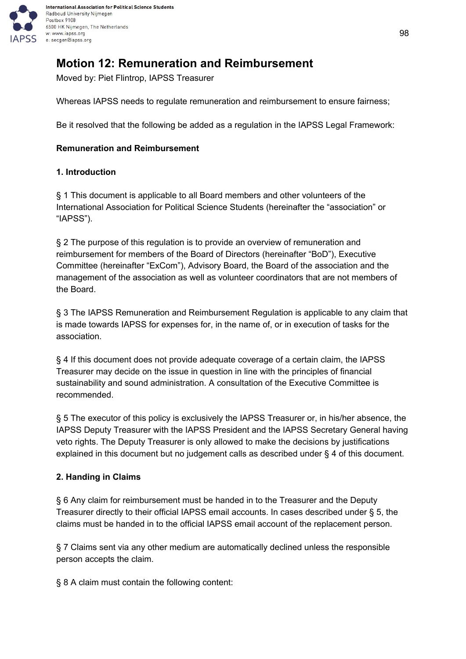

# **Motion 12: Remuneration and Reimbursement**

Moved by: Piet Flintrop, IAPSS Treasurer

Whereas IAPSS needs to regulate remuneration and reimbursement to ensure fairness;

Be it resolved that the following be added as a regulation in the IAPSS Legal Framework:

### **Remuneration and Reimbursement**

### **1. Introduction**

§ 1 This document is applicable to all Board members and other volunteers of the International Association for Political Science Students (hereinafter the "association" or "IAPSS").

§ 2 The purpose of this regulation is to provide an overview of remuneration and reimbursement for members of the Board of Directors (hereinafter "BoD"), Executive Committee (hereinafter "ExCom"), Advisory Board, the Board of the association and the management of the association as well as volunteer coordinators that are not members of the Board.

§ 3 The IAPSS Remuneration and Reimbursement Regulation is applicable to any claim that is made towards IAPSS for expenses for, in the name of, or in execution of tasks for the association.

§ 4 If this document does not provide adequate coverage of a certain claim, the IAPSS Treasurer may decide on the issue in question in line with the principles of financial sustainability and sound administration. A consultation of the Executive Committee is recommended.

§ 5 The executor of this policy is exclusively the IAPSS Treasurer or, in his/her absence, the IAPSS Deputy Treasurer with the IAPSS President and the IAPSS Secretary General having veto rights. The Deputy Treasurer is only allowed to make the decisions by justifications explained in this document but no judgement calls as described under § 4 of this document.

## **2. Handing in Claims**

§ 6 Any claim for reimbursement must be handed in to the Treasurer and the Deputy Treasurer directly to their official IAPSS email accounts. In cases described under § 5, the claims must be handed in to the official IAPSS email account of the replacement person.

§ 7 Claims sent via any other medium are automatically declined unless the responsible person accepts the claim.

§ 8 A claim must contain the following content: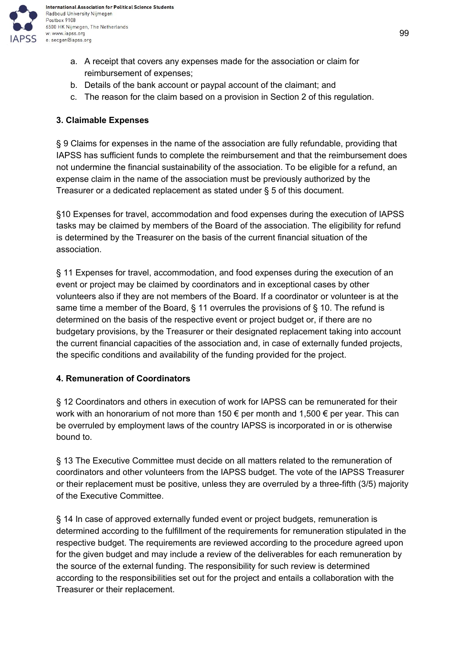

- b. Details of the bank account or paypal account of the claimant; and
- c. The reason for the claim based on a provision in Section 2 of this regulation.

### **3. Claimable Expenses**

§ 9 Claims for expenses in the name of the association are fully refundable, providing that IAPSS has sufficient funds to complete the reimbursement and that the reimbursement does not undermine the financial sustainability of the association. To be eligible for a refund, an expense claim in the name of the association must be previously authorized by the Treasurer or a dedicated replacement as stated under § 5 of this document.

§10 Expenses for travel, accommodation and food expenses during the execution of IAPSS tasks may be claimed by members of the Board of the association. The eligibility for refund is determined by the Treasurer on the basis of the current financial situation of the association.

§ 11 Expenses for travel, accommodation, and food expenses during the execution of an event or project may be claimed by coordinators and in exceptional cases by other volunteers also if they are not members of the Board. If a coordinator or volunteer is at the same time a member of the Board, § 11 overrules the provisions of § 10. The refund is determined on the basis of the respective event or project budget or, if there are no budgetary provisions, by the Treasurer or their designated replacement taking into account the current financial capacities of the association and, in case of externally funded projects, the specific conditions and availability of the funding provided for the project.

#### **4. Remuneration of Coordinators**

§ 12 Coordinators and others in execution of work for IAPSS can be remunerated for their work with an honorarium of not more than 150 € per month and 1,500 € per year. This can be overruled by employment laws of the country IAPSS is incorporated in or is otherwise bound to.

§ 13 The Executive Committee must decide on all matters related to the remuneration of coordinators and other volunteers from the IAPSS budget. The vote of the IAPSS Treasurer or their replacement must be positive, unless they are overruled by a three-fifth (3/5) majority of the Executive Committee.

§ 14 In case of approved externally funded event or project budgets, remuneration is determined according to the fulfillment of the requirements for remuneration stipulated in the respective budget. The requirements are reviewed according to the procedure agreed upon for the given budget and may include a review of the deliverables for each remuneration by the source of the external funding. The responsibility for such review is determined according to the responsibilities set out for the project and entails a collaboration with the Treasurer or their replacement.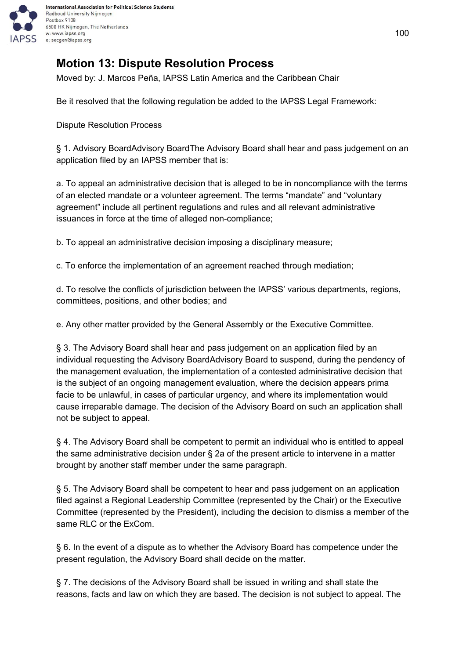

## **Motion 13: Dispute Resolution Process**

Moved by: J. Marcos Peña, IAPSS Latin America and the Caribbean Chair

Be it resolved that the following regulation be added to the IAPSS Legal Framework:

Dispute Resolution Process

§ 1. Advisory BoardAdvisory BoardThe Advisory Board shall hear and pass judgement on an application filed by an IAPSS member that is:

a. To appeal an administrative decision that is alleged to be in noncompliance with the terms of an elected mandate or a volunteer agreement. The terms "mandate" and "voluntary agreement" include all pertinent regulations and rules and all relevant administrative issuances in force at the time of alleged non-compliance;

b. To appeal an administrative decision imposing a disciplinary measure;

c. To enforce the implementation of an agreement reached through mediation;

d. To resolve the conflicts of jurisdiction between the IAPSS' various departments, regions, committees, positions, and other bodies; and

e. Any other matter provided by the General Assembly or the Executive Committee.

§ 3. The Advisory Board shall hear and pass judgement on an application filed by an individual requesting the Advisory BoardAdvisory Board to suspend, during the pendency of the management evaluation, the implementation of a contested administrative decision that is the subject of an ongoing management evaluation, where the decision appears prima facie to be unlawful, in cases of particular urgency, and where its implementation would cause irreparable damage. The decision of the Advisory Board on such an application shall not be subject to appeal.

§ 4. The Advisory Board shall be competent to permit an individual who is entitled to appeal the same administrative decision under § 2a of the present article to intervene in a matter brought by another staff member under the same paragraph.

§ 5. The Advisory Board shall be competent to hear and pass judgement on an application filed against a Regional Leadership Committee (represented by the Chair) or the Executive Committee (represented by the President), including the decision to dismiss a member of the same RLC or the ExCom.

§ 6. In the event of a dispute as to whether the Advisory Board has competence under the present regulation, the Advisory Board shall decide on the matter.

§ 7. The decisions of the Advisory Board shall be issued in writing and shall state the reasons, facts and law on which they are based. The decision is not subject to appeal. The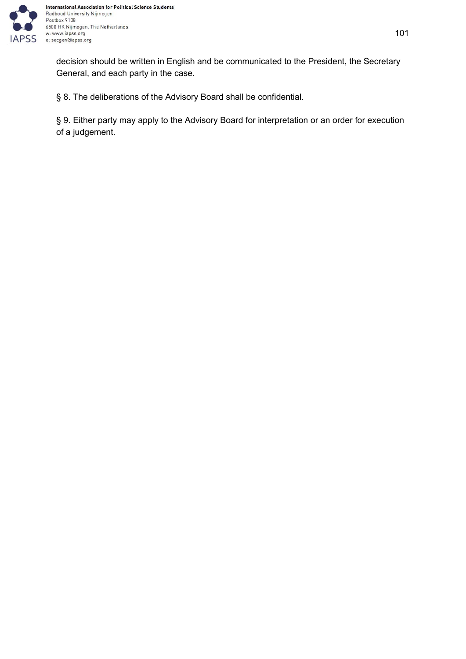

decision should be written in English and be communicated to the President, the Secretary General, and each party in the case.

§ 8. The deliberations of the Advisory Board shall be confidential.

§ 9. Either party may apply to the Advisory Board for interpretation or an order for execution of a judgement.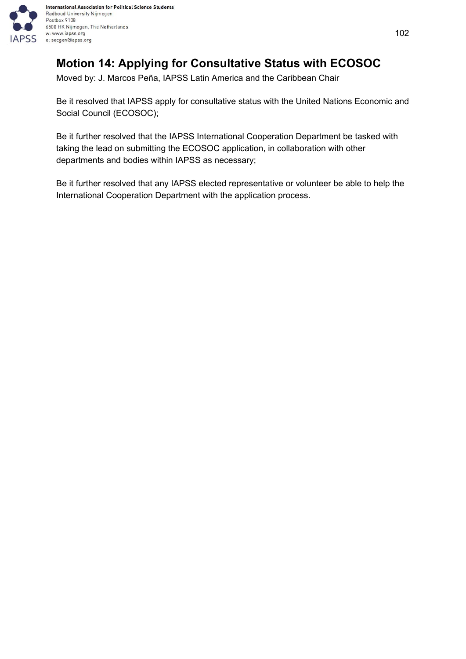

## **Motion 14: Applying for Consultative Status with ECOSOC**

Moved by: J. Marcos Peña, IAPSS Latin America and the Caribbean Chair

Be it resolved that IAPSS apply for consultative status with the United Nations Economic and Social Council (ECOSOC);

Be it further resolved that the IAPSS International Cooperation Department be tasked with taking the lead on submitting the ECOSOC application, in collaboration with other departments and bodies within IAPSS as necessary;

Be it further resolved that any IAPSS elected representative or volunteer be able to help the International Cooperation Department with the application process.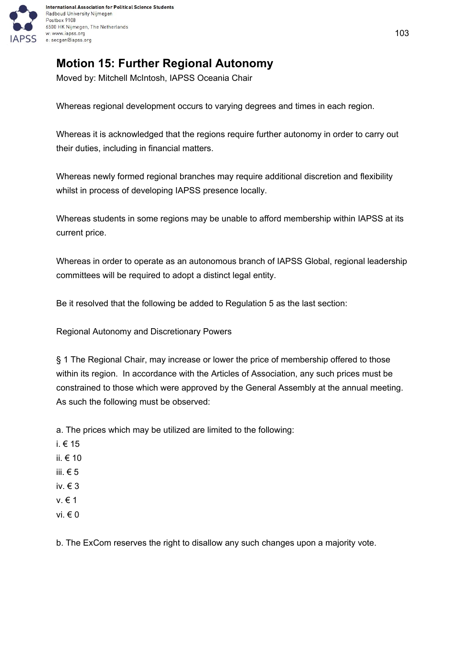

# **Motion 15: Further Regional Autonomy**

Moved by: Mitchell McIntosh, IAPSS Oceania Chair

Whereas regional development occurs to varying degrees and times in each region.

Whereas it is acknowledged that the regions require further autonomy in order to carry out their duties, including in financial matters.

Whereas newly formed regional branches may require additional discretion and flexibility whilst in process of developing IAPSS presence locally.

Whereas students in some regions may be unable to afford membership within IAPSS at its current price.

Whereas in order to operate as an autonomous branch of IAPSS Global, regional leadership committees will be required to adopt a distinct legal entity.

Be it resolved that the following be added to Regulation 5 as the last section:

Regional Autonomy and Discretionary Powers

§ 1 The Regional Chair, may increase or lower the price of membership offered to those within its region. In accordance with the Articles of Association, any such prices must be constrained to those which were approved by the General Assembly at the annual meeting. As such the following must be observed:

a. The prices which may be utilized are limited to the following:

- i. € 15
- ii. € 10
- iii.  $€ 5$
- iv. € 3
- v. € 1
- vi. € 0

b. The ExCom reserves the right to disallow any such changes upon a majority vote.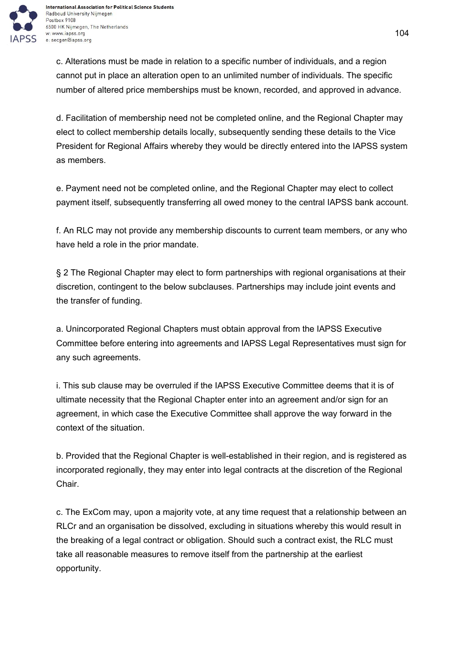

c. Alterations must be made in relation to a specific number of individuals, and a region cannot put in place an alteration open to an unlimited number of individuals. The specific number of altered price memberships must be known, recorded, and approved in advance.

d. Facilitation of membership need not be completed online, and the Regional Chapter may elect to collect membership details locally, subsequently sending these details to the Vice President for Regional Affairs whereby they would be directly entered into the IAPSS system as members.

e. Payment need not be completed online, and the Regional Chapter may elect to collect payment itself, subsequently transferring all owed money to the central IAPSS bank account.

f. An RLC may not provide any membership discounts to current team members, or any who have held a role in the prior mandate.

§ 2 The Regional Chapter may elect to form partnerships with regional organisations at their discretion, contingent to the below subclauses. Partnerships may include joint events and the transfer of funding.

a. Unincorporated Regional Chapters must obtain approval from the IAPSS Executive Committee before entering into agreements and IAPSS Legal Representatives must sign for any such agreements.

i. This sub clause may be overruled if the IAPSS Executive Committee deems that it is of ultimate necessity that the Regional Chapter enter into an agreement and/or sign for an agreement, in which case the Executive Committee shall approve the way forward in the context of the situation.

b. Provided that the Regional Chapter is well-established in their region, and is registered as incorporated regionally, they may enter into legal contracts at the discretion of the Regional Chair.

c. The ExCom may, upon a majority vote, at any time request that a relationship between an RLCr and an organisation be dissolved, excluding in situations whereby this would result in the breaking of a legal contract or obligation. Should such a contract exist, the RLC must take all reasonable measures to remove itself from the partnership at the earliest opportunity.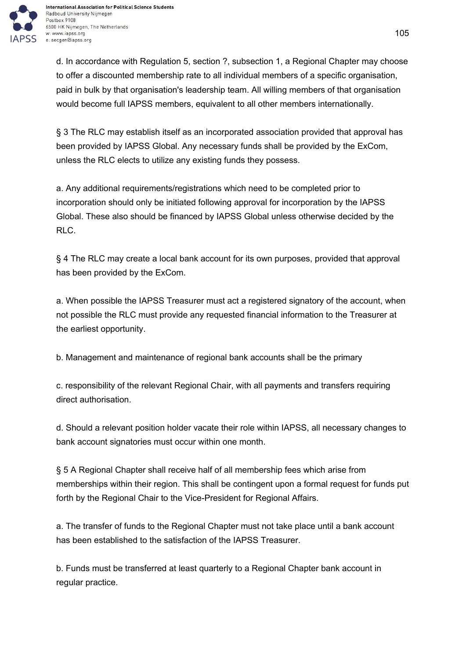

d. In accordance with Regulation 5, section ?, subsection 1, a Regional Chapter may choose to offer a discounted membership rate to all individual members of a specific organisation, paid in bulk by that organisation's leadership team. All willing members of that organisation would become full IAPSS members, equivalent to all other members internationally.

§ 3 The RLC may establish itself as an incorporated association provided that approval has been provided by IAPSS Global. Any necessary funds shall be provided by the ExCom, unless the RLC elects to utilize any existing funds they possess.

a. Any additional requirements/registrations which need to be completed prior to incorporation should only be initiated following approval for incorporation by the IAPSS Global. These also should be financed by IAPSS Global unless otherwise decided by the RLC.

§ 4 The RLC may create a local bank account for its own purposes, provided that approval has been provided by the ExCom.

a. When possible the IAPSS Treasurer must act a registered signatory of the account, when not possible the RLC must provide any requested financial information to the Treasurer at the earliest opportunity.

b. Management and maintenance of regional bank accounts shall be the primary

c. responsibility of the relevant Regional Chair, with all payments and transfers requiring direct authorisation.

d. Should a relevant position holder vacate their role within IAPSS, all necessary changes to bank account signatories must occur within one month.

§ 5 A Regional Chapter shall receive half of all membership fees which arise from memberships within their region. This shall be contingent upon a formal request for funds put forth by the Regional Chair to the Vice-President for Regional Affairs.

a. The transfer of funds to the Regional Chapter must not take place until a bank account has been established to the satisfaction of the IAPSS Treasurer.

b. Funds must be transferred at least quarterly to a Regional Chapter bank account in regular practice.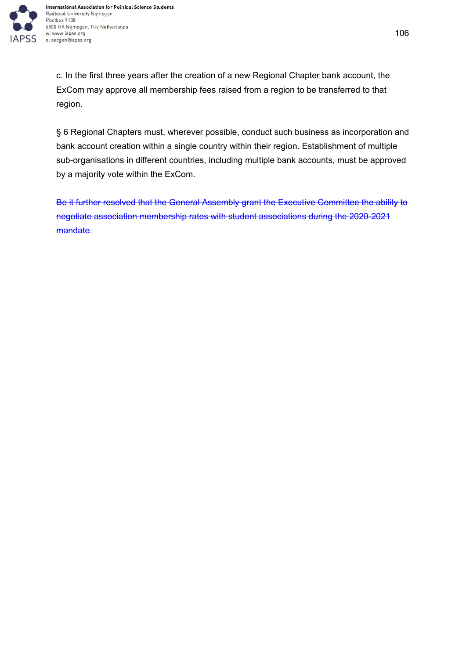

c. In the first three years after the creation of a new Regional Chapter bank account, the ExCom may approve all membership fees raised from a region to be transferred to that region.

§ 6 Regional Chapters must, wherever possible, conduct such business as incorporation and bank account creation within a single country within their region. Establishment of multiple sub-organisations in different countries, including multiple bank accounts, must be approved by a majority vote within the ExCom.

Be it further resolved that the General Assembly grant the Executive Committee the ability to negotiate association membership rates with student associations during the 2020-2021 mandate.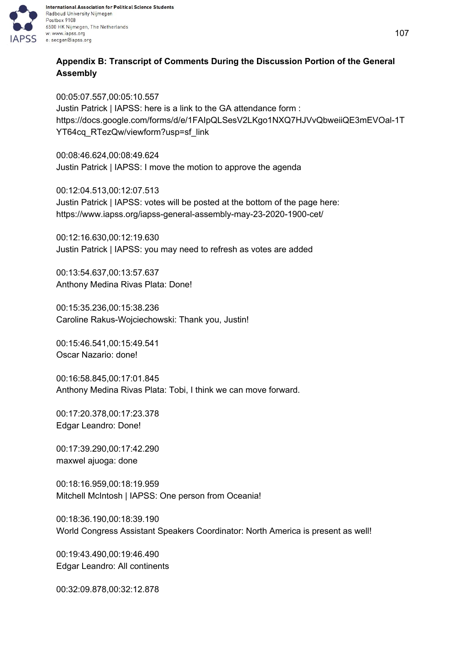

## **Appendix B: Transcript of Comments During the Discussion Portion of the General Assembly**

00:05:07.557,00:05:10.557 Justin Patrick | IAPSS: here is a link to the GA attendance form : https://docs.google.com/forms/d/e/1FAIpQLSesV2LKgo1NXQ7HJVvQbweiiQE3mEVOal-1T YT64cq\_RTezQw/viewform?usp=sf\_link

00:08:46.624,00:08:49.624 Justin Patrick | IAPSS: I move the motion to approve the agenda

00:12:04.513,00:12:07.513 Justin Patrick | IAPSS: votes will be posted at the bottom of the page here: https://www.iapss.org/iapss-general-assembly-may-23-2020-1900-cet/

00:12:16.630,00:12:19.630 Justin Patrick | IAPSS: you may need to refresh as votes are added

00:13:54.637,00:13:57.637 Anthony Medina Rivas Plata: Done!

00:15:35.236,00:15:38.236 Caroline Rakus-Wojciechowski: Thank you, Justin!

00:15:46.541,00:15:49.541 Oscar Nazario: done!

00:16:58.845,00:17:01.845 Anthony Medina Rivas Plata: Tobi, I think we can move forward.

00:17:20.378,00:17:23.378 Edgar Leandro: Done!

00:17:39.290,00:17:42.290 maxwel ajuoga: done

00:18:16.959,00:18:19.959 Mitchell McIntosh | IAPSS: One person from Oceania!

00:18:36.190,00:18:39.190 World Congress Assistant Speakers Coordinator: North America is present as well!

00:19:43.490,00:19:46.490 Edgar Leandro: All continents

00:32:09.878,00:32:12.878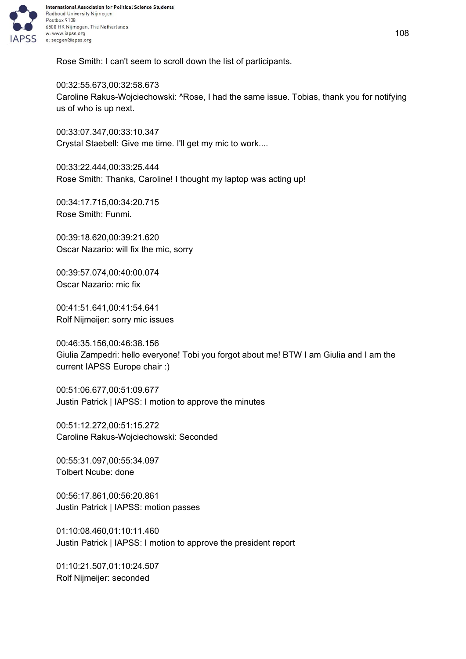

Rose Smith: I can't seem to scroll down the list of participants.

00:32:55.673,00:32:58.673 Caroline Rakus-Wojciechowski: ^Rose, I had the same issue. Tobias, thank you for notifying us of who is up next.

00:33:07.347,00:33:10.347 Crystal Staebell: Give me time. I'll get my mic to work....

00:33:22.444,00:33:25.444 Rose Smith: Thanks, Caroline! I thought my laptop was acting up!

00:34:17.715,00:34:20.715 Rose Smith: Funmi.

00:39:18.620,00:39:21.620 Oscar Nazario: will fix the mic, sorry

00:39:57.074,00:40:00.074 Oscar Nazario: mic fix

00:41:51.641,00:41:54.641 Rolf Nijmeijer: sorry mic issues

00:46:35.156,00:46:38.156 Giulia Zampedri: hello everyone! Tobi you forgot about me! BTW I am Giulia and I am the current IAPSS Europe chair :)

00:51:06.677,00:51:09.677 Justin Patrick | IAPSS: I motion to approve the minutes

00:51:12.272,00:51:15.272 Caroline Rakus-Wojciechowski: Seconded

00:55:31.097,00:55:34.097 Tolbert Ncube: done

00:56:17.861,00:56:20.861 Justin Patrick | IAPSS: motion passes

01:10:08.460,01:10:11.460 Justin Patrick | IAPSS: I motion to approve the president report

01:10:21.507,01:10:24.507 Rolf Nijmeijer: seconded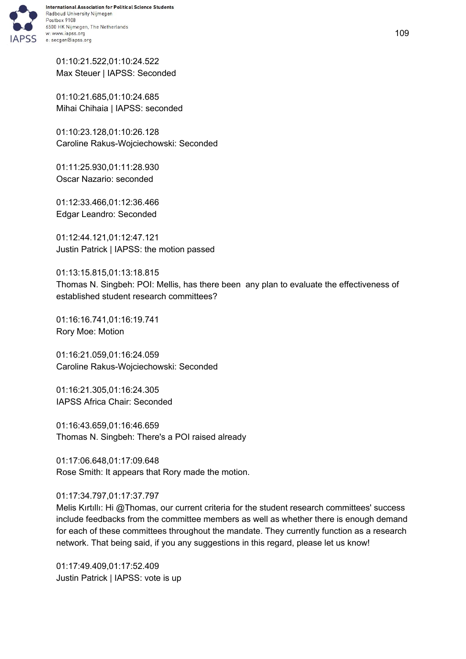

01:10:21.522,01:10:24.522 Max Steuer | IAPSS: Seconded

01:10:21.685,01:10:24.685 Mihai Chihaia | IAPSS: seconded

01:10:23.128,01:10:26.128 Caroline Rakus-Wojciechowski: Seconded

01:11:25.930,01:11:28.930 Oscar Nazario: seconded

01:12:33.466,01:12:36.466 Edgar Leandro: Seconded

01:12:44.121,01:12:47.121 Justin Patrick | IAPSS: the motion passed

01:13:15.815,01:13:18.815 Thomas N. Singbeh: POI: Mellis, has there been any plan to evaluate the effectiveness of established student research committees?

01:16:16.741,01:16:19.741 Rory Moe: Motion

01:16:21.059,01:16:24.059 Caroline Rakus-Wojciechowski: Seconded

01:16:21.305,01:16:24.305 IAPSS Africa Chair: Seconded

01:16:43.659,01:16:46.659 Thomas N. Singbeh: There's a POI raised already

01:17:06.648,01:17:09.648 Rose Smith: It appears that Rory made the motion.

01:17:34.797,01:17:37.797

Melis Kırtıllı: Hi @Thomas, our current criteria for the student research committees' success include feedbacks from the committee members as well as whether there is enough demand for each of these committees throughout the mandate. They currently function as a research network. That being said, if you any suggestions in this regard, please let us know!

01:17:49.409,01:17:52.409 Justin Patrick | IAPSS: vote is up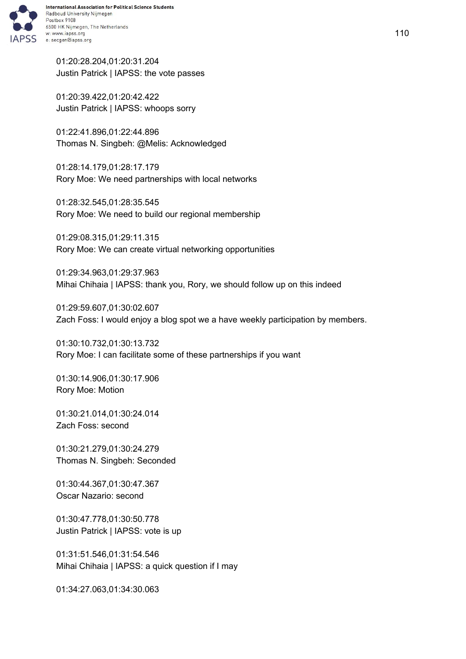

01:20:28.204,01:20:31.204 Justin Patrick | IAPSS: the vote passes

01:20:39.422,01:20:42.422 Justin Patrick | IAPSS: whoops sorry

01:22:41.896,01:22:44.896 Thomas N. Singbeh: @Melis: Acknowledged

01:28:14.179,01:28:17.179 Rory Moe: We need partnerships with local networks

01:28:32.545,01:28:35.545 Rory Moe: We need to build our regional membership

01:29:08.315,01:29:11.315 Rory Moe: We can create virtual networking opportunities

01:29:34.963,01:29:37.963 Mihai Chihaia | IAPSS: thank you, Rory, we should follow up on this indeed

01:29:59.607,01:30:02.607 Zach Foss: I would enjoy a blog spot we a have weekly participation by members.

01:30:10.732,01:30:13.732 Rory Moe: I can facilitate some of these partnerships if you want

01:30:14.906,01:30:17.906 Rory Moe: Motion

01:30:21.014,01:30:24.014 Zach Foss: second

01:30:21.279,01:30:24.279 Thomas N. Singbeh: Seconded

01:30:44.367,01:30:47.367 Oscar Nazario: second

01:30:47.778,01:30:50.778 Justin Patrick | IAPSS: vote is up

01:31:51.546,01:31:54.546 Mihai Chihaia | IAPSS: a quick question if I may

01:34:27.063,01:34:30.063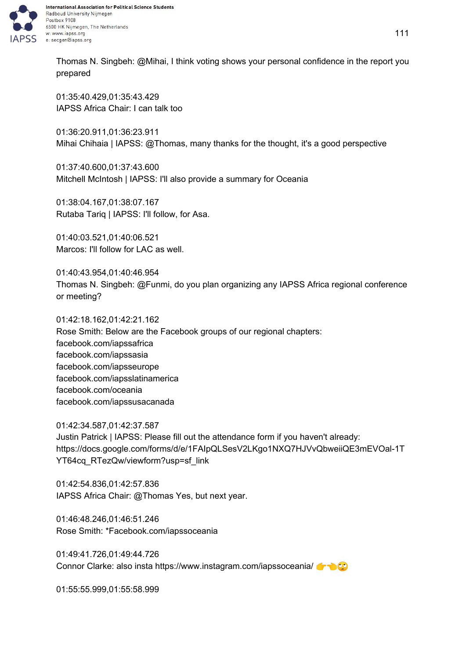

Thomas N. Singbeh: @Mihai, I think voting shows your personal confidence in the report you prepared

01:35:40.429,01:35:43.429 IAPSS Africa Chair: I can talk too

01:36:20.911,01:36:23.911 Mihai Chihaia | IAPSS: @Thomas, many thanks for the thought, it's a good perspective

01:37:40.600,01:37:43.600 Mitchell McIntosh | IAPSS: I'll also provide a summary for Oceania

01:38:04.167,01:38:07.167 Rutaba Tariq | IAPSS: I'll follow, for Asa.

01:40:03.521,01:40:06.521 Marcos: I'll follow for LAC as well.

01:40:43.954,01:40:46.954 Thomas N. Singbeh: @Funmi, do you plan organizing any IAPSS Africa regional conference or meeting?

01:42:18.162,01:42:21.162 Rose Smith: Below are the Facebook groups of our regional chapters: facebook.com/iapssafrica facebook.com/iapssasia facebook.com/iapsseurope facebook.com/iapsslatinamerica facebook.com/oceania facebook.com/iapssusacanada

01:42:34.587,01:42:37.587 Justin Patrick | IAPSS: Please fill out the attendance form if you haven't already: https://docs.google.com/forms/d/e/1FAIpQLSesV2LKgo1NXQ7HJVvQbweiiQE3mEVOal-1T YT64cq\_RTezQw/viewform?usp=sf\_link

01:42:54.836,01:42:57.836 IAPSS Africa Chair: @Thomas Yes, but next year.

01:46:48.246,01:46:51.246 Rose Smith: \*Facebook.com/iapssoceania

01:49:41.726,01:49:44.726 Connor Clarke: also insta https://www.instagram.com/iapssoceania/

01:55:55.999,01:55:58.999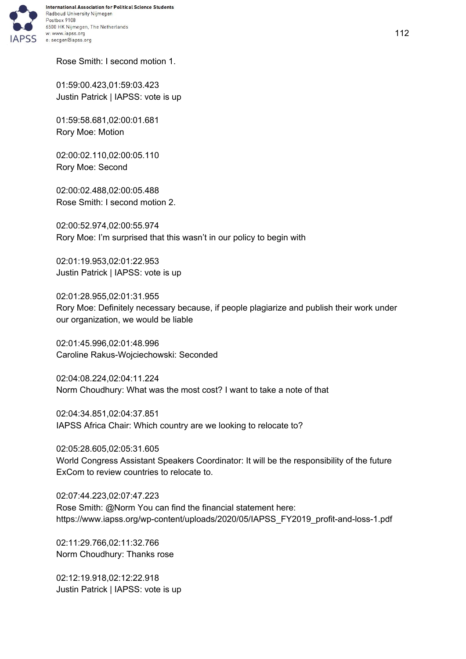

Rose Smith: I second motion 1.

01:59:00.423,01:59:03.423 Justin Patrick | IAPSS: vote is up

01:59:58.681,02:00:01.681 Rory Moe: Motion

02:00:02.110,02:00:05.110 Rory Moe: Second

02:00:02.488,02:00:05.488 Rose Smith: I second motion 2.

02:00:52.974,02:00:55.974 Rory Moe: I'm surprised that this wasn't in our policy to begin with

02:01:19.953,02:01:22.953 Justin Patrick | IAPSS: vote is up

02:01:28.955,02:01:31.955 Rory Moe: Definitely necessary because, if people plagiarize and publish their work under our organization, we would be liable

02:01:45.996,02:01:48.996 Caroline Rakus-Wojciechowski: Seconded

02:04:08.224,02:04:11.224 Norm Choudhury: What was the most cost? I want to take a note of that

02:04:34.851,02:04:37.851 IAPSS Africa Chair: Which country are we looking to relocate to?

02:05:28.605,02:05:31.605 World Congress Assistant Speakers Coordinator: It will be the responsibility of the future ExCom to review countries to relocate to.

02:07:44.223,02:07:47.223 Rose Smith: @Norm You can find the financial statement here: https://www.iapss.org/wp-content/uploads/2020/05/IAPSS\_FY2019\_profit-and-loss-1.pdf

02:11:29.766,02:11:32.766 Norm Choudhury: Thanks rose

02:12:19.918,02:12:22.918 Justin Patrick | IAPSS: vote is up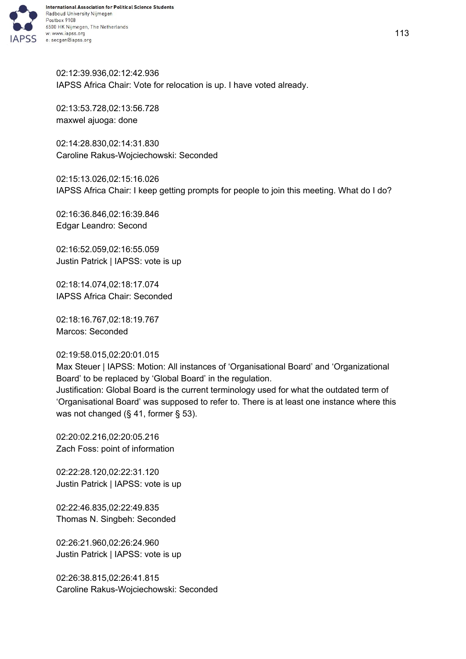

02:12:39.936,02:12:42.936 IAPSS Africa Chair: Vote for relocation is up. I have voted already.

02:13:53.728,02:13:56.728 maxwel ajuoga: done

02:14:28.830,02:14:31.830 Caroline Rakus-Wojciechowski: Seconded

02:15:13.026,02:15:16.026 IAPSS Africa Chair: I keep getting prompts for people to join this meeting. What do I do?

02:16:36.846,02:16:39.846 Edgar Leandro: Second

02:16:52.059,02:16:55.059 Justin Patrick | IAPSS: vote is up

02:18:14.074,02:18:17.074 IAPSS Africa Chair: Seconded

02:18:16.767,02:18:19.767 Marcos: Seconded

#### 02:19:58.015,02:20:01.015

Max Steuer | IAPSS: Motion: All instances of 'Organisational Board' and 'Organizational Board' to be replaced by 'Global Board' in the regulation.

Justification: Global Board is the current terminology used for what the outdated term of 'Organisational Board' was supposed to refer to. There is at least one instance where this was not changed (§ 41, former § 53).

02:20:02.216,02:20:05.216 Zach Foss: point of information

02:22:28.120,02:22:31.120 Justin Patrick | IAPSS: vote is up

02:22:46.835,02:22:49.835 Thomas N. Singbeh: Seconded

02:26:21.960,02:26:24.960 Justin Patrick | IAPSS: vote is up

02:26:38.815,02:26:41.815 Caroline Rakus-Wojciechowski: Seconded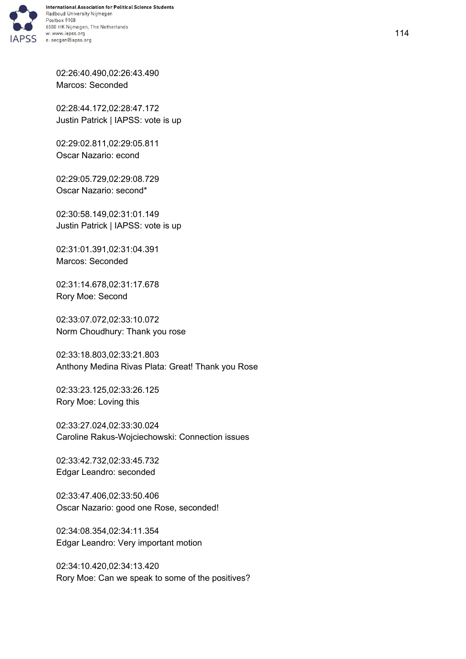

02:26:40.490,02:26:43.490 Marcos: Seconded

02:28:44.172,02:28:47.172 Justin Patrick | IAPSS: vote is up

02:29:02.811,02:29:05.811 Oscar Nazario: econd

02:29:05.729,02:29:08.729 Oscar Nazario: second\*

02:30:58.149,02:31:01.149 Justin Patrick | IAPSS: vote is up

02:31:01.391,02:31:04.391 Marcos: Seconded

02:31:14.678,02:31:17.678 Rory Moe: Second

02:33:07.072,02:33:10.072 Norm Choudhury: Thank you rose

02:33:18.803,02:33:21.803 Anthony Medina Rivas Plata: Great! Thank you Rose

02:33:23.125,02:33:26.125 Rory Moe: Loving this

02:33:27.024,02:33:30.024 Caroline Rakus-Wojciechowski: Connection issues

02:33:42.732,02:33:45.732 Edgar Leandro: seconded

02:33:47.406,02:33:50.406 Oscar Nazario: good one Rose, seconded!

02:34:08.354,02:34:11.354 Edgar Leandro: Very important motion

02:34:10.420,02:34:13.420 Rory Moe: Can we speak to some of the positives?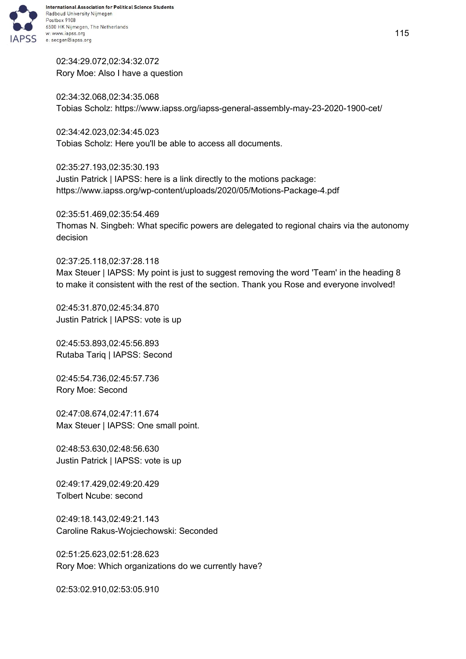

02:34:29.072,02:34:32.072 Rory Moe: Also I have a question

02:34:32.068,02:34:35.068 Tobias Scholz: https://www.iapss.org/iapss-general-assembly-may-23-2020-1900-cet/

02:34:42.023,02:34:45.023 Tobias Scholz: Here you'll be able to access all documents.

02:35:27.193,02:35:30.193 Justin Patrick | IAPSS: here is a link directly to the motions package: https://www.iapss.org/wp-content/uploads/2020/05/Motions-Package-4.pdf

02:35:51.469,02:35:54.469 Thomas N. Singbeh: What specific powers are delegated to regional chairs via the autonomy decision

02:37:25.118,02:37:28.118 Max Steuer | IAPSS: My point is just to suggest removing the word 'Team' in the heading 8 to make it consistent with the rest of the section. Thank you Rose and everyone involved!

02:45:31.870,02:45:34.870 Justin Patrick | IAPSS: vote is up

02:45:53.893,02:45:56.893 Rutaba Tariq | IAPSS: Second

02:45:54.736,02:45:57.736 Rory Moe: Second

02:47:08.674,02:47:11.674 Max Steuer | IAPSS: One small point.

02:48:53.630,02:48:56.630 Justin Patrick | IAPSS: vote is up

02:49:17.429,02:49:20.429 Tolbert Ncube: second

02:49:18.143,02:49:21.143 Caroline Rakus-Wojciechowski: Seconded

02:51:25.623,02:51:28.623 Rory Moe: Which organizations do we currently have?

02:53:02.910,02:53:05.910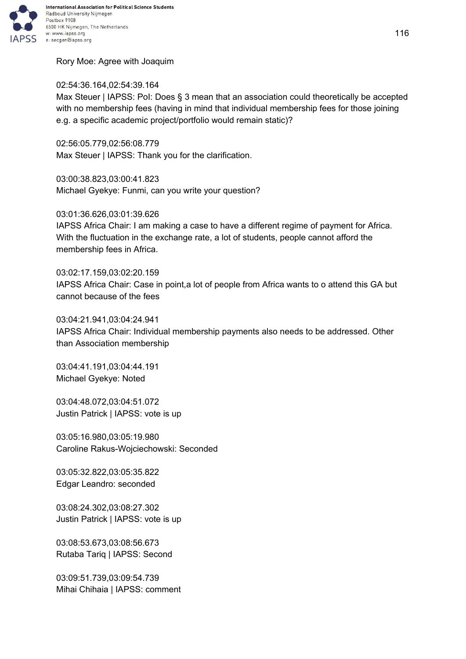

Rory Moe: Agree with Joaquim

## 02:54:36.164,02:54:39.164

Max Steuer | IAPSS: PoI: Does § 3 mean that an association could theoretically be accepted with no membership fees (having in mind that individual membership fees for those joining e.g. a specific academic project/portfolio would remain static)?

02:56:05.779,02:56:08.779 Max Steuer | IAPSS: Thank you for the clarification.

03:00:38.823,03:00:41.823 Michael Gyekye: Funmi, can you write your question?

03:01:36.626,03:01:39.626

IAPSS Africa Chair: I am making a case to have a different regime of payment for Africa. With the fluctuation in the exchange rate, a lot of students, people cannot afford the membership fees in Africa.

03:02:17.159,03:02:20.159 IAPSS Africa Chair: Case in point,a lot of people from Africa wants to o attend this GA but cannot because of the fees

03:04:21.941,03:04:24.941 IAPSS Africa Chair: Individual membership payments also needs to be addressed. Other than Association membership

03:04:41.191,03:04:44.191 Michael Gyekye: Noted

03:04:48.072,03:04:51.072 Justin Patrick | IAPSS: vote is up

03:05:16.980,03:05:19.980 Caroline Rakus-Wojciechowski: Seconded

03:05:32.822,03:05:35.822 Edgar Leandro: seconded

03:08:24.302,03:08:27.302 Justin Patrick | IAPSS: vote is up

03:08:53.673,03:08:56.673 Rutaba Tariq | IAPSS: Second

03:09:51.739,03:09:54.739 Mihai Chihaia | IAPSS: comment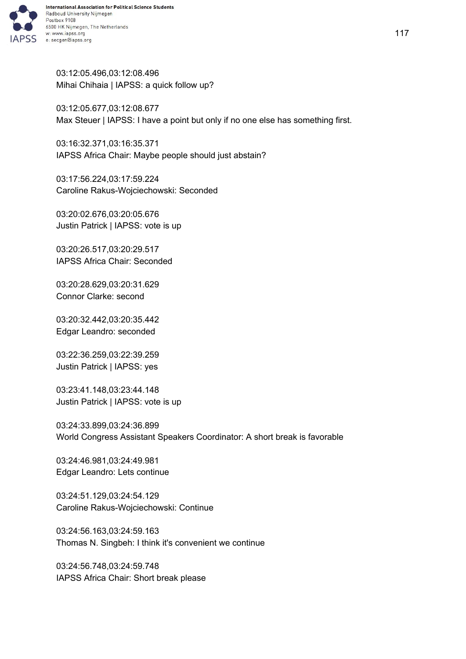

03:12:05.496,03:12:08.496 Mihai Chihaia | IAPSS: a quick follow up?

03:12:05.677,03:12:08.677 Max Steuer | IAPSS: I have a point but only if no one else has something first.

03:16:32.371,03:16:35.371 IAPSS Africa Chair: Maybe people should just abstain?

03:17:56.224,03:17:59.224 Caroline Rakus-Wojciechowski: Seconded

03:20:02.676,03:20:05.676 Justin Patrick | IAPSS: vote is up

03:20:26.517,03:20:29.517 IAPSS Africa Chair: Seconded

03:20:28.629,03:20:31.629 Connor Clarke: second

03:20:32.442,03:20:35.442 Edgar Leandro: seconded

03:22:36.259,03:22:39.259 Justin Patrick | IAPSS: yes

03:23:41.148,03:23:44.148 Justin Patrick | IAPSS: vote is up

03:24:33.899,03:24:36.899 World Congress Assistant Speakers Coordinator: A short break is favorable

03:24:46.981,03:24:49.981 Edgar Leandro: Lets continue

03:24:51.129,03:24:54.129 Caroline Rakus-Wojciechowski: Continue

03:24:56.163,03:24:59.163 Thomas N. Singbeh: I think it's convenient we continue

03:24:56.748,03:24:59.748 IAPSS Africa Chair: Short break please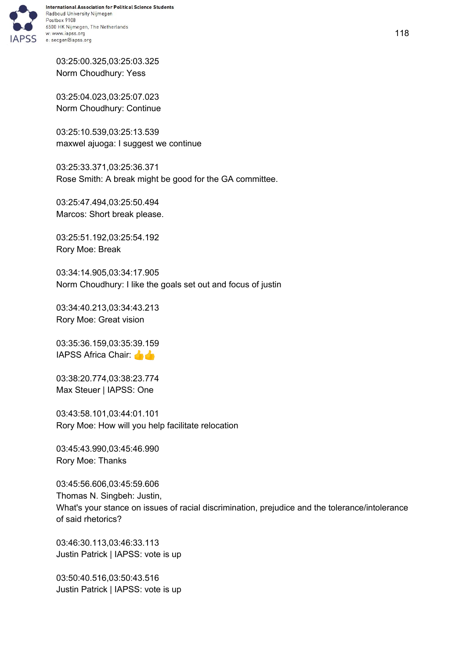

03:25:00.325,03:25:03.325 Norm Choudhury: Yess

03:25:04.023,03:25:07.023 Norm Choudhury: Continue

03:25:10.539,03:25:13.539 maxwel ajuoga: I suggest we continue

03:25:33.371,03:25:36.371 Rose Smith: A break might be good for the GA committee.

03:25:47.494,03:25:50.494 Marcos: Short break please.

03:25:51.192,03:25:54.192 Rory Moe: Break

03:34:14.905,03:34:17.905 Norm Choudhury: I like the goals set out and focus of justin

03:34:40.213,03:34:43.213 Rory Moe: Great vision

03:35:36.159,03:35:39.159 IAPSS Africa Chair:

03:38:20.774,03:38:23.774 Max Steuer | IAPSS: One

03:43:58.101,03:44:01.101 Rory Moe: How will you help facilitate relocation

03:45:43.990,03:45:46.990 Rory Moe: Thanks

03:45:56.606,03:45:59.606 Thomas N. Singbeh: Justin, What's your stance on issues of racial discrimination, prejudice and the tolerance/intolerance of said rhetorics?

03:46:30.113,03:46:33.113 Justin Patrick | IAPSS: vote is up

03:50:40.516,03:50:43.516 Justin Patrick | IAPSS: vote is up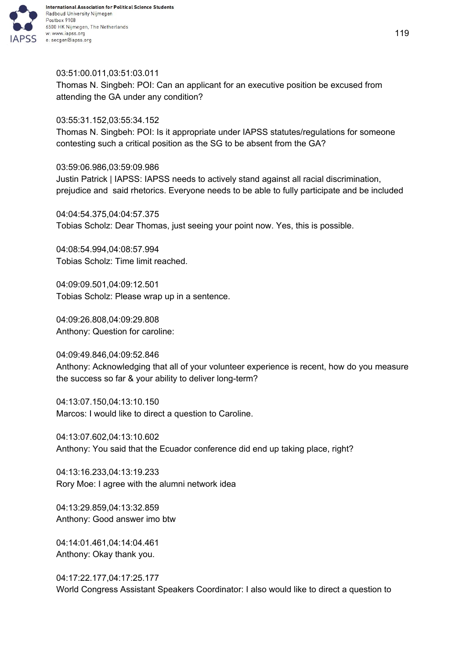

### 03:51:00.011,03:51:03.011

Thomas N. Singbeh: POI: Can an applicant for an executive position be excused from attending the GA under any condition?

#### 03:55:31.152,03:55:34.152

Thomas N. Singbeh: POI: Is it appropriate under IAPSS statutes/regulations for someone contesting such a critical position as the SG to be absent from the GA?

#### 03:59:06.986,03:59:09.986

Justin Patrick | IAPSS: IAPSS needs to actively stand against all racial discrimination, prejudice and said rhetorics. Everyone needs to be able to fully participate and be included

04:04:54.375,04:04:57.375 Tobias Scholz: Dear Thomas, just seeing your point now. Yes, this is possible.

04:08:54.994,04:08:57.994 Tobias Scholz: Time limit reached.

04:09:09.501,04:09:12.501 Tobias Scholz: Please wrap up in a sentence.

04:09:26.808,04:09:29.808 Anthony: Question for caroline:

04:09:49.846,04:09:52.846 Anthony: Acknowledging that all of your volunteer experience is recent, how do you measure the success so far & your ability to deliver long-term?

04:13:07.150,04:13:10.150 Marcos: I would like to direct a question to Caroline.

04:13:07.602,04:13:10.602 Anthony: You said that the Ecuador conference did end up taking place, right?

04:13:16.233,04:13:19.233 Rory Moe: I agree with the alumni network idea

04:13:29.859,04:13:32.859 Anthony: Good answer imo btw

04:14:01.461,04:14:04.461 Anthony: Okay thank you.

04:17:22.177,04:17:25.177 World Congress Assistant Speakers Coordinator: I also would like to direct a question to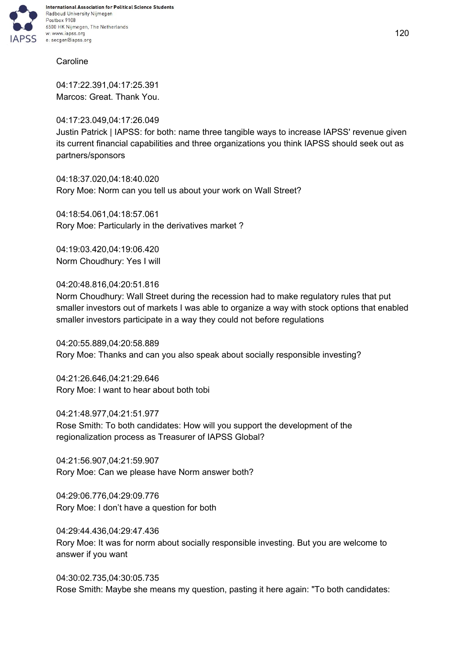

## **Caroline**

04:17:22.391,04:17:25.391 Marcos: Great. Thank You.

04:17:23.049,04:17:26.049 Justin Patrick | IAPSS: for both: name three tangible ways to increase IAPSS' revenue given its current financial capabilities and three organizations you think IAPSS should seek out as partners/sponsors

04:18:37.020,04:18:40.020 Rory Moe: Norm can you tell us about your work on Wall Street?

04:18:54.061,04:18:57.061 Rory Moe: Particularly in the derivatives market ?

04:19:03.420,04:19:06.420 Norm Choudhury: Yes I will

04:20:48.816,04:20:51.816

Norm Choudhury: Wall Street during the recession had to make regulatory rules that put smaller investors out of markets I was able to organize a way with stock options that enabled smaller investors participate in a way they could not before regulations

04:20:55.889,04:20:58.889 Rory Moe: Thanks and can you also speak about socially responsible investing?

04:21:26.646,04:21:29.646 Rory Moe: I want to hear about both tobi

04:21:48.977,04:21:51.977 Rose Smith: To both candidates: How will you support the development of the regionalization process as Treasurer of IAPSS Global?

04:21:56.907,04:21:59.907 Rory Moe: Can we please have Norm answer both?

04:29:06.776,04:29:09.776 Rory Moe: I don't have a question for both

04:29:44.436,04:29:47.436 Rory Moe: It was for norm about socially responsible investing. But you are welcome to answer if you want

04:30:02.735,04:30:05.735 Rose Smith: Maybe she means my question, pasting it here again: "To both candidates: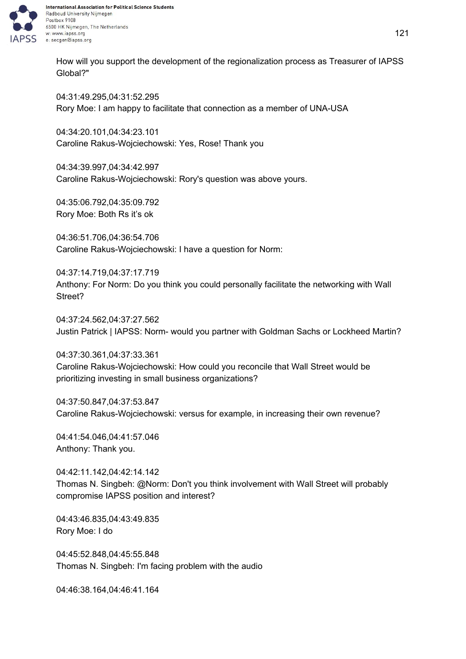

How will you support the development of the regionalization process as Treasurer of IAPSS Global?"

04:31:49.295,04:31:52.295 Rory Moe: I am happy to facilitate that connection as a member of UNA-USA

04:34:20.101,04:34:23.101 Caroline Rakus-Wojciechowski: Yes, Rose! Thank you

04:34:39.997,04:34:42.997 Caroline Rakus-Wojciechowski: Rory's question was above yours.

04:35:06.792,04:35:09.792 Rory Moe: Both Rs it's ok

04:36:51.706,04:36:54.706 Caroline Rakus-Wojciechowski: I have a question for Norm:

04:37:14.719,04:37:17.719 Anthony: For Norm: Do you think you could personally facilitate the networking with Wall Street?

04:37:24.562,04:37:27.562 Justin Patrick | IAPSS: Norm- would you partner with Goldman Sachs or Lockheed Martin?

04:37:30.361,04:37:33.361 Caroline Rakus-Wojciechowski: How could you reconcile that Wall Street would be prioritizing investing in small business organizations?

04:37:50.847,04:37:53.847 Caroline Rakus-Wojciechowski: versus for example, in increasing their own revenue?

04:41:54.046,04:41:57.046 Anthony: Thank you.

04:42:11.142,04:42:14.142 Thomas N. Singbeh: @Norm: Don't you think involvement with Wall Street will probably compromise IAPSS position and interest?

04:43:46.835,04:43:49.835 Rory Moe: I do

04:45:52.848,04:45:55.848 Thomas N. Singbeh: I'm facing problem with the audio

04:46:38.164,04:46:41.164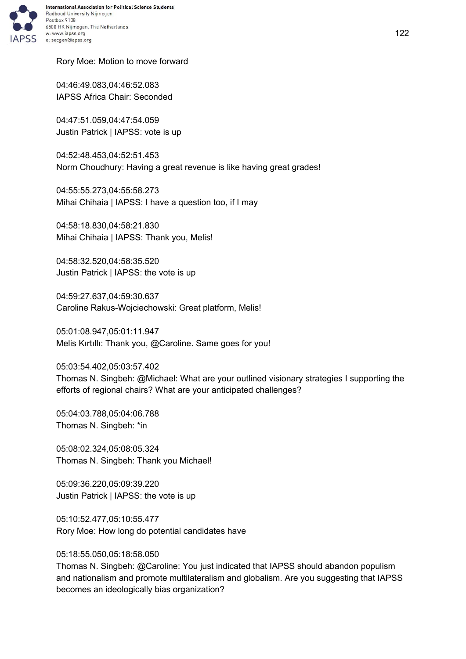

## Rory Moe: Motion to move forward

04:46:49.083,04:46:52.083 IAPSS Africa Chair: Seconded

04:47:51.059,04:47:54.059 Justin Patrick | IAPSS: vote is up

04:52:48.453,04:52:51.453 Norm Choudhury: Having a great revenue is like having great grades!

04:55:55.273,04:55:58.273 Mihai Chihaia | IAPSS: I have a question too, if I may

04:58:18.830,04:58:21.830 Mihai Chihaia | IAPSS: Thank you, Melis!

04:58:32.520,04:58:35.520 Justin Patrick | IAPSS: the vote is up

04:59:27.637,04:59:30.637 Caroline Rakus-Wojciechowski: Great platform, Melis!

05:01:08.947,05:01:11.947 Melis Kırtıllı: Thank you, @Caroline. Same goes for you!

05:03:54.402,05:03:57.402 Thomas N. Singbeh: @Michael: What are your outlined visionary strategies I supporting the efforts of regional chairs? What are your anticipated challenges?

05:04:03.788,05:04:06.788 Thomas N. Singbeh: \*in

05:08:02.324,05:08:05.324 Thomas N. Singbeh: Thank you Michael!

05:09:36.220,05:09:39.220 Justin Patrick | IAPSS: the vote is up

05:10:52.477,05:10:55.477 Rory Moe: How long do potential candidates have

05:18:55.050,05:18:58.050

Thomas N. Singbeh: @Caroline: You just indicated that IAPSS should abandon populism and nationalism and promote multilateralism and globalism. Are you suggesting that IAPSS becomes an ideologically bias organization?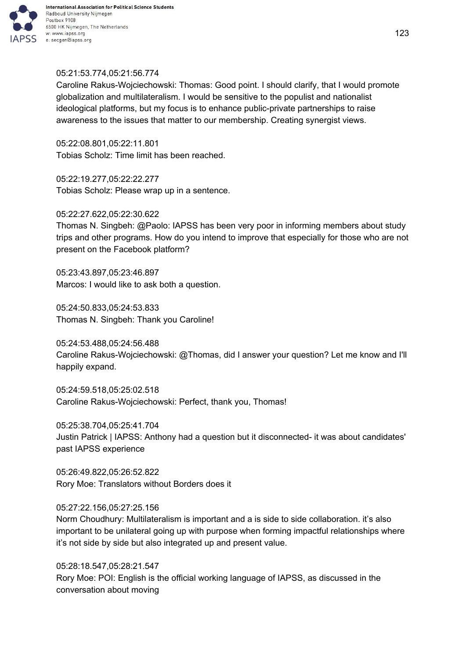

# 6500 HK Nijmegen, The Netherlands

## 05:21:53.774,05:21:56.774

Caroline Rakus-Wojciechowski: Thomas: Good point. I should clarify, that I would promote globalization and multilateralism. I would be sensitive to the populist and nationalist ideological platforms, but my focus is to enhance public-private partnerships to raise awareness to the issues that matter to our membership. Creating synergist views.

05:22:08.801,05:22:11.801 Tobias Scholz: Time limit has been reached.

05:22:19.277,05:22:22.277 Tobias Scholz: Please wrap up in a sentence.

# 05:22:27.622,05:22:30.622

Thomas N. Singbeh: @Paolo: IAPSS has been very poor in informing members about study trips and other programs. How do you intend to improve that especially for those who are not present on the Facebook platform?

05:23:43.897,05:23:46.897 Marcos: I would like to ask both a question.

05:24:50.833,05:24:53.833 Thomas N. Singbeh: Thank you Caroline!

05:24:53.488,05:24:56.488 Caroline Rakus-Wojciechowski: @Thomas, did I answer your question? Let me know and I'll happily expand.

05:24:59.518,05:25:02.518 Caroline Rakus-Wojciechowski: Perfect, thank you, Thomas!

05:25:38.704,05:25:41.704 Justin Patrick | IAPSS: Anthony had a question but it disconnected- it was about candidates' past IAPSS experience

05:26:49.822,05:26:52.822 Rory Moe: Translators without Borders does it

## 05:27:22.156,05:27:25.156

Norm Choudhury: Multilateralism is important and a is side to side collaboration. it's also important to be unilateral going up with purpose when forming impactful relationships where it's not side by side but also integrated up and present value.

05:28:18.547,05:28:21.547 Rory Moe: POI: English is the official working language of IAPSS, as discussed in the conversation about moving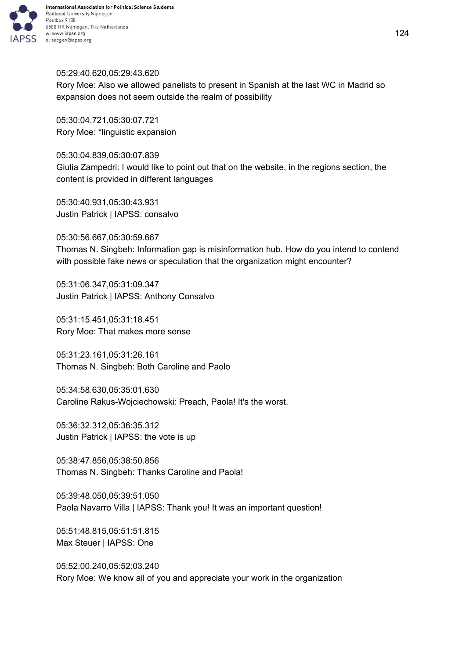

## 05:29:40.620,05:29:43.620

Rory Moe: Also we allowed panelists to present in Spanish at the last WC in Madrid so expansion does not seem outside the realm of possibility

05:30:04.721,05:30:07.721 Rory Moe: \*linguistic expansion

05:30:04.839,05:30:07.839 Giulia Zampedri: I would like to point out that on the website, in the regions section, the content is provided in different languages

05:30:40.931,05:30:43.931 Justin Patrick | IAPSS: consalvo

05:30:56.667,05:30:59.667 Thomas N. Singbeh: Information gap is misinformation hub. How do you intend to contend with possible fake news or speculation that the organization might encounter?

05:31:06.347,05:31:09.347 Justin Patrick | IAPSS: Anthony Consalvo

05:31:15.451,05:31:18.451 Rory Moe: That makes more sense

05:31:23.161,05:31:26.161 Thomas N. Singbeh: Both Caroline and Paolo

05:34:58.630,05:35:01.630 Caroline Rakus-Wojciechowski: Preach, Paola! It's the worst.

05:36:32.312,05:36:35.312 Justin Patrick | IAPSS: the vote is up

05:38:47.856,05:38:50.856 Thomas N. Singbeh: Thanks Caroline and Paola!

05:39:48.050,05:39:51.050 Paola Navarro Villa | IAPSS: Thank you! It was an important question!

05:51:48.815,05:51:51.815 Max Steuer | IAPSS: One

05:52:00.240,05:52:03.240 Rory Moe: We know all of you and appreciate your work in the organization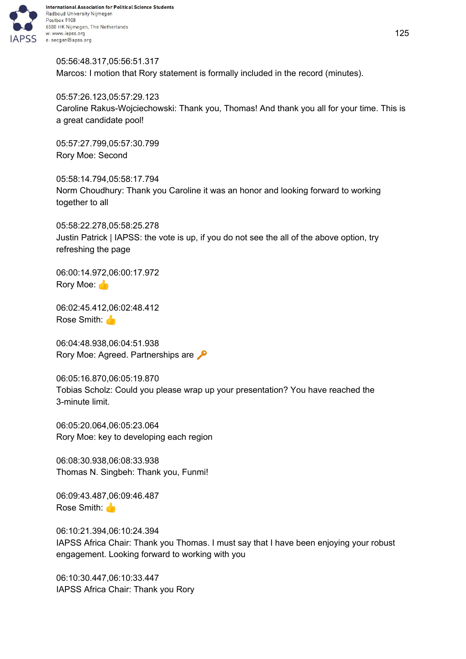

05:56:48.317,05:56:51.317 Marcos: I motion that Rory statement is formally included in the record (minutes).

05:57:26.123,05:57:29.123 Caroline Rakus-Wojciechowski: Thank you, Thomas! And thank you all for your time. This is a great candidate pool!

05:57:27.799,05:57:30.799 Rory Moe: Second

05:58:14.794,05:58:17.794 Norm Choudhury: Thank you Caroline it was an honor and looking forward to working together to all

05:58:22.278,05:58:25.278 Justin Patrick | IAPSS: the vote is up, if you do not see the all of the above option, try refreshing the page

06:00:14.972,06:00:17.972 Rory Moe:

06:02:45.412,06:02:48.412 Rose Smith:

06:04:48.938,06:04:51.938 Rory Moe: Agreed. Partnerships are  $\sqrt{\phantom{a}}$ 

06:05:16.870,06:05:19.870 Tobias Scholz: Could you please wrap up your presentation? You have reached the 3-minute limit.

06:05:20.064,06:05:23.064 Rory Moe: key to developing each region

06:08:30.938,06:08:33.938 Thomas N. Singbeh: Thank you, Funmi!

06:09:43.487,06:09:46.487 Rose Smith:

06:10:21.394,06:10:24.394 IAPSS Africa Chair: Thank you Thomas. I must say that I have been enjoying your robust engagement. Looking forward to working with you

06:10:30.447,06:10:33.447 IAPSS Africa Chair: Thank you Rory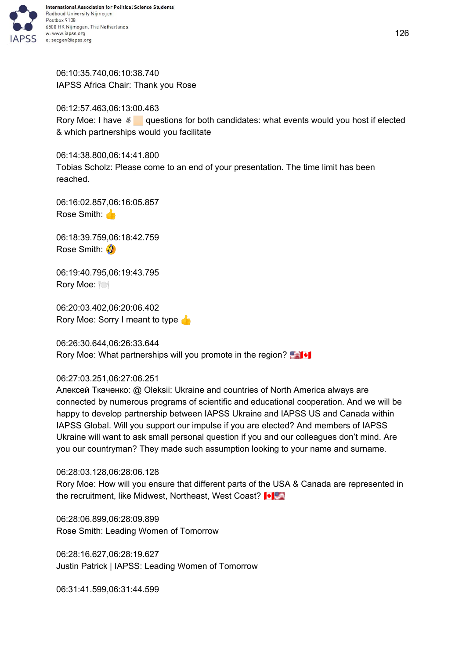

06:10:35.740,06:10:38.740 IAPSS Africa Chair: Thank you Rose

06:12:57.463,06:13:00.463 Rory Moe: I have ⊌ questions for both candidates: what events would you host if elected & which partnerships would you facilitate

06:14:38.800,06:14:41.800 Tobias Scholz: Please come to an end of your presentation. The time limit has been reached.

06:16:02.857,06:16:05.857 Rose Smith:

06:18:39.759,06:18:42.759 Rose Smith: 3

06:19:40.795,06:19:43.795 Rory Moe:

06:20:03.402,06:20:06.402 Rory Moe: Sorry I meant to type

06:26:30.644,06:26:33.644 Rory Moe: What partnerships will you promote in the region?

## 06:27:03.251,06:27:06.251

Алексей Ткаченко: @ Oleksii: Ukraine and countries of North America always are connected by numerous programs of scientific and educational cooperation. And we will be happy to develop partnership between IAPSS Ukraine and IAPSS US and Canada within IAPSS Global. Will you support our impulse if you are elected? And members of IAPSS Ukraine will want to ask small personal question if you and our colleagues don't mind. Are you our countryman? They made such assumption looking to your name and surname.

06:28:03.128,06:28:06.128

Rory Moe: How will you ensure that different parts of the USA & Canada are represented in the recruitment, like Midwest, Northeast, West Coast?  $\blacksquare$ 

06:28:06.899,06:28:09.899 Rose Smith: Leading Women of Tomorrow

06:28:16.627,06:28:19.627 Justin Patrick | IAPSS: Leading Women of Tomorrow

06:31:41.599,06:31:44.599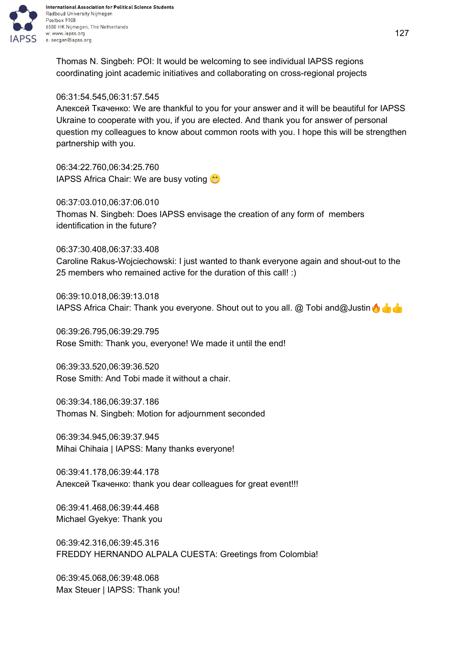

International Association for Political Science Students Radboud University Nijmegen 6500 HK Nijmegen, The Netherlands w: www.iapss.org

Thomas N. Singbeh: POI: It would be welcoming to see individual IAPSS regions coordinating joint academic initiatives and collaborating on cross-regional projects

## 06:31:54.545,06:31:57.545

Алексей Ткаченко: We are thankful to you for your answer and it will be beautiful for IAPSS Ukraine to cooperate with you, if you are elected. And thank you for answer of personal question my colleagues to know about common roots with you. I hope this will be strengthen partnership with you.

06:34:22.760,06:34:25.760 IAPSS Africa Chair: We are busy voting

06:37:03.010,06:37:06.010 Thomas N. Singbeh: Does IAPSS envisage the creation of any form of members identification in the future?

06:37:30.408,06:37:33.408

Caroline Rakus-Wojciechowski: I just wanted to thank everyone again and shout-out to the 25 members who remained active for the duration of this call! :)

06:39:10.018,06:39:13.018 IAPSS Africa Chair: Thank you everyone. Shout out to you all. @ Tobi and@Justin

06:39:26.795,06:39:29.795 Rose Smith: Thank you, everyone! We made it until the end!

06:39:33.520,06:39:36.520 Rose Smith: And Tobi made it without a chair.

06:39:34.186,06:39:37.186 Thomas N. Singbeh: Motion for adjournment seconded

06:39:34.945,06:39:37.945 Mihai Chihaia | IAPSS: Many thanks everyone!

06:39:41.178,06:39:44.178 Алексей Ткаченко: thank you dear colleagues for great event!!!

06:39:41.468,06:39:44.468 Michael Gyekye: Thank you

06:39:42.316,06:39:45.316 FREDDY HERNANDO ALPALA CUESTA: Greetings from Colombia!

06:39:45.068,06:39:48.068 Max Steuer | IAPSS: Thank you!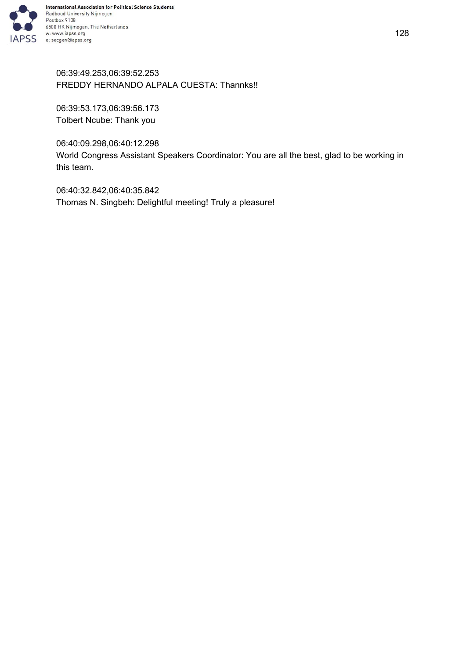

06:39:49.253,06:39:52.253 FREDDY HERNANDO ALPALA CUESTA: Thannks!!

06:39:53.173,06:39:56.173 Tolbert Ncube: Thank you

06:40:09.298,06:40:12.298

World Congress Assistant Speakers Coordinator: You are all the best, glad to be working in this team.

06:40:32.842,06:40:35.842 Thomas N. Singbeh: Delightful meeting! Truly a pleasure!